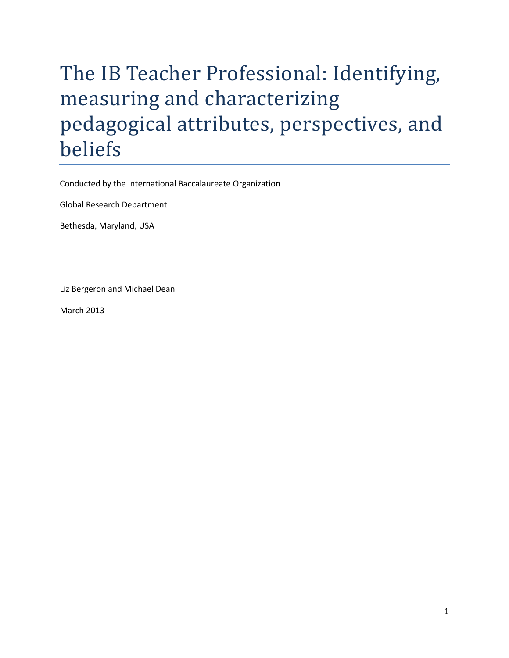# The IB Teacher Professional: Identifying, measuring and characterizing pedagogical attributes, perspectives, and beliefs

Conducted by the International Baccalaureate Organization

Global Research Department

Bethesda, Maryland, USA

Liz Bergeron and Michael Dean

<span id="page-0-0"></span>March 2013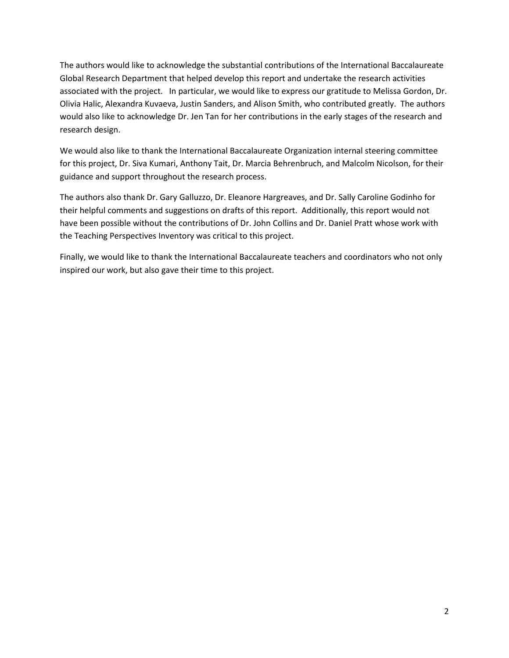The authors would like to acknowledge the substantial contributions of the International Baccalaureate Global Research Department that helped develop this report and undertake the research activities associated with the project. In particular, we would like to express our gratitude to Melissa Gordon, Dr. Olivia Halic, Alexandra Kuvaeva, Justin Sanders, and Alison Smith, who contributed greatly. The authors would also like to acknowledge Dr. Jen Tan for her contributions in the early stages of the research and research design.

We would also like to thank the International Baccalaureate Organization internal steering committee for this project, Dr. Siva Kumari, Anthony Tait, Dr. Marcia Behrenbruch, and Malcolm Nicolson, for their guidance and support throughout the research process.

The authors also thank Dr. Gary Galluzzo, Dr. Eleanore Hargreaves, and Dr. Sally Caroline Godinho for their helpful comments and suggestions on drafts of this report. Additionally, this report would not have been possible without the contributions of Dr. John Collins and Dr. Daniel Pratt whose work with the Teaching Perspectives Inventory was critical to this project.

Finally, we would like to thank the International Baccalaureate teachers and coordinators who not only inspired our work, but also gave their time to this project.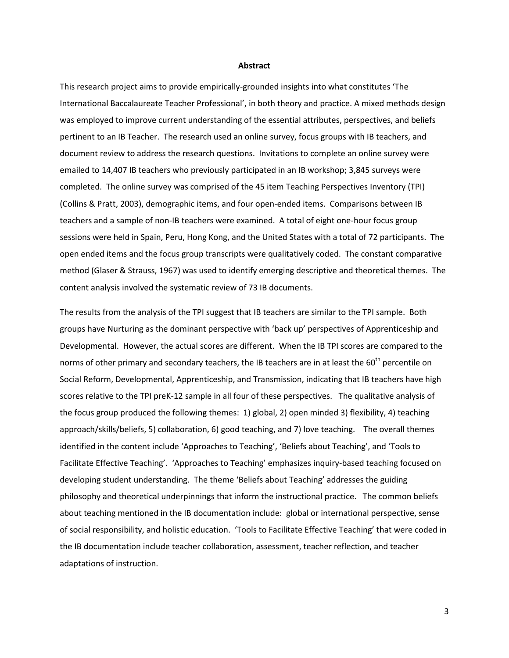#### **Abstract**

This research project aims to provide empirically-grounded insights into what constitutes 'The International Baccalaureate Teacher Professional', in both theory and practice. A mixed methods design was employed to improve current understanding of the essential attributes, perspectives, and beliefs pertinent to an IB Teacher. The research used an online survey, focus groups with IB teachers, and document review to address the research questions. Invitations to complete an online survey were emailed to 14,407 IB teachers who previously participated in an IB workshop; 3,845 surveys were completed. The online survey was comprised of the 45 item Teaching Perspectives Inventory (TPI) (Collins & Pratt, 2003), demographic items, and four open-ended items. Comparisons between IB teachers and a sample of non-IB teachers were examined. A total of eight one-hour focus group sessions were held in Spain, Peru, Hong Kong, and the United States with a total of 72 participants. The open ended items and the focus group transcripts were qualitatively coded. The constant comparative method (Glaser & Strauss, 1967) was used to identify emerging descriptive and theoretical themes. The content analysis involved the systematic review of 73 IB documents.

The results from the analysis of the TPI suggest that IB teachers are similar to the TPI sample. Both groups have Nurturing as the dominant perspective with 'back up' perspectives of Apprenticeship and Developmental. However, the actual scores are different. When the IB TPI scores are compared to the norms of other primary and secondary teachers, the IB teachers are in at least the 60<sup>th</sup> percentile on Social Reform, Developmental, Apprenticeship, and Transmission, indicating that IB teachers have high scores relative to the TPI preK-12 sample in all four of these perspectives. The qualitative analysis of the focus group produced the following themes: 1) global, 2) open minded 3) flexibility, 4) teaching approach/skills/beliefs, 5) collaboration, 6) good teaching, and 7) love teaching. The overall themes identified in the content include 'Approaches to Teaching', 'Beliefs about Teaching', and 'Tools to Facilitate Effective Teaching'. 'Approaches to Teaching' emphasizes inquiry-based teaching focused on developing student understanding. The theme 'Beliefs about Teaching' addresses the guiding philosophy and theoretical underpinnings that inform the instructional practice. The common beliefs about teaching mentioned in the IB documentation include: global or international perspective, sense of social responsibility, and holistic education. 'Tools to Facilitate Effective Teaching' that were coded in the IB documentation include teacher collaboration, assessment, teacher reflection, and teacher adaptations of instruction.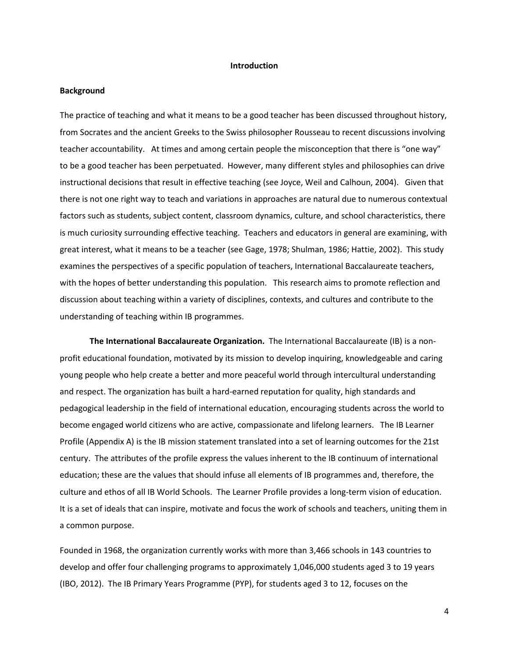#### **Introduction**

## **Background**

The practice of teaching and what it means to be a good teacher has been discussed throughout history, from Socrates and the ancient Greeks to the Swiss philosopher Rousseau to recent discussions involving teacher accountability. At times and among certain people the misconception that there is "one way" to be a good teacher has been perpetuated. However, many different styles and philosophies can drive instructional decisions that result in effective teaching (see Joyce, Weil and Calhoun, 2004). Given that there is not one right way to teach and variations in approaches are natural due to numerous contextual factors such as students, subject content, classroom dynamics, culture, and school characteristics, there is much curiosity surrounding effective teaching. Teachers and educators in general are examining, with great interest, what it means to be a teacher (see Gage, 1978; Shulman, 1986; Hattie, 2002). This study examines the perspectives of a specific population of teachers, International Baccalaureate teachers, with the hopes of better understanding this population. This research aims to promote reflection and discussion about teaching within a variety of disciplines, contexts, and cultures and contribute to the understanding of teaching within IB programmes.

**The International Baccalaureate Organization.** The International Baccalaureate (IB) is a nonprofit educational foundation, motivated by its mission to develop inquiring, knowledgeable and caring young people who help create a better and more peaceful world through intercultural understanding and respect. The organization has built a hard-earned reputation for quality, high standards and pedagogical leadership in the field of international education, encouraging students across the world to become engaged world citizens who are active, compassionate and lifelong learners. The IB Learner Profile (Appendix A) is the IB mission statement translated into a set of learning outcomes for the 21st century. The attributes of the profile express the values inherent to the IB continuum of international education; these are the values that should infuse all elements of IB programmes and, therefore, the culture and ethos of all IB World Schools. The Learner Profile provides a long-term vision of education. It is a set of ideals that can inspire, motivate and focus the work of schools and teachers, uniting them in a common purpose.

Founded in 1968, the organization currently works with more than 3,466 schools in 143 countries to develop and offer four challenging programs to approximately 1,046,000 students aged 3 to 19 years (IBO, 2012). The IB Primary Years Programme (PYP), for students aged 3 to 12, focuses on the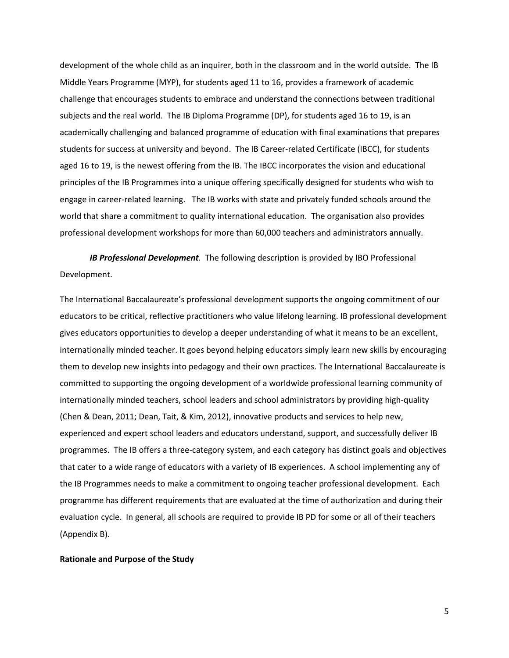development of the whole child as an inquirer, both in the classroom and in the world outside. The IB Middle Years Programme (MYP), for students aged 11 to 16, provides a framework of academic challenge that encourages students to embrace and understand the connections between traditional subjects and the real world. The IB Diploma Programme (DP), for students aged 16 to 19, is an academically challenging and balanced programme of education with final examinations that prepares students for success at university and beyond. The IB Career-related Certificate (IBCC), for students aged 16 to 19, is the newest offering from the IB. The IBCC incorporates the vision and educational principles of the IB Programmes into a unique offering specifically designed for students who wish to engage in career-related learning. The IB works with state and privately funded schools around the world that share a commitment to quality international education. The organisation also provides professional development workshops for more than 60,000 teachers and administrators annually.

*IB Professional Development.* The following description is provided by IBO Professional Development.

The International Baccalaureate's professional development supports the ongoing commitment of our educators to be critical, reflective practitioners who value lifelong learning. IB professional development gives educators opportunities to develop a deeper understanding of what it means to be an excellent, internationally minded teacher. It goes beyond helping educators simply learn new skills by encouraging them to develop new insights into pedagogy and their own practices. The International Baccalaureate is committed to supporting the ongoing development of a worldwide professional learning community of internationally minded teachers, school leaders and school administrators by providing high-quality (Chen & Dean, 2011; Dean, Tait, & Kim, 2012), innovative products and services to help new, experienced and expert school leaders and educators understand, support, and successfully deliver IB programmes. The IB offers a three-category system, and each category has distinct goals and objectives that cater to a wide range of educators with a variety of IB experiences. A school implementing any of the IB Programmes needs to make a commitment to ongoing teacher professional development. Each programme has different requirements that are evaluated at the time of authorization and during their evaluation cycle. In general, all schools are required to provide IB PD for some or all of their teachers (Appendix B).

#### **Rationale and Purpose of the Study**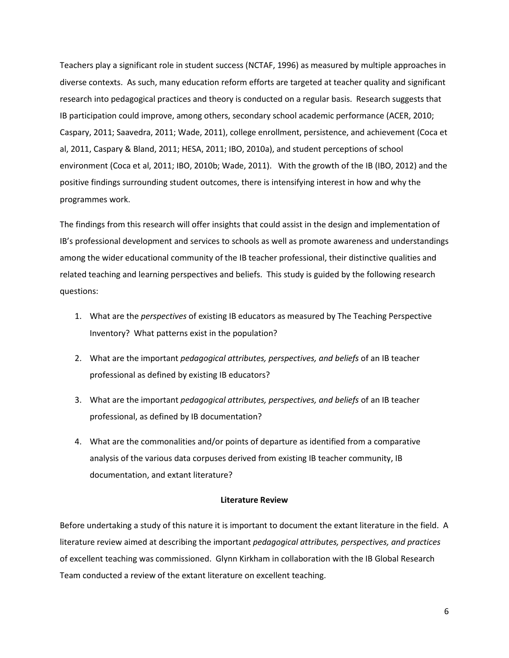Teachers play a significant role in student success (NCTAF, 1996) as measured by multiple approaches in diverse contexts. As such, many education reform efforts are targeted at teacher quality and significant research into pedagogical practices and theory is conducted on a regular basis. Research suggests that IB participation could improve, among others, secondary school academic performance (ACER, 2010; Caspary, 2011; Saavedra, 2011; Wade, 2011), college enrollment, persistence, and achievement (Coca et al, 2011, Caspary & Bland, 2011; HESA, 2011; IBO, 2010a), and student perceptions of school environment (Coca et al, 2011; IBO, 2010b; Wade, 2011). With the growth of the IB (IBO, 2012) and the positive findings surrounding student outcomes, there is intensifying interest in how and why the programmes work.

The findings from this research will offer insights that could assist in the design and implementation of IB's professional development and services to schools as well as promote awareness and understandings among the wider educational community of the IB teacher professional, their distinctive qualities and related teaching and learning perspectives and beliefs. This study is guided by the following research questions:

- 1. What are the *perspectives* of existing IB educators as measured by The Teaching Perspective Inventory? What patterns exist in the population?
- 2. What are the important *pedagogical attributes, perspectives, and beliefs* of an IB teacher professional as defined by existing IB educators?
- 3. What are the important *pedagogical attributes, perspectives, and beliefs* of an IB teacher professional, as defined by IB documentation?
- 4. What are the commonalities and/or points of departure as identified from a comparative analysis of the various data corpuses derived from existing IB teacher community, IB documentation, and extant literature?

#### **Literature Review**

Before undertaking a study of this nature it is important to document the extant literature in the field. A literature review aimed at describing the important *pedagogical attributes, perspectives, and practices*  of excellent teaching was commissioned. Glynn Kirkham in collaboration with the IB Global Research Team conducted a review of the extant literature on excellent teaching.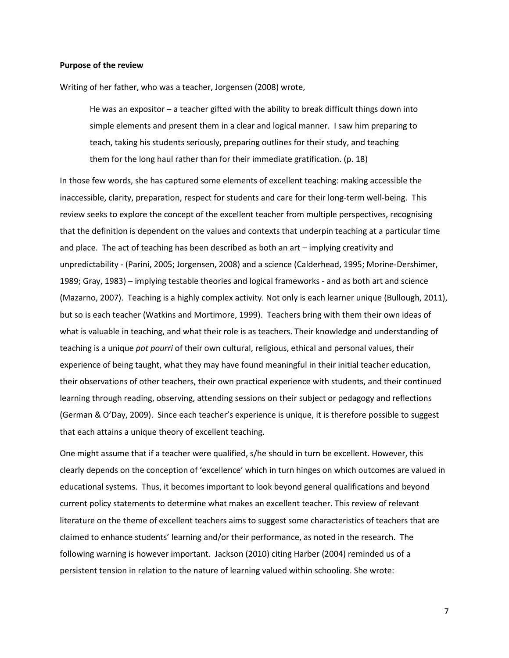#### **Purpose of the review**

Writing of her father, who was a teacher, Jorgensen (2008) wrote,

He was an expositor – a teacher gifted with the ability to break difficult things down into simple elements and present them in a clear and logical manner. I saw him preparing to teach, taking his students seriously, preparing outlines for their study, and teaching them for the long haul rather than for their immediate gratification. (p. 18)

In those few words, she has captured some elements of excellent teaching: making accessible the inaccessible, clarity, preparation, respect for students and care for their long-term well-being. This review seeks to explore the concept of the excellent teacher from multiple perspectives, recognising that the definition is dependent on the values and contexts that underpin teaching at a particular time and place. The act of teaching has been described as both an art – implying creativity and unpredictability - (Parini, 2005; Jorgensen, 2008) and a science (Calderhead, 1995; Morine-Dershimer, 1989; Gray, 1983) – implying testable theories and logical frameworks - and as both art and science (Mazarno, 2007). Teaching is a highly complex activity. Not only is each learner unique (Bullough, 2011), but so is each teacher (Watkins and Mortimore, 1999). Teachers bring with them their own ideas of what is valuable in teaching, and what their role is as teachers. Their knowledge and understanding of teaching is a unique *pot pourri* of their own cultural, religious, ethical and personal values, their experience of being taught, what they may have found meaningful in their initial teacher education, their observations of other teachers, their own practical experience with students, and their continued learning through reading, observing, attending sessions on their subject or pedagogy and reflections (German & O'Day, 2009). Since each teacher's experience is unique, it is therefore possible to suggest that each attains a unique theory of excellent teaching.

One might assume that if a teacher were qualified, s/he should in turn be excellent. However, this clearly depends on the conception of 'excellence' which in turn hinges on which outcomes are valued in educational systems. Thus, it becomes important to look beyond general qualifications and beyond current policy statements to determine what makes an excellent teacher. This review of relevant literature on the theme of excellent teachers aims to suggest some characteristics of teachers that are claimed to enhance students' learning and/or their performance, as noted in the research. The following warning is however important. Jackson (2010) citing Harber (2004) reminded us of a persistent tension in relation to the nature of learning valued within schooling. She wrote: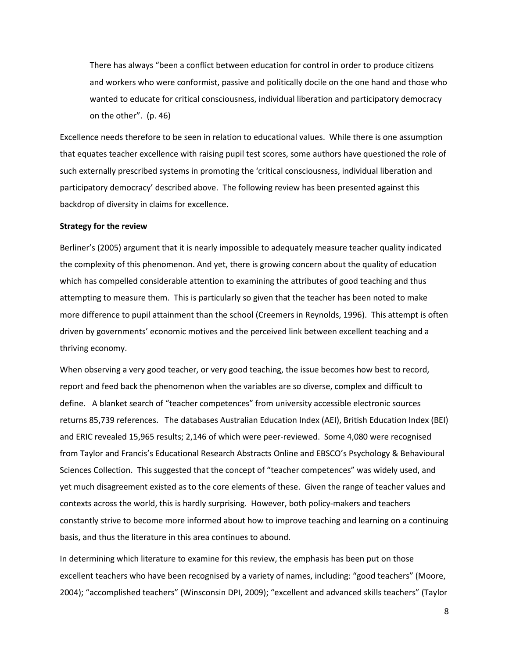There has always "been a conflict between education for control in order to produce citizens and workers who were conformist, passive and politically docile on the one hand and those who wanted to educate for critical consciousness, individual liberation and participatory democracy on the other". (p. 46)

Excellence needs therefore to be seen in relation to educational values. While there is one assumption that equates teacher excellence with raising pupil test scores, some authors have questioned the role of such externally prescribed systems in promoting the 'critical consciousness, individual liberation and participatory democracy' described above. The following review has been presented against this backdrop of diversity in claims for excellence.

#### **Strategy for the review**

Berliner's (2005) argument that it is nearly impossible to adequately measure teacher quality indicated the complexity of this phenomenon. And yet, there is growing concern about the quality of education which has compelled considerable attention to examining the attributes of good teaching and thus attempting to measure them. This is particularly so given that the teacher has been noted to make more difference to pupil attainment than the school (Creemers in Reynolds, 1996). This attempt is often driven by governments' economic motives and the perceived link between excellent teaching and a thriving economy.

When observing a very good teacher, or very good teaching, the issue becomes how best to record, report and feed back the phenomenon when the variables are so diverse, complex and difficult to define. A blanket search of "teacher competences" from university accessible electronic sources returns 85,739 references. The databases Australian Education Index (AEI), British Education Index (BEI) and ERIC revealed 15,965 results; 2,146 of which were peer-reviewed. Some 4,080 were recognised from Taylor and Francis's [Educational Research Abstracts Online](http://ez-proxy.unv.wlv.ac.uk/login?url=http://www.informaworld.com/title~content=t713417651) and EBSCO'[s Psychology & Behavioural](http://search.ebscohost.com/login.aspx?authtype=ip,uid&profile=ehost&defaultdb=pbh)  [Sciences Collection.](http://search.ebscohost.com/login.aspx?authtype=ip,uid&profile=ehost&defaultdb=pbh) This suggested that the concept of "teacher competences" was widely used, and yet much disagreement existed as to the core elements of these. Given the range of teacher values and contexts across the world, this is hardly surprising. However, both policy-makers and teachers constantly strive to become more informed about how to improve teaching and learning on a continuing basis, and thus the literature in this area continues to abound.

In determining which literature to examine for this review, the emphasis has been put on those excellent teachers who have been recognised by a variety of names, including: "good teachers" (Moore, 2004); "accomplished teachers" (Winsconsin DPI, 2009); "excellent and advanced skills teachers" (Taylor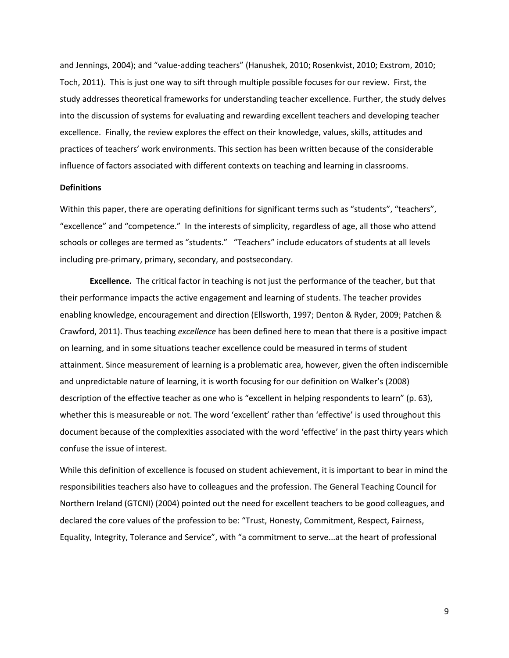and Jennings, 2004); and "value-adding teachers" (Hanushek, 2010; Rosenkvist, 2010; Exstrom, 2010; Toch, 2011). This is just one way to sift through multiple possible focuses for our review. First, the study addresses theoretical frameworks for understanding teacher excellence. Further, the study delves into the discussion of systems for evaluating and rewarding excellent teachers and developing teacher excellence. Finally, the review explores the effect on their knowledge, values, skills, attitudes and practices of teachers' work environments. This section has been written because of the considerable influence of factors associated with different contexts on teaching and learning in classrooms.

## **Definitions**

Within this paper, there are operating definitions for significant terms such as "students", "teachers", "excellence" and "competence." In the interests of simplicity, regardless of age, all those who attend schools or colleges are termed as "students." "Teachers" include educators of students at all levels including pre-primary, primary, secondary, and postsecondary.

**Excellence.** The critical factor in teaching is not just the performance of the teacher, but that their performance impacts the active engagement and learning of students. The teacher provides enabling knowledge, encouragement and direction (Ellsworth, 1997; Denton & Ryder, 2009; Patchen & Crawford, 2011). Thus teaching *excellence* has been defined here to mean that there is a positive impact on learning, and in some situations teacher excellence could be measured in terms of student attainment. Since measurement of learning is a problematic area, however, given the often indiscernible and unpredictable nature of learning, it is worth focusing for our definition on Walker's (2008) description of the effective teacher as one who is "excellent in helping respondents to learn" (p. 63), whether this is measureable or not. The word 'excellent' rather than 'effective' is used throughout this document because of the complexities associated with the word 'effective' in the past thirty years which confuse the issue of interest.

While this definition of excellence is focused on student achievement, it is important to bear in mind the responsibilities teachers also have to colleagues and the profession. The General Teaching Council for Northern Ireland (GTCNI) (2004) pointed out the need for excellent teachers to be good colleagues, and declared the core values of the profession to be: "Trust, Honesty, Commitment, Respect, Fairness, Equality, Integrity, Tolerance and Service", with "a commitment to serve...at the heart of professional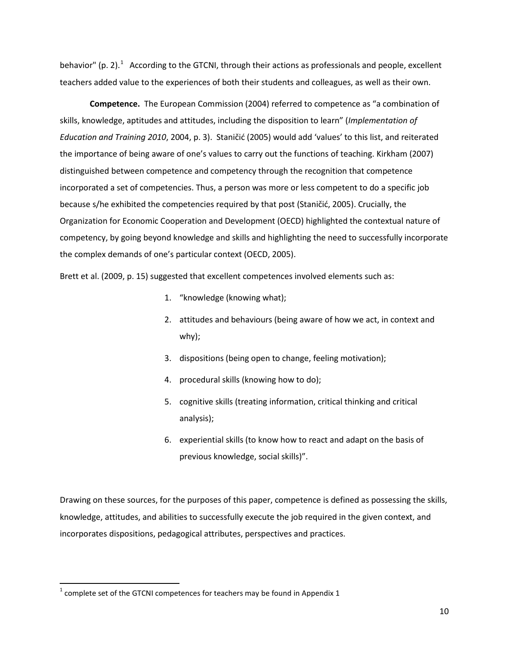behavior" (p. 2).<sup>[1](#page-0-0)</sup> According to the GTCNI, through their actions as professionals and people, excellent teachers added value to the experiences of both their students and colleagues, as well as their own.

**Competence.** The European Commission (2004) referred to competence as "a combination of skills, knowledge, aptitudes and attitudes, including the disposition to learn" (*Implementation of Education and Training 2010*, 2004, p. 3). Staničić (2005) would add 'values' to this list, and reiterated the importance of being aware of one's values to carry out the functions of teaching. Kirkham (2007) distinguished between competence and competency through the recognition that competence incorporated a set of competencies. Thus, a person was more or less competent to do a specific job because s/he exhibited the competencies required by that post (Staničić, 2005). Crucially, the Organization for Economic Cooperation and Development (OECD) highlighted the contextual nature of competency, by going beyond knowledge and skills and highlighting the need to successfully incorporate the complex demands of one's particular context (OECD, 2005).

Brett et al. (2009, p. 15) suggested that excellent competences involved elements such as:

- 1. "knowledge (knowing what);
- 2. attitudes and behaviours (being aware of how we act, in context and why);
- 3. dispositions (being open to change, feeling motivation);
- 4. procedural skills (knowing how to do);
- 5. cognitive skills (treating information, critical thinking and critical analysis);
- 6. experiential skills (to know how to react and adapt on the basis of previous knowledge, social skills)".

Drawing on these sources, for the purposes of this paper, competence is defined as possessing the skills, knowledge, attitudes, and abilities to successfully execute the job required in the given context, and incorporates dispositions, pedagogical attributes, perspectives and practices.

 $1$  complete set of the GTCNI competences for teachers may be found in Appendix 1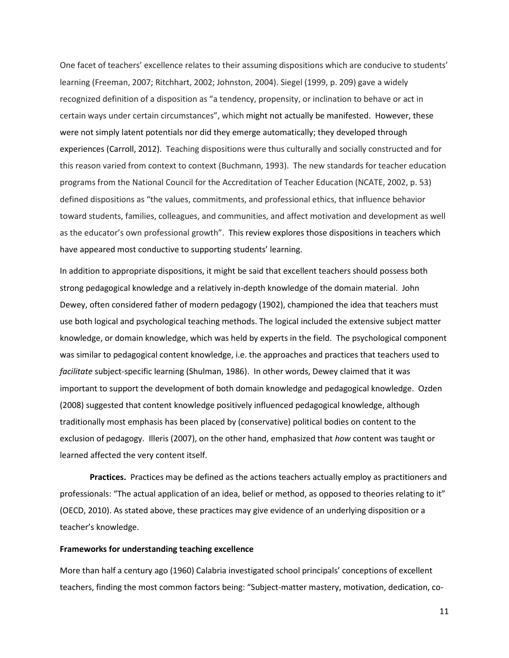One facet of teachers' excellence relates to their assuming dispositions which are conducive to students' learning (Freeman, 2007; Ritchhart, 2002; Johnston, 2004). Siegel (1999, p. 209) gave a widely recognized definition of a disposition as "a tendency, propensity, or inclination to behave or act in certain ways under certain circumstances", which might not actually be manifested. However, these were not simply latent potentials nor did they emerge automatically; they developed through experiences (Carroll, 2012). Teaching dispositions were thus culturally and socially constructed and for this reason varied from context to context (Buchmann, 1993). The new standards for teacher education programs from the National Council for the Accreditation of Teacher Education (NCATE, 2002, p. 53) defined dispositions as "the values, commitments, and professional ethics, that influence behavior toward students, families, colleagues, and communities, and affect motivation and development as well as the educator's own professional growth". This review explores those dispositions in teachers which have appeared most conductive to supporting students' learning.

In addition to appropriate dispositions, it might be said that excellent teachers should possess both strong pedagogical knowledge and a relatively in-depth knowledge of the domain material. John Dewey, often considered father of modern pedagogy (1902), championed the idea that teachers must use both logical and psychological teaching methods. The logical included the extensive subject matter knowledge, or domain knowledge, which was held by experts in the field. The psychological component was similar to pedagogical content knowledge, i.e. the approaches and practices that teachers used to *facilitate* subject-specific learning (Shulman, 1986). In other words, Dewey claimed that it was important to support the development of both domain knowledge and pedagogical knowledge. Ozden (2008) suggested that content knowledge positively influenced pedagogical knowledge, although traditionally most emphasis has been placed by (conservative) political bodies on content to the exclusion of pedagogy. Illeris (2007), on the other hand, emphasized that *how* content was taught or learned affected the very content itself.

**Practices.** Practices may be defined as the actions teachers actually employ as practitioners and professionals: "The actual application of an idea, belief or method, as opposed to theories relating to it" (OECD, 2010). As stated above, these practices may give evidence of an underlying disposition or a teacher's knowledge.

## **Frameworks for understanding teaching excellence**

More than half a century ago (1960) Calabria investigated school principals' conceptions of excellent teachers, finding the most common factors being: "Subject-matter mastery, motivation, dedication, co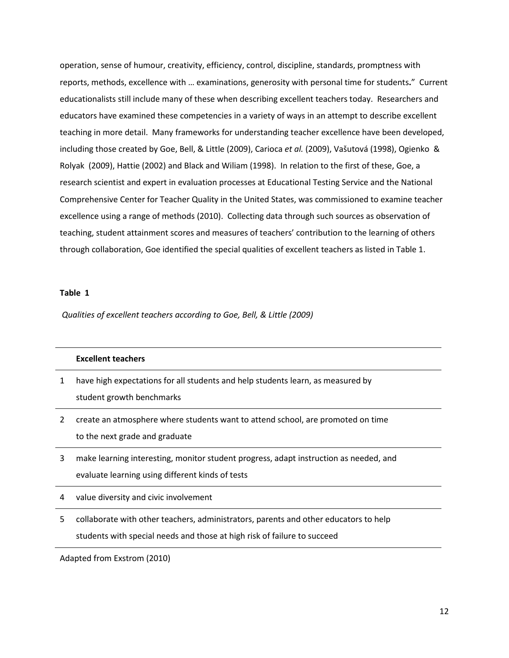operation, sense of humour, creativity, efficiency, control, discipline, standards, promptness with reports, methods, excellence with … examinations, generosity with personal time for students**.**" Current educationalists still include many of these when describing excellent teachers today. Researchers and educators have examined these competencies in a variety of ways in an attempt to describe excellent teaching in more detail. Many frameworks for understanding teacher excellence have been developed, including those created by Goe, Bell, & Little (2009), Carioca *et al.* (2009), Vašutová (1998), Ogienko & Rolyak (2009), Hattie (2002) and Black and Wiliam (1998). In relation to the first of these, Goe, a research scientist and expert in evaluation processes at Educational Testing Service and the National Comprehensive Center for Teacher Quality in the United States, was commissioned to examine teacher excellence using a range of methods (2010). Collecting data through such sources as observation of teaching, student attainment scores and measures of teachers' contribution to the learning of others through collaboration, Goe identified the special qualities of excellent teachers as listed in Table 1.

## **Table 1**

*Qualities of excellent teachers according to Goe, Bell, & Little (2009)*

| <b>Excellent teachers</b>                                                       |
|---------------------------------------------------------------------------------|
| have high expectations for all students and help students learn, as measured by |
| student growth benchmarks                                                       |

2 create an atmosphere where students want to attend school, are promoted on time to the next grade and graduate

3 make learning interesting, monitor student progress, adapt instruction as needed, and evaluate learning using different kinds of tests

4 value diversity and civic involvement

5 collaborate with other teachers, administrators, parents and other educators to help students with special needs and those at high risk of failure to succeed

Adapted from Exstrom (2010)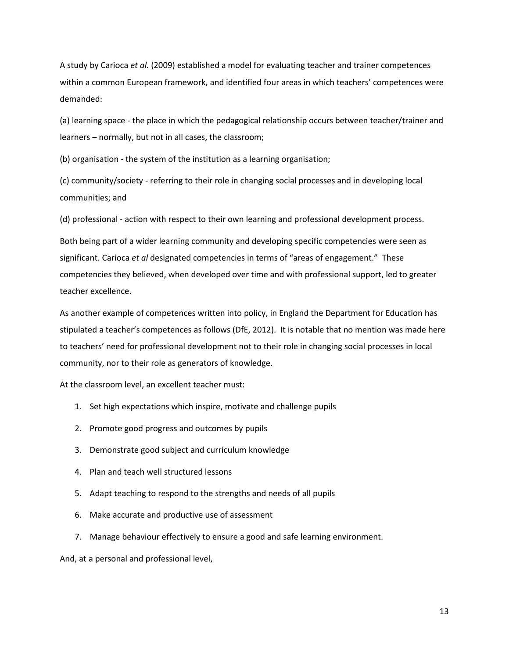A study by Carioca *et al.* (2009) established a model for evaluating teacher and trainer competences within a common European framework, and identified four areas in which teachers' competences were demanded:

(a) learning space - the place in which the pedagogical relationship occurs between teacher/trainer and learners – normally, but not in all cases, the classroom;

(b) organisation - the system of the institution as a learning organisation;

(c) community/society - referring to their role in changing social processes and in developing local communities; and

(d) professional - action with respect to their own learning and professional development process.

Both being part of a wider learning community and developing specific competencies were seen as significant. Carioca *et al* designated competencies in terms of "areas of engagement." These competencies they believed, when developed over time and with professional support, led to greater teacher excellence.

As another example of competences written into policy, in England the Department for Education has stipulated a teacher's competences as follows (DfE, 2012). It is notable that no mention was made here to teachers' need for professional development not to their role in changing social processes in local community, nor to their role as generators of knowledge.

At the classroom level, an excellent teacher must:

- 1. Set high expectations which inspire, motivate and challenge pupils
- 2. Promote good progress and outcomes by pupils
- 3. Demonstrate good subject and curriculum knowledge
- 4. Plan and teach well structured lessons
- 5. Adapt teaching to respond to the strengths and needs of all pupils
- 6. Make accurate and productive use of assessment
- 7. Manage behaviour effectively to ensure a good and safe learning environment.

And, at a personal and professional level,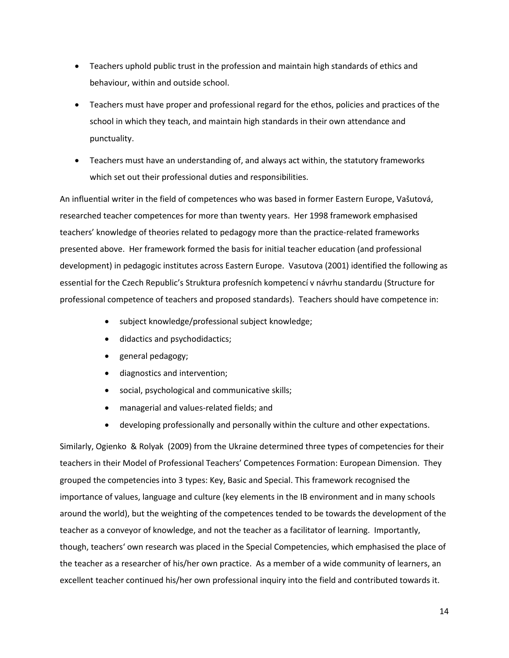- Teachers uphold public trust in the profession and maintain high standards of ethics and behaviour, within and outside school.
- Teachers must have proper and professional regard for the ethos, policies and practices of the school in which they teach, and maintain high standards in their own attendance and punctuality.
- Teachers must have an understanding of, and always act within, the statutory frameworks which set out their professional duties and responsibilities.

An influential writer in the field of competences who was based in former Eastern Europe, Vašutová, researched teacher competences for more than twenty years. Her 1998 framework emphasised teachers' knowledge of theories related to pedagogy more than the practice-related frameworks presented above. Her framework formed the basis for initial teacher education (and professional development) in pedagogic institutes across Eastern Europe. Vasutova (2001) identified the following as essential for the Czech Republic's Struktura profesních kompetencí v návrhu standardu (Structure for professional competence of teachers and proposed standards). Teachers should have competence in:

- subject knowledge/professional subject knowledge;
- didactics and psychodidactics;
- general pedagogy;
- diagnostics and intervention;
- social, psychological and communicative skills;
- managerial and values-related fields; and
- developing professionally and personally within the culture and other expectations.

Similarly, Ogienko & Rolyak (2009) from the Ukraine determined three types of competencies for their teachers in their Model of Professional Teachers' Competences Formation: European Dimension. They grouped the competencies into 3 types: Key, Basic and Special. This framework recognised the importance of values, language and culture (key elements in the IB environment and in many schools around the world), but the weighting of the competences tended to be towards the development of the teacher as a conveyor of knowledge, and not the teacher as a facilitator of learning. Importantly, though, teachers' own research was placed in the Special Competencies, which emphasised the place of the teacher as a researcher of his/her own practice. As a member of a wide community of learners, an excellent teacher continued his/her own professional inquiry into the field and contributed towards it.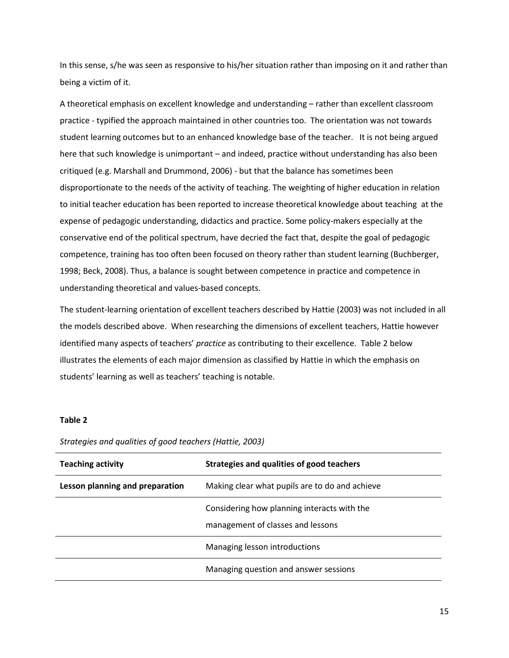In this sense, s/he was seen as responsive to his/her situation rather than imposing on it and rather than being a victim of it.

A theoretical emphasis on excellent knowledge and understanding – rather than excellent classroom practice - typified the approach maintained in other countries too. The orientation was not towards student learning outcomes but to an enhanced knowledge base of the teacher. It is not being argued here that such knowledge is unimportant – and indeed, practice without understanding has also been critiqued (e.g. Marshall and Drummond, 2006) - but that the balance has sometimes been disproportionate to the needs of the activity of teaching. The weighting of higher education in relation to initial teacher education has been reported to increase theoretical knowledge about teaching at the expense of pedagogic understanding, didactics and practice. Some policy-makers especially at the conservative end of the political spectrum, have decried the fact that, despite the goal of pedagogic competence, training has too often been focused on theory rather than student learning (Buchberger, 1998; Beck, 2008). Thus, a balance is sought between competence in practice and competence in understanding theoretical and values-based concepts.

The student-learning orientation of excellent teachers described by Hattie (2003) was not included in all the models described above. When researching the dimensions of excellent teachers, Hattie however identified many aspects of teachers' *practice* as contributing to their excellence. Table 2 below illustrates the elements of each major dimension as classified by Hattie in which the emphasis on students' learning as well as teachers' teaching is notable.

## **Table 2**

| <b>Teaching activity</b>        | Strategies and qualities of good teachers                                        |
|---------------------------------|----------------------------------------------------------------------------------|
| Lesson planning and preparation | Making clear what pupils are to do and achieve                                   |
|                                 | Considering how planning interacts with the<br>management of classes and lessons |
|                                 | Managing lesson introductions                                                    |
|                                 | Managing question and answer sessions                                            |

*Strategies and qualities of good teachers (Hattie, 2003)*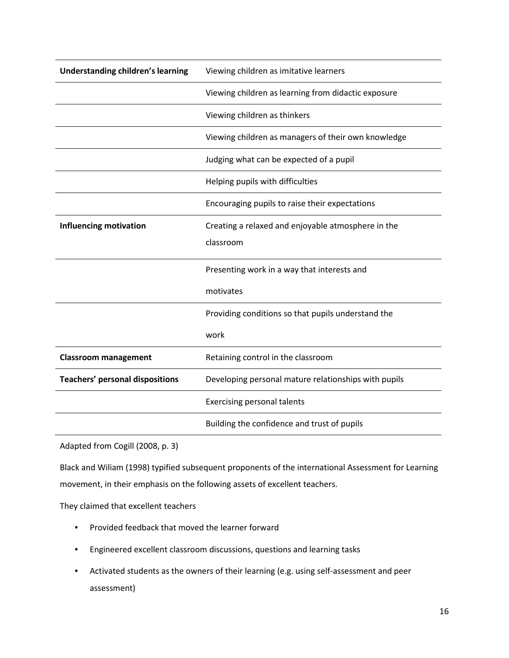| Understanding children's learning      | Viewing children as imitative learners               |  |  |
|----------------------------------------|------------------------------------------------------|--|--|
|                                        | Viewing children as learning from didactic exposure  |  |  |
|                                        | Viewing children as thinkers                         |  |  |
|                                        | Viewing children as managers of their own knowledge  |  |  |
|                                        | Judging what can be expected of a pupil              |  |  |
|                                        | Helping pupils with difficulties                     |  |  |
|                                        | Encouraging pupils to raise their expectations       |  |  |
| <b>Influencing motivation</b>          | Creating a relaxed and enjoyable atmosphere in the   |  |  |
|                                        | classroom                                            |  |  |
|                                        | Presenting work in a way that interests and          |  |  |
|                                        | motivates                                            |  |  |
|                                        | Providing conditions so that pupils understand the   |  |  |
|                                        | work                                                 |  |  |
| <b>Classroom management</b>            | Retaining control in the classroom                   |  |  |
| <b>Teachers' personal dispositions</b> | Developing personal mature relationships with pupils |  |  |
|                                        | <b>Exercising personal talents</b>                   |  |  |
|                                        | Building the confidence and trust of pupils          |  |  |

Adapted from Cogill (2008, p. 3)

Black and Wiliam (1998) typified subsequent proponents of the international Assessment for Learning movement, in their emphasis on the following assets of excellent teachers.

They claimed that excellent teachers

- Provided feedback that moved the learner forward
- Engineered excellent classroom discussions, questions and learning tasks
- Activated students as the owners of their learning (e.g. using self-assessment and peer assessment)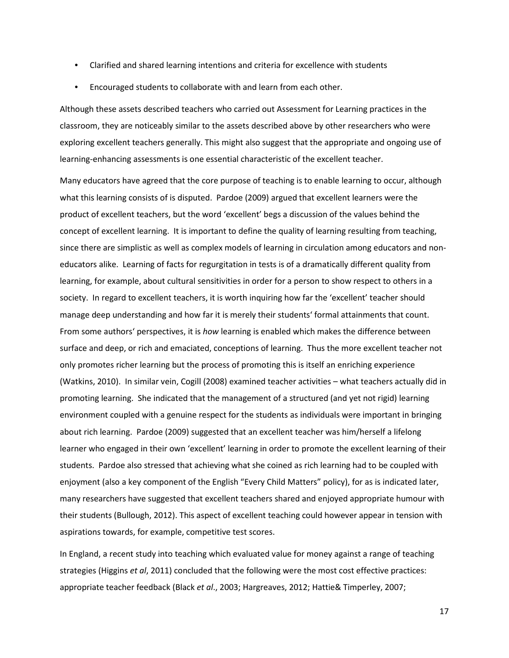- Clarified and shared learning intentions and criteria for excellence with students
- Encouraged students to collaborate with and learn from each other.

Although these assets described teachers who carried out Assessment for Learning practices in the classroom, they are noticeably similar to the assets described above by other researchers who were exploring excellent teachers generally. This might also suggest that the appropriate and ongoing use of learning-enhancing assessments is one essential characteristic of the excellent teacher.

Many educators have agreed that the core purpose of teaching is to enable learning to occur, although what this learning consists of is disputed. Pardoe (2009) argued that excellent learners were the product of excellent teachers, but the word 'excellent' begs a discussion of the values behind the concept of excellent learning. It is important to define the quality of learning resulting from teaching, since there are simplistic as well as complex models of learning in circulation among educators and noneducators alike. Learning of facts for regurgitation in tests is of a dramatically different quality from learning, for example, about cultural sensitivities in order for a person to show respect to others in a society. In regard to excellent teachers, it is worth inquiring how far the 'excellent' teacher should manage deep understanding and how far it is merely their students' formal attainments that count. From some authors' perspectives, it is *how* learning is enabled which makes the difference between surface and deep, or rich and emaciated, conceptions of learning. Thus the more excellent teacher not only promotes richer learning but the process of promoting this is itself an enriching experience (Watkins, 2010). In similar vein, Cogill (2008) examined teacher activities – what teachers actually did in promoting learning. She indicated that the management of a structured (and yet not rigid) learning environment coupled with a genuine respect for the students as individuals were important in bringing about rich learning. Pardoe (2009) suggested that an excellent teacher was him/herself a lifelong learner who engaged in their own 'excellent' learning in order to promote the excellent learning of their students. Pardoe also stressed that achieving what she coined as rich learning had to be coupled with enjoyment (also a key component of the English "Every Child Matters" policy), for as is indicated later, many researchers have suggested that excellent teachers shared and enjoyed appropriate humour with their students (Bullough, 2012). This aspect of excellent teaching could however appear in tension with aspirations towards, for example, competitive test scores.

In England, a recent study into teaching which evaluated value for money against a range of teaching strategies (Higgins *et al*, 2011) concluded that the following were the most cost effective practices: appropriate teacher feedback (Black *et al*., 2003; Hargreaves, 2012; Hattie& Timperley, 2007;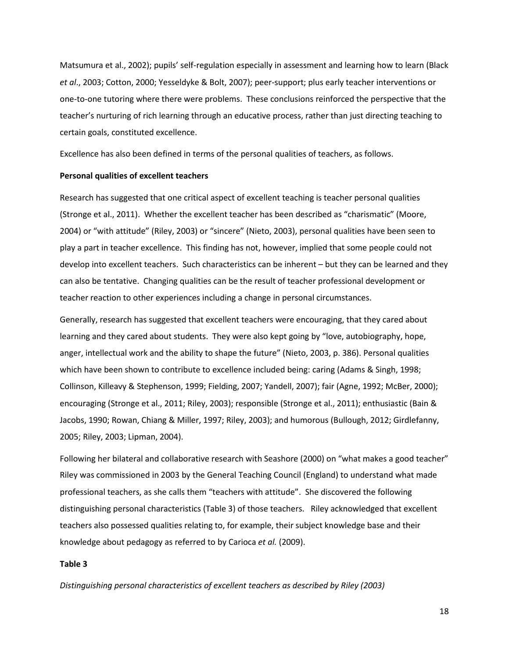Matsumura et al., 2002); pupils' self-regulation especially in assessment and learning how to learn (Black *et al*., 2003; Cotton, 2000; Yesseldyke & Bolt, 2007); peer-support; plus early teacher interventions or one-to-one tutoring where there were problems. These conclusions reinforced the perspective that the teacher's nurturing of rich learning through an educative process, rather than just directing teaching to certain goals, constituted excellence.

Excellence has also been defined in terms of the personal qualities of teachers, as follows.

#### **Personal qualities of excellent teachers**

Research has suggested that one critical aspect of excellent teaching is teacher personal qualities (Stronge et al., 2011). Whether the excellent teacher has been described as "charismatic" (Moore, 2004) or "with attitude" (Riley, 2003) or "sincere" (Nieto, 2003), personal qualities have been seen to play a part in teacher excellence. This finding has not, however, implied that some people could not develop into excellent teachers. Such characteristics can be inherent – but they can be learned and they can also be tentative. Changing qualities can be the result of teacher professional development or teacher reaction to other experiences including a change in personal circumstances.

Generally, research has suggested that excellent teachers were encouraging, that they cared about learning and they cared about students. They were also kept going by "love, autobiography, hope, anger, intellectual work and the ability to shape the future" (Nieto, 2003, p. 386). Personal qualities which have been shown to contribute to excellence included being: caring (Adams & Singh, 1998; Collinson, Killeavy & Stephenson, 1999; Fielding, 2007; Yandell, 2007); fair (Agne, 1992; McBer, 2000); encouraging (Stronge et al., 2011; Riley, 2003); responsible (Stronge et al., 2011); enthusiastic (Bain & Jacobs, 1990; Rowan, Chiang & Miller, 1997; Riley, 2003); and humorous (Bullough, 2012; Girdlefanny, 2005; Riley, 2003; Lipman, 2004).

Following her bilateral and collaborative research with Seashore (2000) on "what makes a good teacher" Riley was commissioned in 2003 by the General Teaching Council (England) to understand what made professional teachers, as she calls them "teachers with attitude". She discovered the following distinguishing personal characteristics (Table 3) of those teachers. Riley acknowledged that excellent teachers also possessed qualities relating to, for example, their subject knowledge base and their knowledge about pedagogy as referred to by Carioca *et al.* (2009).

## **Table 3**

*Distinguishing personal characteristics of excellent teachers as described by Riley (2003)*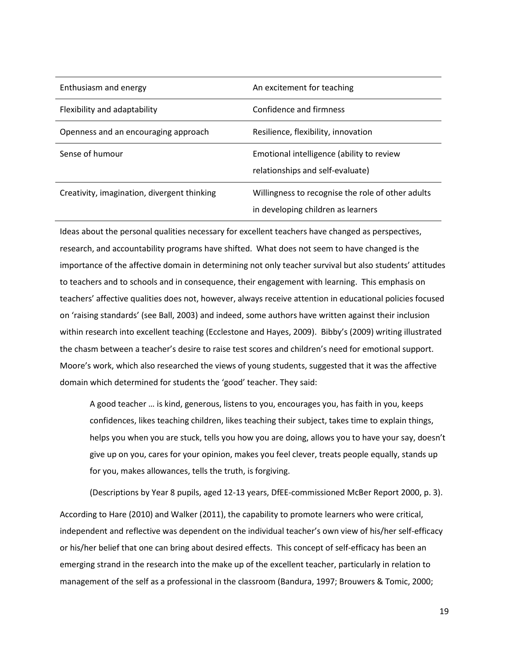| Enthusiasm and energy                       | An excitement for teaching                                                              |
|---------------------------------------------|-----------------------------------------------------------------------------------------|
| Flexibility and adaptability                | Confidence and firmness                                                                 |
| Openness and an encouraging approach        | Resilience, flexibility, innovation                                                     |
| Sense of humour                             | Emotional intelligence (ability to review<br>relationships and self-evaluate)           |
| Creativity, imagination, divergent thinking | Willingness to recognise the role of other adults<br>in developing children as learners |

Ideas about the personal qualities necessary for excellent teachers have changed as perspectives, research, and accountability programs have shifted. What does not seem to have changed is the importance of the affective domain in determining not only teacher survival but also students' attitudes to teachers and to schools and in consequence, their engagement with learning. This emphasis on teachers' affective qualities does not, however, always receive attention in educational policies focused on 'raising standards' (see Ball, 2003) and indeed, some authors have written against their inclusion within research into excellent teaching (Ecclestone and Hayes, 2009). Bibby's (2009) writing illustrated the chasm between a teacher's desire to raise test scores and children's need for emotional support. Moore's work, which also researched the views of young students, suggested that it was the affective domain which determined for students the 'good' teacher. They said:

A good teacher … is kind, generous, listens to you, encourages you, has faith in you, keeps confidences, likes teaching children, likes teaching their subject, takes time to explain things, helps you when you are stuck, tells you how you are doing, allows you to have your say, doesn't give up on you, cares for your opinion, makes you feel clever, treats people equally, stands up for you, makes allowances, tells the truth, is forgiving.

(Descriptions by Year 8 pupils, aged 12-13 years, DfEE-commissioned McBer Report 2000, p. 3). According to Hare (2010) and Walker (2011), the capability to promote learners who were critical, independent and reflective was dependent on the individual teacher's own view of his/her self-efficacy or his/her belief that one can bring about desired effects. This concept of self-efficacy has been an emerging strand in the research into the make up of the excellent teacher, particularly in relation to management of the self as a professional in the classroom (Bandura, 1997; Brouwers & Tomic, 2000;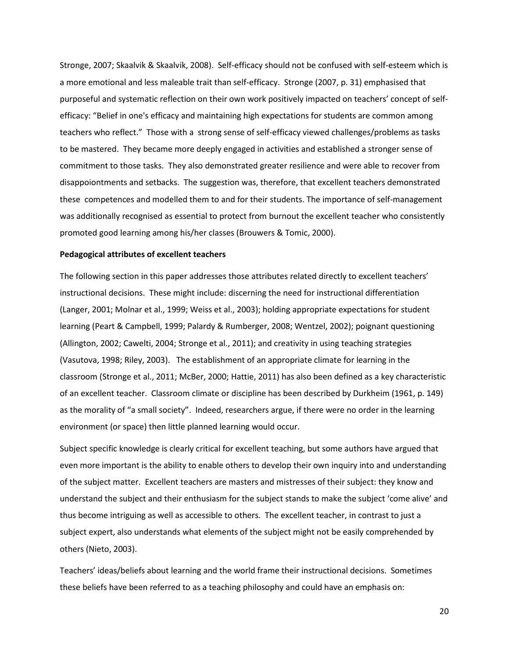Stronge, 2007; Skaalvik & Skaalvik, 2008). Self-efficacy should not be confused with self-esteem which is a more emotional and less maleable trait than self-efficacy. Stronge (2007, p. 31) emphasised that purposeful and systematic reflection on their own work positively impacted on teachers' concept of selfefficacy: "Belief in one's efficacy and maintaining high expectations for students are common among teachers who reflect." Those with a strong sense of self-efficacy viewed challenges/problems as tasks to be mastered. They became more deeply engaged in activities and established a stronger sense of commitment to those tasks. They also demonstrated greater resilience and were able to recover from disappoiontments and setbacks. The suggestion was, therefore, that excellent teachers demonstrated these competences and modelled them to and for their students. The importance of self-management was additionally recognised as essential to protect from burnout the excellent teacher who consistently promoted good learning among his/her classes (Brouwers & Tomic, 2000).

#### **Pedagogical attributes of excellent teachers**

The following section in this paper addresses those attributes related directly to excellent teachers' instructional decisions. These might include: discerning the need for instructional differentiation (Langer, 2001; Molnar et al., 1999; Weiss et al., 2003); holding appropriate expectations for student learning (Peart & Campbell, 1999; Palardy & Rumberger, 2008; Wentzel, 2002); poignant questioning (Allington, 2002; Cawelti, 2004; Stronge et al., 2011); and creativity in using teaching strategies (Vasutova, 1998; Riley, 2003). The establishment of an appropriate climate for learning in the classroom (Stronge et al., 2011; McBer, 2000; Hattie, 2011) has also been defined as a key characteristic of an excellent teacher. Classroom climate or discipline has been described by Durkheim (1961, p. 149) as the morality of "a small society". Indeed, researchers argue, if there were no order in the learning environment (or space) then little planned learning would occur.

Subject specific knowledge is clearly critical for excellent teaching, but some authors have argued that even more important is the ability to enable others to develop their own inquiry into and understanding of the subject matter. Excellent teachers are masters and mistresses of their subject: they know and understand the subject and their enthusiasm for the subject stands to make the subject 'come alive' and thus become intriguing as well as accessible to others. The excellent teacher, in contrast to just a subject expert, also understands what elements of the subject might not be easily comprehended by others (Nieto, 2003).

Teachers' ideas/beliefs about learning and the world frame their instructional decisions. Sometimes these beliefs have been referred to as a teaching philosophy and could have an emphasis on: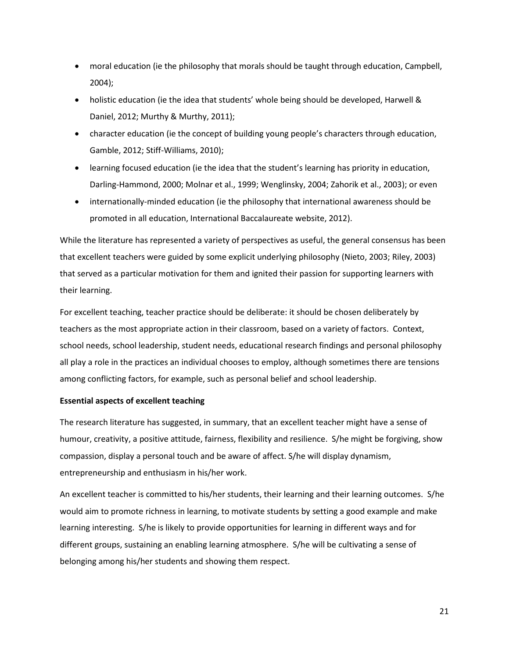- moral education (ie the philosophy that morals should be taught through education, Campbell, 2004);
- holistic education (ie the idea that students' whole being should be developed, Harwell & Daniel, 2012; Murthy & Murthy, 2011);
- character education (ie the concept of building young people's characters through education, Gamble, 2012; Stiff-Williams, 2010);
- learning focused education (ie the idea that the student's learning has priority in education, Darling-Hammond, 2000; Molnar et al., 1999; Wenglinsky, 2004; Zahorik et al., 2003); or even
- internationally-minded education (ie the philosophy that international awareness should be promoted in all education, International Baccalaureate website, 2012).

While the literature has represented a variety of perspectives as useful, the general consensus has been that excellent teachers were guided by some explicit underlying philosophy (Nieto, 2003; Riley, 2003) that served as a particular motivation for them and ignited their passion for supporting learners with their learning.

For excellent teaching, teacher practice should be deliberate: it should be chosen deliberately by teachers as the most appropriate action in their classroom, based on a variety of factors. Context, school needs, school leadership, student needs, educational research findings and personal philosophy all play a role in the practices an individual chooses to employ, although sometimes there are tensions among conflicting factors, for example, such as personal belief and school leadership.

## **Essential aspects of excellent teaching**

The research literature has suggested, in summary, that an excellent teacher might have a sense of humour, creativity, a positive attitude, fairness, flexibility and resilience. S/he might be forgiving, show compassion, display a personal touch and be aware of affect. S/he will display dynamism, entrepreneurship and enthusiasm in his/her work.

An excellent teacher is committed to his/her students, their learning and their learning outcomes. S/he would aim to promote richness in learning, to motivate students by setting a good example and make learning interesting. S/he is likely to provide opportunities for learning in different ways and for different groups, sustaining an enabling learning atmosphere. S/he will be cultivating a sense of belonging among his/her students and showing them respect.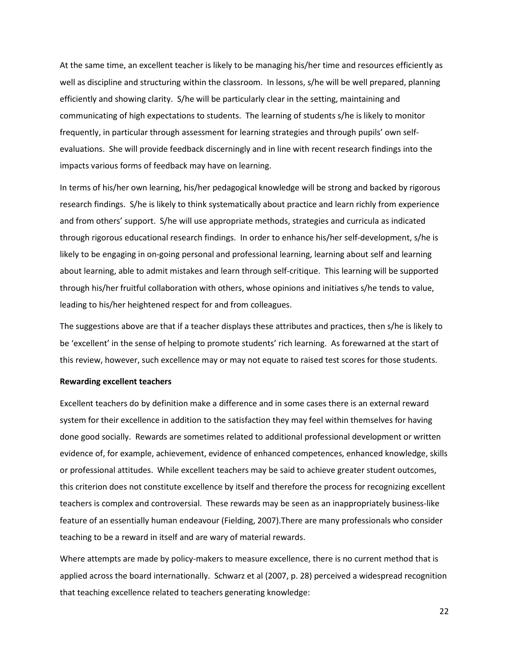At the same time, an excellent teacher is likely to be managing his/her time and resources efficiently as well as discipline and structuring within the classroom. In lessons, s/he will be well prepared, planning efficiently and showing clarity. S/he will be particularly clear in the setting, maintaining and communicating of high expectations to students. The learning of students s/he is likely to monitor frequently, in particular through assessment for learning strategies and through pupils' own selfevaluations. She will provide feedback discerningly and in line with recent research findings into the impacts various forms of feedback may have on learning.

In terms of his/her own learning, his/her pedagogical knowledge will be strong and backed by rigorous research findings. S/he is likely to think systematically about practice and learn richly from experience and from others' support. S/he will use appropriate methods, strategies and curricula as indicated through rigorous educational research findings. In order to enhance his/her self-development, s/he is likely to be engaging in on-going personal and professional learning, learning about self and learning about learning, able to admit mistakes and learn through self-critique. This learning will be supported through his/her fruitful collaboration with others, whose opinions and initiatives s/he tends to value, leading to his/her heightened respect for and from colleagues.

The suggestions above are that if a teacher displays these attributes and practices, then s/he is likely to be 'excellent' in the sense of helping to promote students' rich learning. As forewarned at the start of this review, however, such excellence may or may not equate to raised test scores for those students.

#### **Rewarding excellent teachers**

Excellent teachers do by definition make a difference and in some cases there is an external reward system for their excellence in addition to the satisfaction they may feel within themselves for having done good socially. Rewards are sometimes related to additional professional development or written evidence of, for example, achievement, evidence of enhanced competences, enhanced knowledge, skills or professional attitudes. While excellent teachers may be said to achieve greater student outcomes, this criterion does not constitute excellence by itself and therefore the process for recognizing excellent teachers is complex and controversial. These rewards may be seen as an inappropriately business-like feature of an essentially human endeavour (Fielding, 2007).There are many professionals who consider teaching to be a reward in itself and are wary of material rewards.

Where attempts are made by policy-makers to measure excellence, there is no current method that is applied across the board internationally. Schwarz et al (2007, p. 28) perceived a widespread recognition that teaching excellence related to teachers generating knowledge: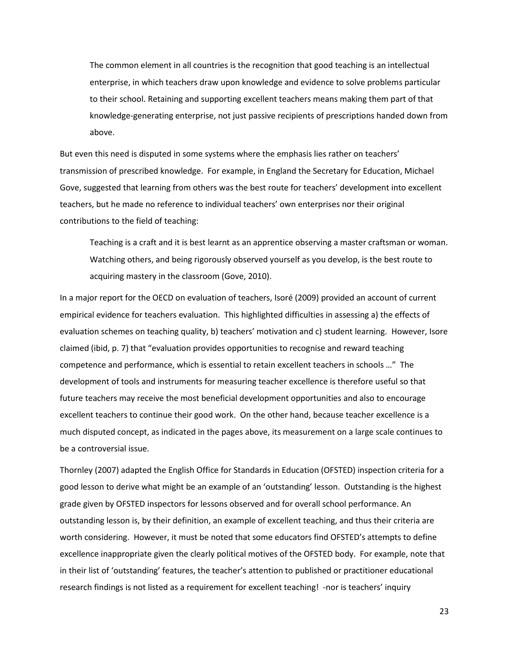The common element in all countries is the recognition that good teaching is an intellectual enterprise, in which teachers draw upon knowledge and evidence to solve problems particular to their school. Retaining and supporting excellent teachers means making them part of that knowledge-generating enterprise, not just passive recipients of prescriptions handed down from above.

But even this need is disputed in some systems where the emphasis lies rather on teachers' transmission of prescribed knowledge. For example, in England the Secretary for Education, Michael Gove, suggested that learning from others was the best route for teachers' development into excellent teachers, but he made no reference to individual teachers' own enterprises nor their original contributions to the field of teaching:

Teaching is a craft and it is best learnt as an apprentice observing a master craftsman or woman. Watching others, and being rigorously observed yourself as you develop, is the best route to acquiring mastery in the classroom (Gove, 2010).

In a major report for the OECD on evaluation of teachers, Isoré (2009) provided an account of current empirical evidence for teachers evaluation. This highlighted difficulties in assessing a) the effects of evaluation schemes on teaching quality, b) teachers' motivation and c) student learning. However, Isore claimed (ibid, p. 7) that "evaluation provides opportunities to recognise and reward teaching competence and performance, which is essential to retain excellent teachers in schools …" The development of tools and instruments for measuring teacher excellence is therefore useful so that future teachers may receive the most beneficial development opportunities and also to encourage excellent teachers to continue their good work. On the other hand, because teacher excellence is a much disputed concept, as indicated in the pages above, its measurement on a large scale continues to be a controversial issue.

Thornley (2007) adapted the English Office for Standards in Education (OFSTED) inspection criteria for a good lesson to derive what might be an example of an 'outstanding' lesson. Outstanding is the highest grade given by OFSTED inspectors for lessons observed and for overall school performance. An outstanding lesson is, by their definition, an example of excellent teaching, and thus their criteria are worth considering. However, it must be noted that some educators find OFSTED's attempts to define excellence inappropriate given the clearly political motives of the OFSTED body. For example, note that in their list of 'outstanding' features, the teacher's attention to published or practitioner educational research findings is not listed as a requirement for excellent teaching! -nor is teachers' inquiry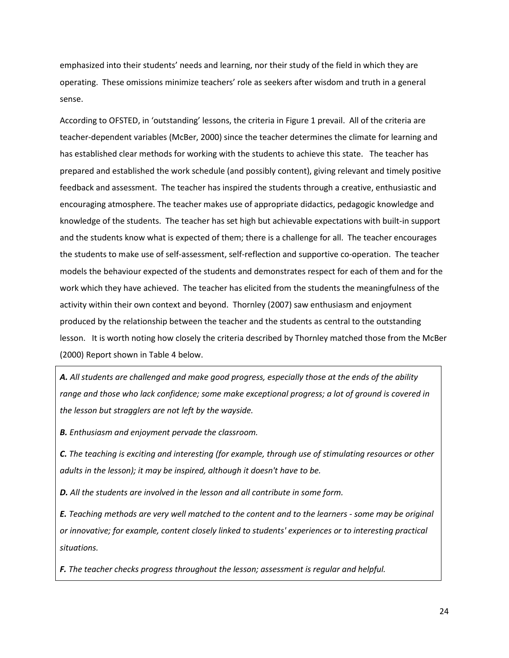emphasized into their students' needs and learning, nor their study of the field in which they are operating. These omissions minimize teachers' role as seekers after wisdom and truth in a general sense.

According to OFSTED, in 'outstanding' lessons, the criteria in Figure 1 prevail. All of the criteria are teacher-dependent variables (McBer, 2000) since the teacher determines the climate for learning and has established clear methods for working with the students to achieve this state. The teacher has prepared and established the work schedule (and possibly content), giving relevant and timely positive feedback and assessment. The teacher has inspired the students through a creative, enthusiastic and encouraging atmosphere. The teacher makes use of appropriate didactics, pedagogic knowledge and knowledge of the students. The teacher has set high but achievable expectations with built-in support and the students know what is expected of them; there is a challenge for all. The teacher encourages the students to make use of self-assessment, self-reflection and supportive co-operation. The teacher models the behaviour expected of the students and demonstrates respect for each of them and for the work which they have achieved. The teacher has elicited from the students the meaningfulness of the activity within their own context and beyond. Thornley (2007) saw enthusiasm and enjoyment produced by the relationship between the teacher and the students as central to the outstanding lesson. It is worth noting how closely the criteria described by Thornley matched those from the McBer (2000) Report shown in Table 4 below.

*A. All students are challenged and make good progress, especially those at the ends of the ability range and those who lack confidence; some make exceptional progress; a lot of ground is covered in the lesson but stragglers are not left by the wayside.* 

*B. Enthusiasm and enjoyment pervade the classroom.* 

*C. The teaching is exciting and interesting (for example, through use of stimulating resources or other adults in the lesson); it may be inspired, although it doesn't have to be.* 

*D. All the students are involved in the lesson and all contribute in some form.* 

*E. Teaching methods are very well matched to the content and to the learners - some may be original or innovative; for example, content closely linked to students' experiences or to interesting practical situations.*

*F. The teacher checks progress throughout the lesson; assessment is regular and helpful.*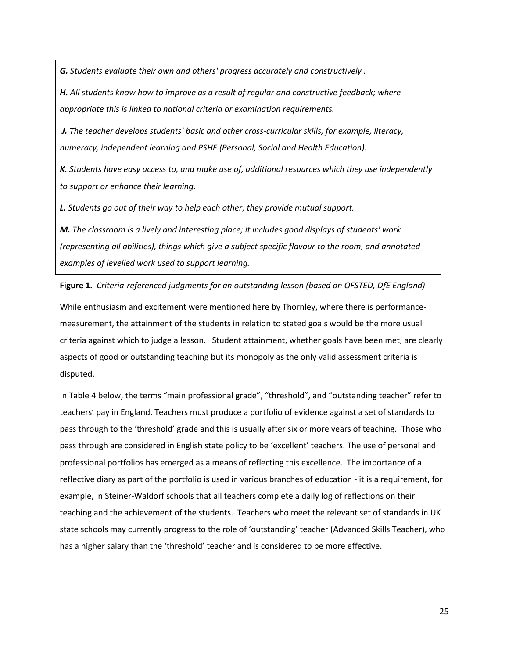*G. Students evaluate their own and others' progress accurately and constructively .* 

*H. All students know how to improve as a result of regular and constructive feedback; where appropriate this is linked to national criteria or examination requirements.*

*J. The teacher develops students' basic and other cross-curricular skills, for example, literacy, numeracy, independent learning and PSHE (Personal, Social and Health Education).* 

*K. Students have easy access to, and make use of, additional resources which they use independently to support or enhance their learning.* 

*L. Students go out of their way to help each other; they provide mutual support.* 

*M. The classroom is a lively and interesting place; it includes good displays of students' work (representing all abilities), things which give a subject specific flavour to the room, and annotated examples of levelled work used to support learning.* 

**Figure 1.** *Criteria-referenced judgments for an outstanding lesson (based on OFSTED, DfE England)*

While enthusiasm and excitement were mentioned here by Thornley, where there is performancemeasurement, the attainment of the students in relation to stated goals would be the more usual criteria against which to judge a lesson. Student attainment, whether goals have been met, are clearly aspects of good or outstanding teaching but its monopoly as the only valid assessment criteria is disputed.

In Table 4 below, the terms "main professional grade", "threshold", and "outstanding teacher" refer to teachers' pay in England. Teachers must produce a portfolio of evidence against a set of standards to pass through to the 'threshold' grade and this is usually after six or more years of teaching. Those who pass through are considered in English state policy to be 'excellent' teachers. The use of personal and professional portfolios has emerged as a means of reflecting this excellence. The importance of a reflective diary as part of the portfolio is used in various branches of education - it is a requirement, for example, in Steiner-Waldorf schools that all teachers complete a daily log of reflections on their teaching and the achievement of the students. Teachers who meet the relevant set of standards in UK state schools may currently progress to the role of 'outstanding' teacher (Advanced Skills Teacher), who has a higher salary than the 'threshold' teacher and is considered to be more effective.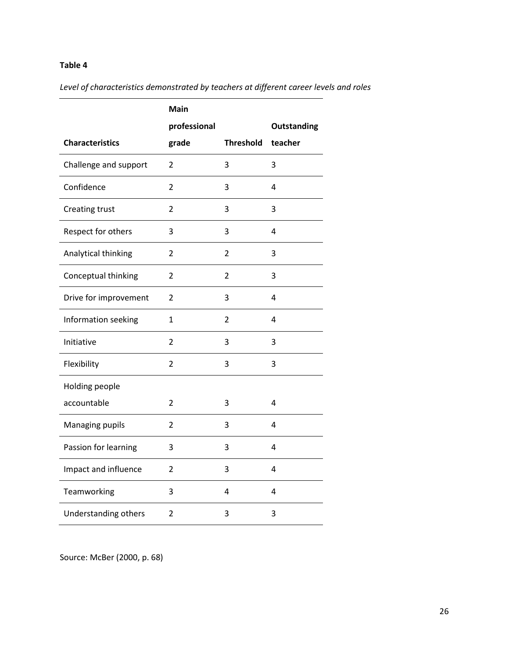## **Table 4**

*Level of characteristics demonstrated by teachers at different career levels and roles*

|                        | <b>Main</b>    |                  |                    |
|------------------------|----------------|------------------|--------------------|
|                        | professional   |                  | <b>Outstanding</b> |
| <b>Characteristics</b> | grade          | <b>Threshold</b> | teacher            |
| Challenge and support  | 2              | 3                | 3                  |
| Confidence             | 2              | 3                | 4                  |
| Creating trust         | 2              | 3                | 3                  |
| Respect for others     | 3              | 3                | 4                  |
| Analytical thinking    | 2              | 2                | 3                  |
| Conceptual thinking    | $\overline{2}$ | $\overline{2}$   | 3                  |
| Drive for improvement  | 2              | 3                | 4                  |
| Information seeking    | 1              | 2                | 4                  |
| Initiative             | 2              | 3                | 3                  |
| Flexibility            | $\overline{2}$ | 3                | 3                  |
| Holding people         |                |                  |                    |
| accountable            | 2              | 3                | 4                  |
| Managing pupils        | 2              | 3                | 4                  |
| Passion for learning   | 3              | 3                | 4                  |
| Impact and influence   | 2              | 3                | 4                  |
| Teamworking            | 3              | 4                | 4                  |
| Understanding others   | 2              | 3                | 3                  |

Source: McBer (2000, p. 68)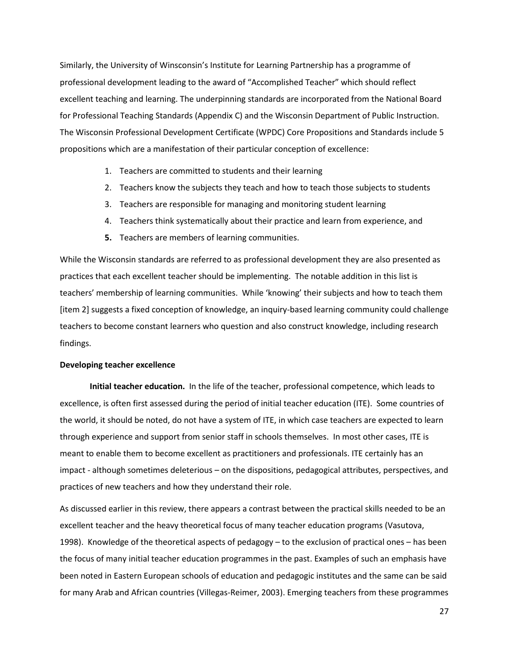Similarly, the University of Winsconsin's Institute for Learning Partnership has a programme of professional development leading to the award of "Accomplished Teacher" which should reflect excellent teaching and learning. The underpinning standards are incorporated from the National Board for Professional Teaching Standards (Appendix C) and the Wisconsin Department of Public Instruction. The Wisconsin Professional Development Certificate (WPDC) Core Propositions and Standards include 5 propositions which are a manifestation of their particular conception of excellence:

- 1. Teachers are committed to students and their learning
- 2. Teachers know the subjects they teach and how to teach those subjects to students
- 3. Teachers are responsible for managing and monitoring student learning
- 4. Teachers think systematically about their practice and learn from experience, and
- **5.** Teachers are members of learning communities.

While the Wisconsin standards are referred to as professional development they are also presented as practices that each excellent teacher should be implementing. The notable addition in this list is teachers' membership of learning communities. While 'knowing' their subjects and how to teach them [item 2] suggests a fixed conception of knowledge, an inquiry-based learning community could challenge teachers to become constant learners who question and also construct knowledge, including research findings.

## **Developing teacher excellence**

**Initial teacher education.** In the life of the teacher, professional competence, which leads to excellence, is often first assessed during the period of initial teacher education (ITE). Some countries of the world, it should be noted, do not have a system of ITE, in which case teachers are expected to learn through experience and support from senior staff in schools themselves. In most other cases, ITE is meant to enable them to become excellent as practitioners and professionals. ITE certainly has an impact - although sometimes deleterious – on the dispositions, pedagogical attributes, perspectives, and practices of new teachers and how they understand their role.

As discussed earlier in this review, there appears a contrast between the practical skills needed to be an excellent teacher and the heavy theoretical focus of many teacher education programs (Vasutova, 1998). Knowledge of the theoretical aspects of pedagogy – to the exclusion of practical ones – has been the focus of many initial teacher education programmes in the past. Examples of such an emphasis have been noted in Eastern European schools of education and pedagogic institutes and the same can be said for many Arab and African countries (Villegas-Reimer, 2003). Emerging teachers from these programmes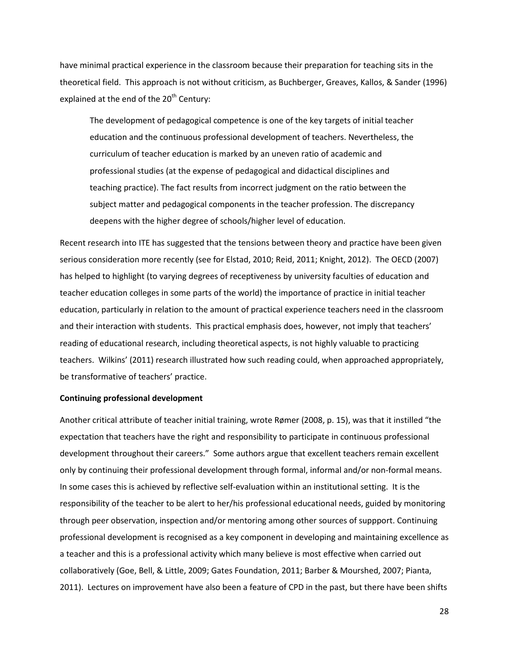have minimal practical experience in the classroom because their preparation for teaching sits in the theoretical field. This approach is not without criticism, as Buchberger, Greaves, Kallos, & Sander (1996) explained at the end of the  $20<sup>th</sup>$  Century:

The development of pedagogical competence is one of the key targets of initial teacher education and the continuous professional development of teachers. Nevertheless, the curriculum of teacher education is marked by an uneven ratio of academic and professional studies (at the expense of pedagogical and didactical disciplines and teaching practice). The fact results from incorrect judgment on the ratio between the subject matter and pedagogical components in the teacher profession. The discrepancy deepens with the higher degree of schools/higher level of education.

Recent research into ITE has suggested that the tensions between theory and practice have been given serious consideration more recently (see for Elstad, 2010; Reid, 2011; Knight, 2012). The OECD (2007) has helped to highlight (to varying degrees of receptiveness by university faculties of education and teacher education colleges in some parts of the world) the importance of practice in initial teacher education, particularly in relation to the amount of practical experience teachers need in the classroom and their interaction with students. This practical emphasis does, however, not imply that teachers' reading of educational research, including theoretical aspects, is not highly valuable to practicing teachers. Wilkins' (2011) research illustrated how such reading could, when approached appropriately, be transformative of teachers' practice.

#### **Continuing professional development**

Another critical attribute of teacher initial training, wrote Rømer (2008, p. 15), was that it instilled "the expectation that teachers have the right and responsibility to participate in continuous professional development throughout their careers." Some authors argue that excellent teachers remain excellent only by continuing their professional development through formal, informal and/or non-formal means. In some cases this is achieved by reflective self-evaluation within an institutional setting. It is the responsibility of the teacher to be alert to her/his professional educational needs, guided by monitoring through peer observation, inspection and/or mentoring among other sources of suppport. Continuing professional development is recognised as a key component in developing and maintaining excellence as a teacher and this is a professional activity which many believe is most effective when carried out collaboratively (Goe, Bell, & Little, 2009; Gates Foundation, 2011; Barber & Mourshed, 2007; Pianta, 2011). Lectures on improvement have also been a feature of CPD in the past, but there have been shifts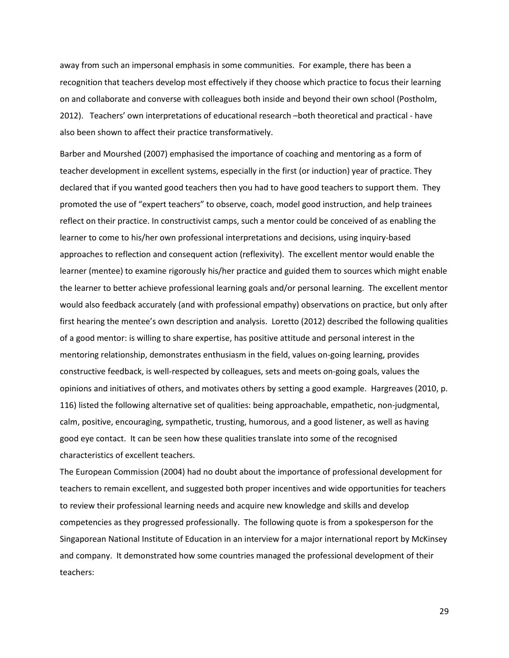away from such an impersonal emphasis in some communities. For example, there has been a recognition that teachers develop most effectively if they choose which practice to focus their learning on and collaborate and converse with colleagues both inside and beyond their own school (Postholm, 2012). Teachers' own interpretations of educational research –both theoretical and practical - have also been shown to affect their practice transformatively.

Barber and Mourshed (2007) emphasised the importance of coaching and mentoring as a form of teacher development in excellent systems, especially in the first (or induction) year of practice. They declared that if you wanted good teachers then you had to have good teachers to support them. They promoted the use of "expert teachers" to observe, coach, model good instruction, and help trainees reflect on their practice. In constructivist camps, such a mentor could be conceived of as enabling the learner to come to his/her own professional interpretations and decisions, using inquiry-based approaches to reflection and consequent action (reflexivity). The excellent mentor would enable the learner (mentee) to examine rigorously his/her practice and guided them to sources which might enable the learner to better achieve professional learning goals and/or personal learning. The excellent mentor would also feedback accurately (and with professional empathy) observations on practice, but only after first hearing the mentee's own description and analysis. Loretto (2012) described the following qualities of a good mentor: is willing to share expertise, has positive attitude and personal interest in the mentoring relationship, demonstrates enthusiasm in the field, values on-going learning, provides constructive feedback, is well-respected by colleagues, sets and meets on-going goals, values the opinions and initiatives of others, and motivates others by setting a good example. Hargreaves (2010, p. 116) listed the following alternative set of qualities: being approachable, empathetic, non-judgmental, calm, positive, encouraging, sympathetic, trusting, humorous, and a good listener, as well as having good eye contact. It can be seen how these qualities translate into some of the recognised characteristics of excellent teachers.

The European Commission (2004) had no doubt about the importance of professional development for teachers to remain excellent, and suggested both proper incentives and wide opportunities for teachers to review their professional learning needs and acquire new knowledge and skills and develop competencies as they progressed professionally. The following quote is from a spokesperson for the Singaporean National Institute of Education in an interview for a major international report by McKinsey and company. It demonstrated how some countries managed the professional development of their teachers: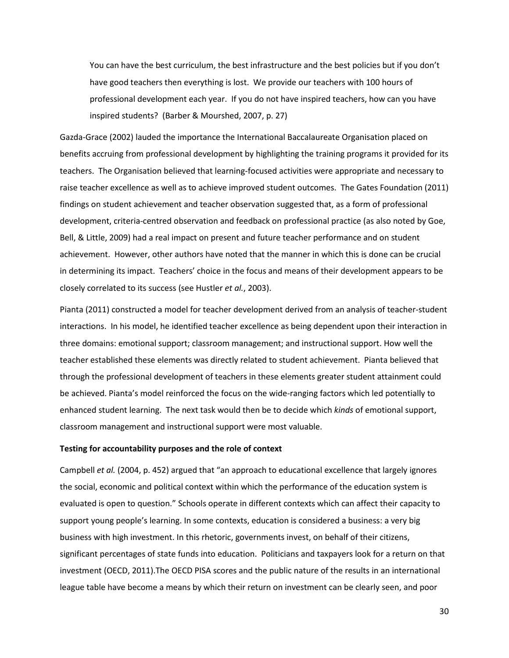You can have the best curriculum, the best infrastructure and the best policies but if you don't have good teachers then everything is lost. We provide our teachers with 100 hours of professional development each year. If you do not have inspired teachers, how can you have inspired students? (Barber & Mourshed, 2007, p. 27)

Gazda-Grace (2002) lauded the importance the International Baccalaureate Organisation placed on benefits accruing from professional development by highlighting the training programs it provided for its teachers. The Organisation believed that learning-focused activities were appropriate and necessary to raise teacher excellence as well as to achieve improved student outcomes. The Gates Foundation (2011) findings on student achievement and teacher observation suggested that, as a form of professional development, criteria-centred observation and feedback on professional practice (as also noted by Goe, Bell, & Little, 2009) had a real impact on present and future teacher performance and on student achievement. However, other authors have noted that the manner in which this is done can be crucial in determining its impact. Teachers' choice in the focus and means of their development appears to be closely correlated to its success (see Hustler *et al.*, 2003).

Pianta (2011) constructed a model for teacher development derived from an analysis of teacher-student interactions. In his model, he identified teacher excellence as being dependent upon their interaction in three domains: emotional support; classroom management; and instructional support. How well the teacher established these elements was directly related to student achievement. Pianta believed that through the professional development of teachers in these elements greater student attainment could be achieved. Pianta's model reinforced the focus on the wide-ranging factors which led potentially to enhanced student learning. The next task would then be to decide which *kinds* of emotional support, classroom management and instructional support were most valuable.

#### **Testing for accountability purposes and the role of context**

Campbell *et al.* (2004, p. 452) argued that "an approach to educational excellence that largely ignores the social, economic and political context within which the performance of the education system is evaluated is open to question." Schools operate in different contexts which can affect their capacity to support young people's learning. In some contexts, education is considered a business: a very big business with high investment. In this rhetoric, governments invest, on behalf of their citizens, significant percentages of state funds into education. Politicians and taxpayers look for a return on that investment (OECD, 2011).The OECD PISA scores and the public nature of the results in an international league table have become a means by which their return on investment can be clearly seen, and poor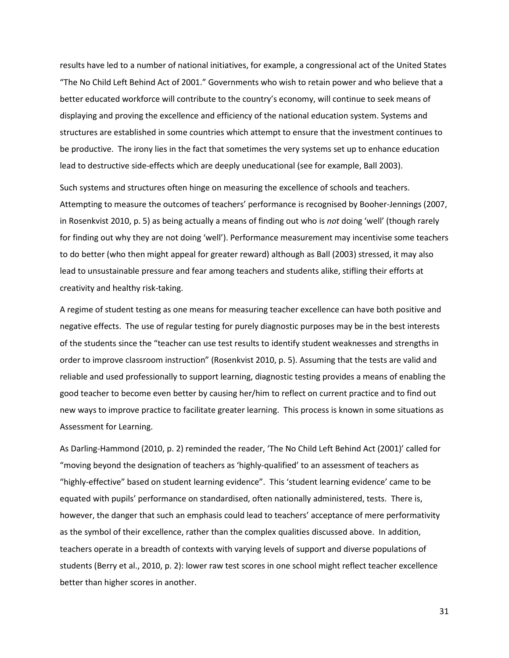results have led to a number of national initiatives, for example, a congressional act of the United States "The No Child Left Behind Act of 2001." Governments who wish to retain power and who believe that a better educated workforce will contribute to the country's economy, will continue to seek means of displaying and proving the excellence and efficiency of the national education system. Systems and structures are established in some countries which attempt to ensure that the investment continues to be productive. The irony lies in the fact that sometimes the very systems set up to enhance education lead to destructive side-effects which are deeply uneducational (see for example, Ball 2003).

Such systems and structures often hinge on measuring the excellence of schools and teachers. Attempting to measure the outcomes of teachers' performance is recognised by Booher-Jennings (2007, in Rosenkvist 2010, p. 5) as being actually a means of finding out who is *not* doing 'well' (though rarely for finding out why they are not doing 'well'). Performance measurement may incentivise some teachers to do better (who then might appeal for greater reward) although as Ball (2003) stressed, it may also lead to unsustainable pressure and fear among teachers and students alike, stifling their efforts at creativity and healthy risk-taking.

A regime of student testing as one means for measuring teacher excellence can have both positive and negative effects. The use of regular testing for purely diagnostic purposes may be in the best interests of the students since the "teacher can use test results to identify student weaknesses and strengths in order to improve classroom instruction" (Rosenkvist 2010, p. 5). Assuming that the tests are valid and reliable and used professionally to support learning, diagnostic testing provides a means of enabling the good teacher to become even better by causing her/him to reflect on current practice and to find out new ways to improve practice to facilitate greater learning. This process is known in some situations as Assessment for Learning.

As Darling-Hammond (2010, p. 2) reminded the reader, 'The No Child Left Behind Act (2001)' called for "moving beyond the designation of teachers as 'highly-qualified' to an assessment of teachers as "highly-effective" based on student learning evidence". This 'student learning evidence' came to be equated with pupils' performance on standardised, often nationally administered, tests. There is, however, the danger that such an emphasis could lead to teachers' acceptance of mere performativity as the symbol of their excellence, rather than the complex qualities discussed above. In addition, teachers operate in a breadth of contexts with varying levels of support and diverse populations of students (Berry et al., 2010, p. 2): lower raw test scores in one school might reflect teacher excellence better than higher scores in another.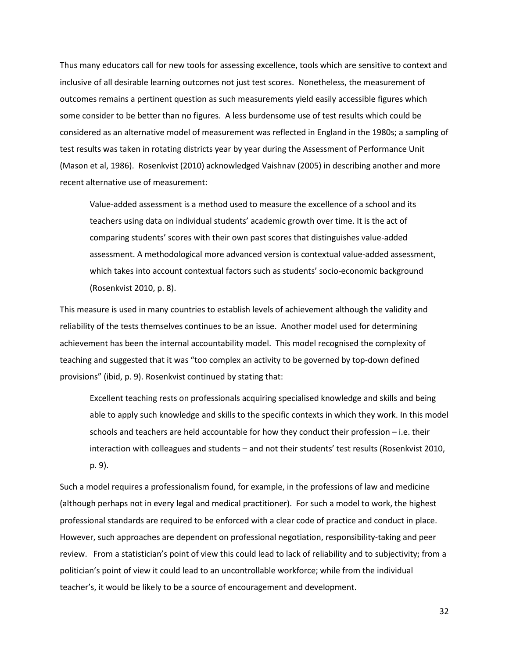Thus many educators call for new tools for assessing excellence, tools which are sensitive to context and inclusive of all desirable learning outcomes not just test scores. Nonetheless, the measurement of outcomes remains a pertinent question as such measurements yield easily accessible figures which some consider to be better than no figures. A less burdensome use of test results which could be considered as an alternative model of measurement was reflected in England in the 1980s; a sampling of test results was taken in rotating districts year by year during the Assessment of Performance Unit (Mason et al, 1986). Rosenkvist (2010) acknowledged Vaishnav (2005) in describing another and more recent alternative use of measurement:

Value-added assessment is a method used to measure the excellence of a school and its teachers using data on individual students' academic growth over time. It is the act of comparing students' scores with their own past scores that distinguishes value-added assessment. A methodological more advanced version is contextual value-added assessment, which takes into account contextual factors such as students' socio-economic background (Rosenkvist 2010, p. 8).

This measure is used in many countries to establish levels of achievement although the validity and reliability of the tests themselves continues to be an issue. Another model used for determining achievement has been the internal accountability model. This model recognised the complexity of teaching and suggested that it was "too complex an activity to be governed by top-down defined provisions" (ibid, p. 9). Rosenkvist continued by stating that:

Excellent teaching rests on professionals acquiring specialised knowledge and skills and being able to apply such knowledge and skills to the specific contexts in which they work. In this model schools and teachers are held accountable for how they conduct their profession – i.e. their interaction with colleagues and students – and not their students' test results (Rosenkvist 2010, p. 9).

Such a model requires a professionalism found, for example, in the professions of law and medicine (although perhaps not in every legal and medical practitioner). For such a model to work, the highest professional standards are required to be enforced with a clear code of practice and conduct in place. However, such approaches are dependent on professional negotiation, responsibility-taking and peer review. From a statistician's point of view this could lead to lack of reliability and to subjectivity; from a politician's point of view it could lead to an uncontrollable workforce; while from the individual teacher's, it would be likely to be a source of encouragement and development.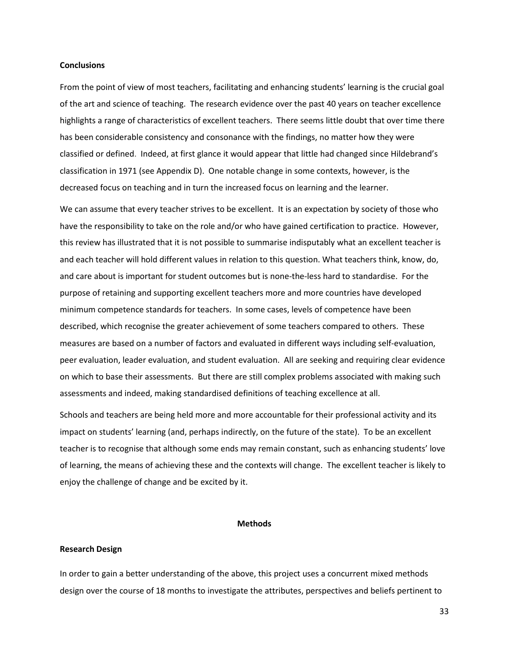## **Conclusions**

From the point of view of most teachers, facilitating and enhancing students' learning is the crucial goal of the art and science of teaching. The research evidence over the past 40 years on teacher excellence highlights a range of characteristics of excellent teachers. There seems little doubt that over time there has been considerable consistency and consonance with the findings, no matter how they were classified or defined. Indeed, at first glance it would appear that little had changed since Hildebrand's classification in 1971 (see Appendix D). One notable change in some contexts, however, is the decreased focus on teaching and in turn the increased focus on learning and the learner.

We can assume that every teacher strives to be excellent. It is an expectation by society of those who have the responsibility to take on the role and/or who have gained certification to practice. However, this review has illustrated that it is not possible to summarise indisputably what an excellent teacher is and each teacher will hold different values in relation to this question. What teachers think, know, do, and care about is important for student outcomes but is none-the-less hard to standardise. For the purpose of retaining and supporting excellent teachers more and more countries have developed minimum competence standards for teachers. In some cases, levels of competence have been described, which recognise the greater achievement of some teachers compared to others. These measures are based on a number of factors and evaluated in different ways including self-evaluation, peer evaluation, leader evaluation, and student evaluation. All are seeking and requiring clear evidence on which to base their assessments. But there are still complex problems associated with making such assessments and indeed, making standardised definitions of teaching excellence at all.

Schools and teachers are being held more and more accountable for their professional activity and its impact on students' learning (and, perhaps indirectly, on the future of the state). To be an excellent teacher is to recognise that although some ends may remain constant, such as enhancing students' love of learning, the means of achieving these and the contexts will change. The excellent teacher is likely to enjoy the challenge of change and be excited by it.

#### **Methods**

## **Research Design**

In order to gain a better understanding of the above, this project uses a concurrent mixed methods design over the course of 18 months to investigate the attributes, perspectives and beliefs pertinent to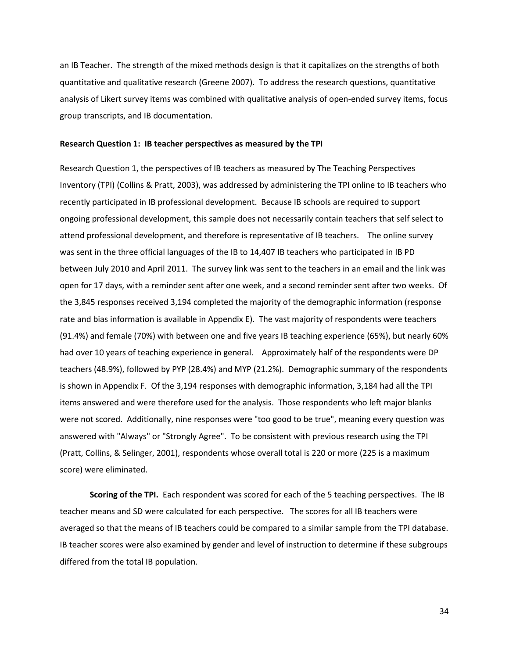an IB Teacher. The strength of the mixed methods design is that it capitalizes on the strengths of both quantitative and qualitative research (Greene 2007). To address the research questions, quantitative analysis of Likert survey items was combined with qualitative analysis of open-ended survey items, focus group transcripts, and IB documentation.

#### **Research Question 1: IB teacher perspectives as measured by the TPI**

Research Question 1, the perspectives of IB teachers as measured by The Teaching Perspectives Inventory (TPI) (Collins & Pratt, 2003), was addressed by administering the TPI online to IB teachers who recently participated in IB professional development. Because IB schools are required to support ongoing professional development, this sample does not necessarily contain teachers that self select to attend professional development, and therefore is representative of IB teachers. The online survey was sent in the three official languages of the IB to 14,407 IB teachers who participated in IB PD between July 2010 and April 2011. The survey link was sent to the teachers in an email and the link was open for 17 days, with a reminder sent after one week, and a second reminder sent after two weeks. Of the 3,845 responses received 3,194 completed the majority of the demographic information (response rate and bias information is available in Appendix E). The vast majority of respondents were teachers (91.4%) and female (70%) with between one and five years IB teaching experience (65%), but nearly 60% had over 10 years of teaching experience in general. Approximately half of the respondents were DP teachers (48.9%), followed by PYP (28.4%) and MYP (21.2%). Demographic summary of the respondents is shown in Appendix F. Of the 3,194 responses with demographic information, 3,184 had all the TPI items answered and were therefore used for the analysis. Those respondents who left major blanks were not scored. Additionally, nine responses were "too good to be true", meaning every question was answered with "Always" or "Strongly Agree". To be consistent with previous research using the TPI (Pratt, Collins, & Selinger, 2001), respondents whose overall total is 220 or more (225 is a maximum score) were eliminated.

**Scoring of the TPI.** Each respondent was scored for each of the 5 teaching perspectives. The IB teacher means and SD were calculated for each perspective. The scores for all IB teachers were averaged so that the means of IB teachers could be compared to a similar sample from the TPI database. IB teacher scores were also examined by gender and level of instruction to determine if these subgroups differed from the total IB population.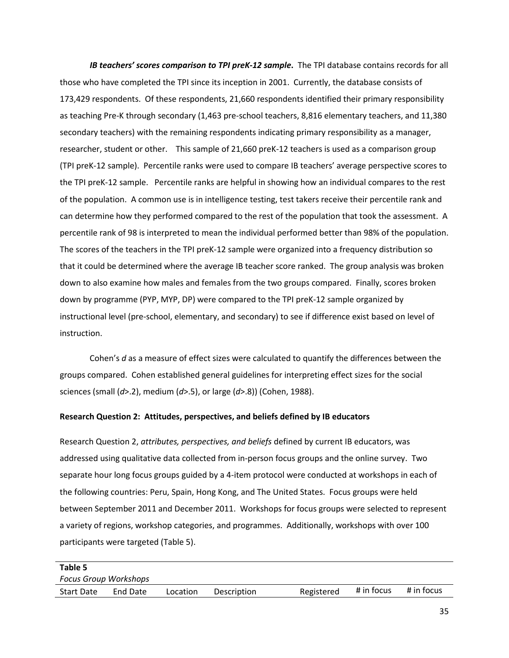*IB teachers' scores comparison to TPI preK-12 sample*. The TPI database contains records for all those who have completed the TPI since its inception in 2001. Currently, the database consists of 173,429 respondents. Of these respondents, 21,660 respondents identified their primary responsibility as teaching Pre-K through secondary (1,463 pre-school teachers, 8,816 elementary teachers, and 11,380 secondary teachers) with the remaining respondents indicating primary responsibility as a manager, researcher, student or other. This sample of 21,660 preK-12 teachers is used as a comparison group (TPI preK-12 sample). Percentile ranks were used to compare IB teachers' average perspective scores to the TPI preK-12 sample. Percentile ranks are helpful in showing how an individual compares to the rest of the population. A common use is in intelligence testing, test takers receive their percentile rank and can determine how they performed compared to the rest of the population that took the assessment. A percentile rank of 98 is interpreted to mean the individual performed better than 98% of the population. The scores of the teachers in the TPI preK-12 sample were organized into a frequency distribution so that it could be determined where the average IB teacher score ranked. The group analysis was broken down to also examine how males and females from the two groups compared. Finally, scores broken down by programme (PYP, MYP, DP) were compared to the TPI preK-12 sample organized by instructional level (pre-school, elementary, and secondary) to see if difference exist based on level of instruction.

Cohen's *d* as a measure of effect sizes were calculated to quantify the differences between the groups compared. Cohen established general guidelines for interpreting effect sizes for the social sciences (small (*d*>.2), medium (*d*>.5), or large (*d*>.8)) (Cohen, 1988).

## **Research Question 2: Attitudes, perspectives, and beliefs defined by IB educators**

Research Question 2, *attributes, perspectives, and beliefs* defined by current IB educators, was addressed using qualitative data collected from in-person focus groups and the online survey. Two separate hour long focus groups guided by a 4-item protocol were conducted at workshops in each of the following countries: Peru, Spain, Hong Kong, and The United States. Focus groups were held between September 2011 and December 2011. Workshops for focus groups were selected to represent a variety of regions, workshop categories, and programmes. Additionally, workshops with over 100 participants were targeted (Table 5).

| Table 5                      |          |          |             |            |            |            |
|------------------------------|----------|----------|-------------|------------|------------|------------|
| <b>Focus Group Workshops</b> |          |          |             |            |            |            |
| <b>Start Date</b>            | End Date | Location | Description | Registered | # in focus | # in focus |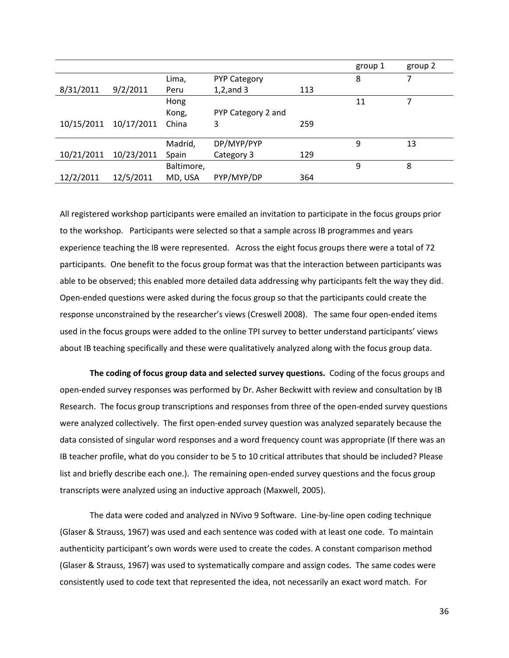|            |            |            |                     |     | group 1 | group 2 |
|------------|------------|------------|---------------------|-----|---------|---------|
|            |            | Lima,      | <b>PYP Category</b> |     | 8       | 7       |
| 8/31/2011  | 9/2/2011   | Peru       | $1,2$ , and 3       | 113 |         |         |
|            |            | Hong       |                     |     | 11      |         |
|            |            | Kong,      | PYP Category 2 and  |     |         |         |
| 10/15/2011 | 10/17/2011 | China      | 3                   | 259 |         |         |
|            |            |            |                     |     |         |         |
|            |            | Madrid,    | DP/MYP/PYP          |     | 9       | 13      |
| 10/21/2011 | 10/23/2011 | Spain      | Category 3          | 129 |         |         |
|            |            | Baltimore, |                     |     | 9       | 8       |
| 12/2/2011  | 12/5/2011  | MD, USA    | PYP/MYP/DP          | 364 |         |         |

All registered workshop participants were emailed an invitation to participate in the focus groups prior to the workshop. Participants were selected so that a sample across IB programmes and years experience teaching the IB were represented. Across the eight focus groups there were a total of 72 participants. One benefit to the focus group format was that the interaction between participants was able to be observed; this enabled more detailed data addressing why participants felt the way they did. Open-ended questions were asked during the focus group so that the participants could create the response unconstrained by the researcher's views (Creswell 2008). The same four open-ended items used in the focus groups were added to the online TPI survey to better understand participants' views about IB teaching specifically and these were qualitatively analyzed along with the focus group data.

**The coding of focus group data and selected survey questions.** Coding of the focus groups and open-ended survey responses was performed by Dr. Asher Beckwitt with review and consultation by IB Research. The focus group transcriptions and responses from three of the open-ended survey questions were analyzed collectively. The first open-ended survey question was analyzed separately because the data consisted of singular word responses and a word frequency count was appropriate (If there was an IB teacher profile, what do you consider to be 5 to 10 critical attributes that should be included? Please list and briefly describe each one.). The remaining open-ended survey questions and the focus group transcripts were analyzed using an inductive approach (Maxwell, 2005).

The data were coded and analyzed in NVivo 9 Software. Line-by-line open coding technique (Glaser & Strauss, 1967) was used and each sentence was coded with at least one code. To maintain authenticity participant's own words were used to create the codes. A constant comparison method (Glaser & Strauss, 1967) was used to systematically compare and assign codes. The same codes were consistently used to code text that represented the idea, not necessarily an exact word match. For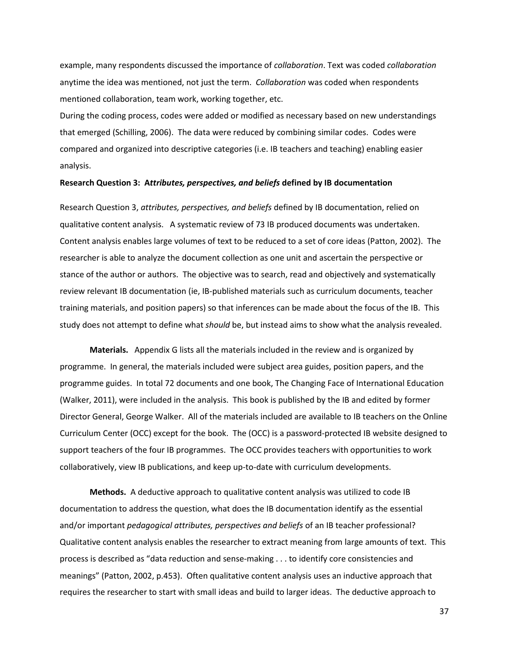example, many respondents discussed the importance of *collaboration*. Text was coded *collaboration* anytime the idea was mentioned, not just the term. *Collaboration* was coded when respondents mentioned collaboration, team work, working together, etc.

During the coding process, codes were added or modified as necessary based on new understandings that emerged (Schilling, 2006). The data were reduced by combining similar codes. Codes were compared and organized into descriptive categories (i.e. IB teachers and teaching) enabling easier analysis.

### **Research Question 3: A***ttributes, perspectives, and beliefs* **defined by IB documentation**

Research Question 3, *attributes, perspectives, and beliefs* defined by IB documentation, relied on qualitative content analysis. A systematic review of 73 IB produced documents was undertaken. Content analysis enables large volumes of text to be reduced to a set of core ideas (Patton, 2002). The researcher is able to analyze the document collection as one unit and ascertain the perspective or stance of the author or authors. The objective was to search, read and objectively and systematically review relevant IB documentation (ie, IB-published materials such as curriculum documents, teacher training materials, and position papers) so that inferences can be made about the focus of the IB. This study does not attempt to define what *should* be, but instead aims to show what the analysis revealed.

**Materials.** Appendix G lists all the materials included in the review and is organized by programme. In general, the materials included were subject area guides, position papers, and the programme guides. In total 72 documents and one book, The Changing Face of International Education (Walker, 2011), were included in the analysis. This book is published by the IB and edited by former Director General, George Walker. All of the materials included are available to IB teachers on the Online Curriculum Center (OCC) except for the book. The (OCC) is a password-protected IB website designed to support teachers of the four IB programmes. The OCC provides teachers with opportunities to work collaboratively, view IB publications, and keep up-to-date with curriculum developments.

**Methods.** A deductive approach to qualitative content analysis was utilized to code IB documentation to address the question, what does the IB documentation identify as the essential and/or important *pedagogical attributes, perspectives and beliefs* of an IB teacher professional? Qualitative content analysis enables the researcher to extract meaning from large amounts of text. This process is described as "data reduction and sense-making . . . to identify core consistencies and meanings" (Patton, 2002, p.453). Often qualitative content analysis uses an inductive approach that requires the researcher to start with small ideas and build to larger ideas. The deductive approach to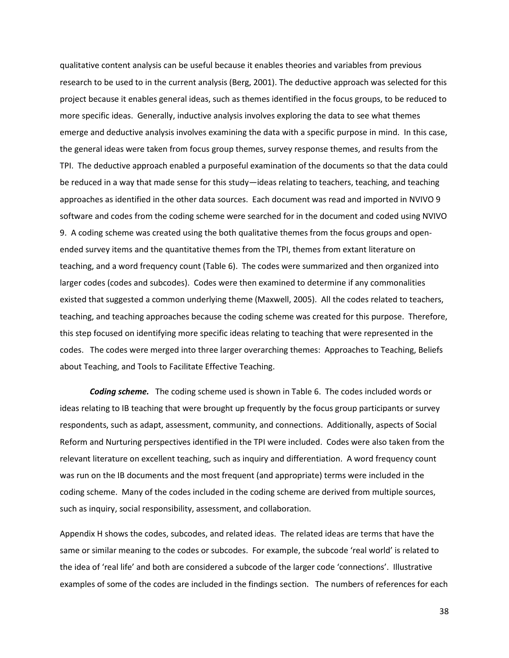qualitative content analysis can be useful because it enables theories and variables from previous research to be used to in the current analysis (Berg, 2001). The deductive approach was selected for this project because it enables general ideas, such as themes identified in the focus groups, to be reduced to more specific ideas. Generally, inductive analysis involves exploring the data to see what themes emerge and deductive analysis involves examining the data with a specific purpose in mind. In this case, the general ideas were taken from focus group themes, survey response themes, and results from the TPI. The deductive approach enabled a purposeful examination of the documents so that the data could be reduced in a way that made sense for this study—ideas relating to teachers, teaching, and teaching approaches as identified in the other data sources. Each document was read and imported in NVIVO 9 software and codes from the coding scheme were searched for in the document and coded using NVIVO 9. A coding scheme was created using the both qualitative themes from the focus groups and openended survey items and the quantitative themes from the TPI, themes from extant literature on teaching, and a word frequency count (Table 6). The codes were summarized and then organized into larger codes (codes and subcodes). Codes were then examined to determine if any commonalities existed that suggested a common underlying theme (Maxwell, 2005). All the codes related to teachers, teaching, and teaching approaches because the coding scheme was created for this purpose. Therefore, this step focused on identifying more specific ideas relating to teaching that were represented in the codes. The codes were merged into three larger overarching themes: Approaches to Teaching, Beliefs about Teaching, and Tools to Facilitate Effective Teaching.

*Coding scheme.* The coding scheme used is shown in Table 6. The codes included words or ideas relating to IB teaching that were brought up frequently by the focus group participants or survey respondents, such as adapt, assessment, community, and connections. Additionally, aspects of Social Reform and Nurturing perspectives identified in the TPI were included. Codes were also taken from the relevant literature on excellent teaching, such as inquiry and differentiation. A word frequency count was run on the IB documents and the most frequent (and appropriate) terms were included in the coding scheme. Many of the codes included in the coding scheme are derived from multiple sources, such as inquiry, social responsibility, assessment, and collaboration.

Appendix H shows the codes, subcodes, and related ideas. The related ideas are terms that have the same or similar meaning to the codes or subcodes. For example, the subcode 'real world' is related to the idea of 'real life' and both are considered a subcode of the larger code 'connections'. Illustrative examples of some of the codes are included in the findings section. The numbers of references for each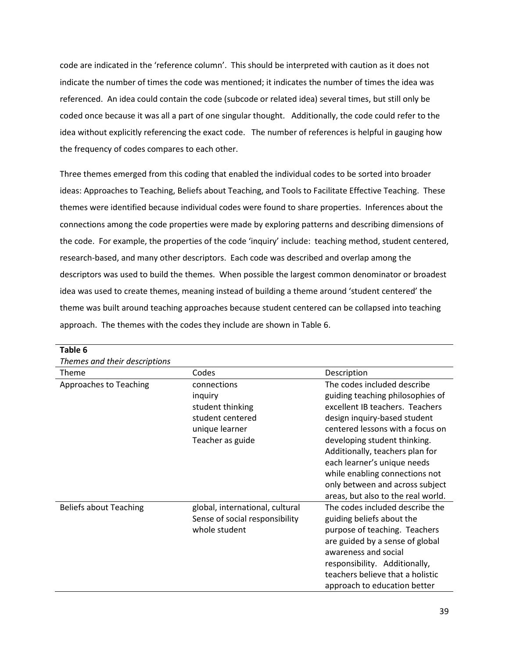code are indicated in the 'reference column'. This should be interpreted with caution as it does not indicate the number of times the code was mentioned; it indicates the number of times the idea was referenced. An idea could contain the code (subcode or related idea) several times, but still only be coded once because it was all a part of one singular thought. Additionally, the code could refer to the idea without explicitly referencing the exact code. The number of references is helpful in gauging how the frequency of codes compares to each other.

Three themes emerged from this coding that enabled the individual codes to be sorted into broader ideas: Approaches to Teaching, Beliefs about Teaching, and Tools to Facilitate Effective Teaching. These themes were identified because individual codes were found to share properties. Inferences about the connections among the code properties were made by exploring patterns and describing dimensions of the code. For example, the properties of the code 'inquiry' include: teaching method, student centered, research-based, and many other descriptors. Each code was described and overlap among the descriptors was used to build the themes. When possible the largest common denominator or broadest idea was used to create themes, meaning instead of building a theme around 'student centered' the theme was built around teaching approaches because student centered can be collapsed into teaching approach. The themes with the codes they include are shown in Table 6.

| Table 6                       |                                 |                                    |
|-------------------------------|---------------------------------|------------------------------------|
| Themes and their descriptions |                                 |                                    |
| Theme                         | Codes                           | Description                        |
| Approaches to Teaching        | connections                     | The codes included describe        |
|                               | inquiry                         | guiding teaching philosophies of   |
|                               | student thinking                | excellent IB teachers. Teachers    |
|                               | student centered                | design inquiry-based student       |
|                               | unique learner                  | centered lessons with a focus on   |
|                               | Teacher as guide                | developing student thinking.       |
|                               |                                 | Additionally, teachers plan for    |
|                               |                                 | each learner's unique needs        |
|                               |                                 | while enabling connections not     |
|                               |                                 | only between and across subject    |
|                               |                                 | areas, but also to the real world. |
| <b>Beliefs about Teaching</b> | global, international, cultural | The codes included describe the    |
|                               | Sense of social responsibility  | guiding beliefs about the          |
|                               | whole student                   | purpose of teaching. Teachers      |
|                               |                                 | are guided by a sense of global    |
|                               |                                 | awareness and social               |
|                               |                                 | responsibility. Additionally,      |
|                               |                                 | teachers believe that a holistic   |
|                               |                                 | approach to education better       |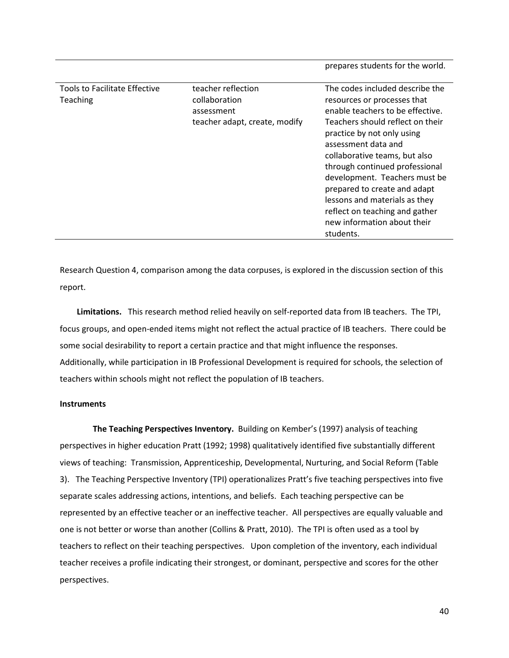| Tools to Facilitate Effective | teacher reflection            | The codes included describe the  |
|-------------------------------|-------------------------------|----------------------------------|
| <b>Teaching</b>               | collaboration                 | resources or processes that      |
|                               | assessment                    | enable teachers to be effective. |
|                               | teacher adapt, create, modify | Teachers should reflect on their |
|                               |                               | practice by not only using       |
|                               |                               | assessment data and              |
|                               |                               | collaborative teams, but also    |
|                               |                               | through continued professional   |
|                               |                               | development. Teachers must be    |
|                               |                               | prepared to create and adapt     |
|                               |                               | lessons and materials as they    |
|                               |                               | reflect on teaching and gather   |
|                               |                               | new information about their      |
|                               |                               | students.                        |

prepares students for the world.

Research Question 4, comparison among the data corpuses, is explored in the discussion section of this report.

**Limitations.** This research method relied heavily on self-reported data from IB teachers. The TPI, focus groups, and open-ended items might not reflect the actual practice of IB teachers. There could be some social desirability to report a certain practice and that might influence the responses. Additionally, while participation in IB Professional Development is required for schools, the selection of teachers within schools might not reflect the population of IB teachers.

### **Instruments**

**The Teaching Perspectives Inventory.** Building on Kember's (1997) analysis of teaching perspectives in higher education Pratt (1992; 1998) qualitatively identified five substantially different views of teaching: Transmission, Apprenticeship, Developmental, Nurturing, and Social Reform (Table 3). The Teaching Perspective Inventory (TPI) operationalizes Pratt's five teaching perspectives into five separate scales addressing actions, intentions, and beliefs. Each teaching perspective can be represented by an effective teacher or an ineffective teacher. All perspectives are equally valuable and one is not better or worse than another (Collins & Pratt, 2010). The TPI is often used as a tool by teachers to reflect on their teaching perspectives. Upon completion of the inventory, each individual teacher receives a profile indicating their strongest, or dominant, perspective and scores for the other perspectives.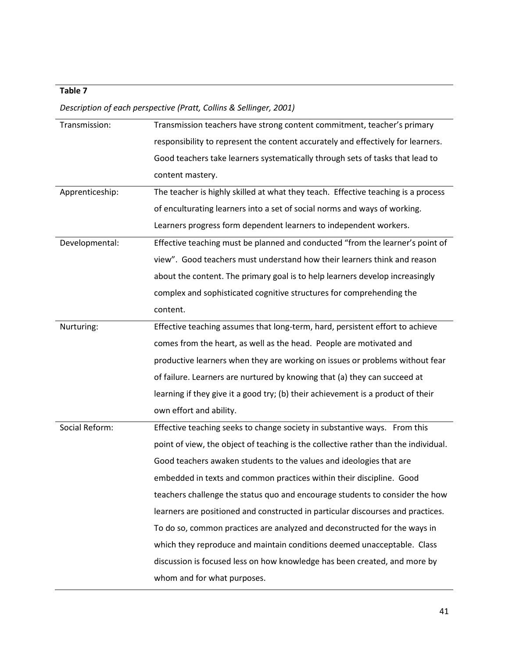# **Table 7**

*Description of each perspective (Pratt, Collins & Sellinger, 2001)*

| Transmission:   | Transmission teachers have strong content commitment, teacher's primary             |
|-----------------|-------------------------------------------------------------------------------------|
|                 | responsibility to represent the content accurately and effectively for learners.    |
|                 | Good teachers take learners systematically through sets of tasks that lead to       |
|                 | content mastery.                                                                    |
| Apprenticeship: | The teacher is highly skilled at what they teach. Effective teaching is a process   |
|                 | of enculturating learners into a set of social norms and ways of working.           |
|                 | Learners progress form dependent learners to independent workers.                   |
| Developmental:  | Effective teaching must be planned and conducted "from the learner's point of       |
|                 | view". Good teachers must understand how their learners think and reason            |
|                 | about the content. The primary goal is to help learners develop increasingly        |
|                 | complex and sophisticated cognitive structures for comprehending the                |
|                 | content.                                                                            |
| Nurturing:      | Effective teaching assumes that long-term, hard, persistent effort to achieve       |
|                 | comes from the heart, as well as the head. People are motivated and                 |
|                 | productive learners when they are working on issues or problems without fear        |
|                 | of failure. Learners are nurtured by knowing that (a) they can succeed at           |
|                 | learning if they give it a good try; (b) their achievement is a product of their    |
|                 | own effort and ability.                                                             |
| Social Reform:  | Effective teaching seeks to change society in substantive ways. From this           |
|                 | point of view, the object of teaching is the collective rather than the individual. |
|                 | Good teachers awaken students to the values and ideologies that are                 |
|                 | embedded in texts and common practices within their discipline. Good                |
|                 | teachers challenge the status quo and encourage students to consider the how        |
|                 | learners are positioned and constructed in particular discourses and practices.     |
|                 | To do so, common practices are analyzed and deconstructed for the ways in           |
|                 | which they reproduce and maintain conditions deemed unacceptable. Class             |
|                 | discussion is focused less on how knowledge has been created, and more by           |
|                 | whom and for what purposes.                                                         |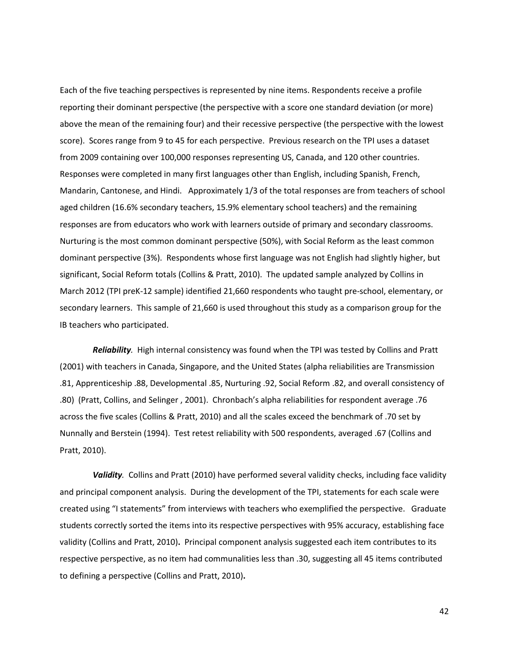Each of the five teaching perspectives is represented by nine items. Respondents receive a profile reporting their dominant perspective (the perspective with a score one standard deviation (or more) above the mean of the remaining four) and their recessive perspective (the perspective with the lowest score). Scores range from 9 to 45 for each perspective. Previous research on the TPI uses a dataset from 2009 containing over 100,000 responses representing US, Canada, and 120 other countries. Responses were completed in many first languages other than English, including Spanish, French, Mandarin, Cantonese, and Hindi. Approximately 1/3 of the total responses are from teachers of school aged children (16.6% secondary teachers, 15.9% elementary school teachers) and the remaining responses are from educators who work with learners outside of primary and secondary classrooms. Nurturing is the most common dominant perspective (50%), with Social Reform as the least common dominant perspective (3%). Respondents whose first language was not English had slightly higher, but significant, Social Reform totals (Collins & Pratt, 2010). The updated sample analyzed by Collins in March 2012 (TPI preK-12 sample) identified 21,660 respondents who taught pre-school, elementary, or secondary learners. This sample of 21,660 is used throughout this study as a comparison group for the IB teachers who participated.

*Reliability.* High internal consistency was found when the TPI was tested by Collins and Pratt (2001) with teachers in Canada, Singapore, and the United States (alpha reliabilities are Transmission .81, Apprenticeship .88, Developmental .85, Nurturing .92, Social Reform .82, and overall consistency of .80) (Pratt, Collins, and Selinger , 2001). Chronbach's alpha reliabilities for respondent average .76 across the five scales (Collins & Pratt, 2010) and all the scales exceed the benchmark of .70 set by Nunnally and Berstein (1994). Test retest reliability with 500 respondents, averaged .67 (Collins and Pratt, 2010).

*Validity.*Collins and Pratt (2010) have performed several validity checks, including face validity and principal component analysis. During the development of the TPI, statements for each scale were created using "I statements" from interviews with teachers who exemplified the perspective. Graduate students correctly sorted the items into its respective perspectives with 95% accuracy, establishing face validity (Collins and Pratt, 2010)**.** Principal component analysis suggested each item contributes to its respective perspective, as no item had communalities less than .30, suggesting all 45 items contributed to defining a perspective (Collins and Pratt, 2010)**.**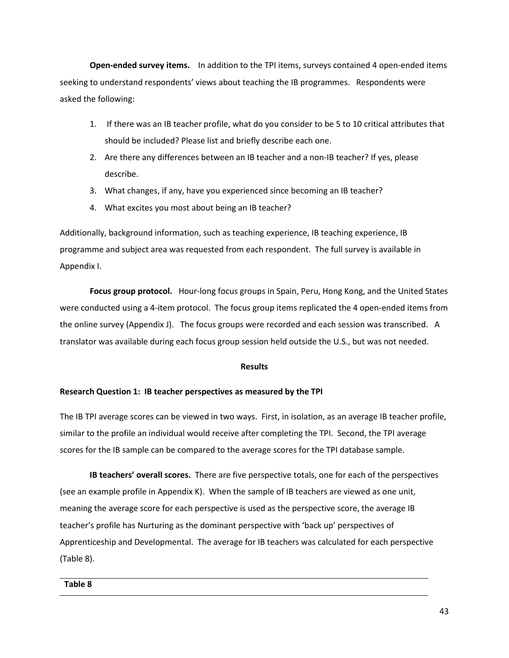**Open-ended survey items.** In addition to the TPI items, surveys contained 4 open-ended items seeking to understand respondents' views about teaching the IB programmes. Respondents were asked the following:

- 1. If there was an IB teacher profile, what do you consider to be 5 to 10 critical attributes that should be included? Please list and briefly describe each one.
- 2. Are there any differences between an IB teacher and a non-IB teacher? If yes, please describe.
- 3. What changes, if any, have you experienced since becoming an IB teacher?
- 4. What excites you most about being an IB teacher?

Additionally, background information, such as teaching experience, IB teaching experience, IB programme and subject area was requested from each respondent. The full survey is available in Appendix I.

**Focus group protocol.** Hour-long focus groups in Spain, Peru, Hong Kong, and the United States were conducted using a 4-item protocol. The focus group items replicated the 4 open-ended items from the online survey (Appendix J). The focus groups were recorded and each session was transcribed. A translator was available during each focus group session held outside the U.S., but was not needed.

## **Results**

## **Research Question 1: IB teacher perspectives as measured by the TPI**

The IB TPI average scores can be viewed in two ways. First, in isolation, as an average IB teacher profile, similar to the profile an individual would receive after completing the TPI. Second, the TPI average scores for the IB sample can be compared to the average scores for the TPI database sample.

**IB teachers' overall scores.** There are five perspective totals, one for each of the perspectives (see an example profile in Appendix K). When the sample of IB teachers are viewed as one unit, meaning the average score for each perspective is used as the perspective score, the average IB teacher's profile has Nurturing as the dominant perspective with 'back up' perspectives of Apprenticeship and Developmental. The average for IB teachers was calculated for each perspective (Table 8).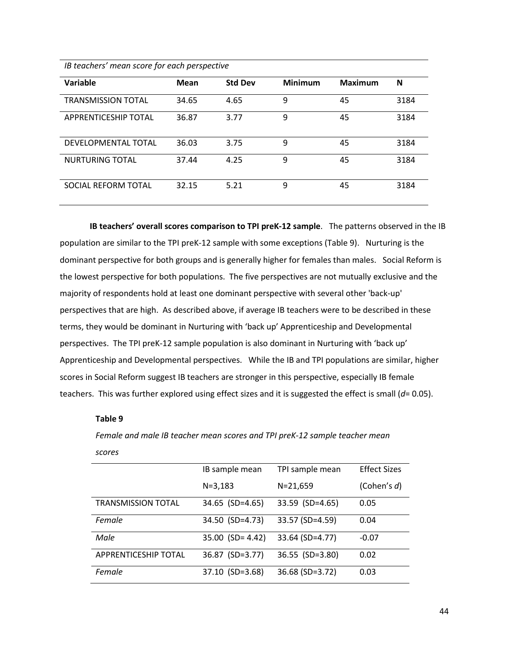*IB teachers' mean score for each perspective* 

| Variable                    | Mean  | <b>Std Dev</b> | <b>Minimum</b> | <b>Maximum</b> | N    |
|-----------------------------|-------|----------------|----------------|----------------|------|
| <b>TRANSMISSION TOTAL</b>   | 34.65 | 4.65           | 9              | 45             | 3184 |
| <b>APPRENTICESHIP TOTAL</b> | 36.87 | 3.77           | 9              | 45             | 3184 |
| DEVELOPMENTAL TOTAL         | 36.03 | 3.75           | 9              | 45             | 3184 |
| NURTURING TOTAL             | 37.44 | 4.25           | 9              | 45             | 3184 |
| SOCIAL REFORM TOTAL         | 32.15 | 5.21           | 9              | 45             | 3184 |

**IB teachers' overall scores comparison to TPI preK-12 sample**. The patterns observed in the IB population are similar to the TPI preK-12 sample with some exceptions (Table 9). Nurturing is the dominant perspective for both groups and is generally higher for females than males. Social Reform is the lowest perspective for both populations. The five perspectives are not mutually exclusive and the majority of respondents hold at least one dominant perspective with several other 'back-up' perspectives that are high. As described above, if average IB teachers were to be described in these terms, they would be dominant in Nurturing with 'back up' Apprenticeship and Developmental perspectives. The TPI preK-12 sample population is also dominant in Nurturing with 'back up' Apprenticeship and Developmental perspectives. While the IB and TPI populations are similar, higher scores in Social Reform suggest IB teachers are stronger in this perspective, especially IB female teachers. This was further explored using effect sizes and it is suggested the effect is small (*d*= 0.05).

#### **Table 9**

*Female and male IB teacher mean scores and TPI preK-12 sample teacher mean scores* 

|                             | IB sample mean     | TPI sample mean | <b>Effect Sizes</b> |
|-----------------------------|--------------------|-----------------|---------------------|
|                             | $N = 3,183$        | $N = 21,659$    | (Cohen's $d$ )      |
| <b>TRANSMISSION TOTAL</b>   | 34.65 (SD=4.65)    | 33.59 (SD=4.65) | 0.05                |
| Female                      | 34.50 (SD=4.73)    | 33.57 (SD=4.59) | 0.04                |
| Male                        | $35.00$ (SD= 4.42) | 33.64 (SD=4.77) | $-0.07$             |
| <b>APPRENTICESHIP TOTAL</b> | 36.87 (SD=3.77)    | 36.55 (SD=3.80) | 0.02                |
| Female                      | 37.10 (SD=3.68)    | 36.68 (SD=3.72) | 0.03                |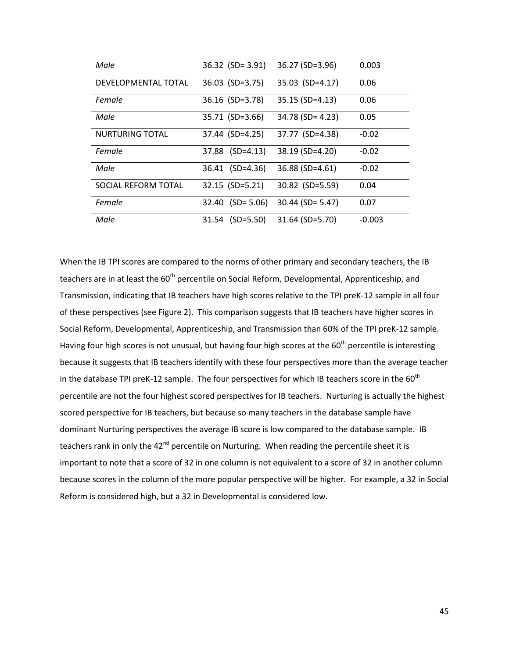| Male                   | $36.32$ (SD= 3.91) | 36.27 (SD=3.96)    | 0.003    |
|------------------------|--------------------|--------------------|----------|
| DEVELOPMENTAL TOTAL    | 36.03 (SD=3.75)    | 35.03 (SD=4.17)    | 0.06     |
| Female                 | $36.16$ (SD=3.78)  | 35.15 (SD=4.13)    | 0.06     |
| Male                   | 35.71 (SD=3.66)    | $34.78$ (SD= 4.23) | 0.05     |
| <b>NURTURING TOTAL</b> | 37.44 (SD=4.25)    | 37.77 (SD=4.38)    | $-0.02$  |
| Female                 | 37.88 (SD=4.13)    | 38.19 (SD=4.20)    | $-0.02$  |
| Male                   | 36.41 (SD=4.36)    | 36.88 (SD=4.61)    | $-0.02$  |
| SOCIAL REFORM TOTAL    | 32.15 (SD=5.21)    | 30.82 (SD=5.59)    | 0.04     |
| Female                 | $32.40$ (SD= 5.06) | $30.44$ (SD= 5.47) | 0.07     |
| Male                   | $31.54$ (SD=5.50)  | $31.64$ (SD=5.70)  | $-0.003$ |

When the IB TPI scores are compared to the norms of other primary and secondary teachers, the IB teachers are in at least the 60<sup>th</sup> percentile on Social Reform, Developmental, Apprenticeship, and Transmission, indicating that IB teachers have high scores relative to the TPI preK-12 sample in all four of these perspectives (see Figure 2). This comparison suggests that IB teachers have higher scores in Social Reform, Developmental, Apprenticeship, and Transmission than 60% of the TPI preK-12 sample. Having four high scores is not unusual, but having four high scores at the  $60<sup>th</sup>$  percentile is interesting because it suggests that IB teachers identify with these four perspectives more than the average teacher in the database TPI preK-12 sample. The four perspectives for which IB teachers score in the  $60<sup>th</sup>$ percentile are not the four highest scored perspectives for IB teachers. Nurturing is actually the highest scored perspective for IB teachers, but because so many teachers in the database sample have dominant Nurturing perspectives the average IB score is low compared to the database sample. IB teachers rank in only the 42<sup>nd</sup> percentile on Nurturing. When reading the percentile sheet it is important to note that a score of 32 in one column is not equivalent to a score of 32 in another column because scores in the column of the more popular perspective will be higher. For example, a 32 in Social Reform is considered high, but a 32 in Developmental is considered low.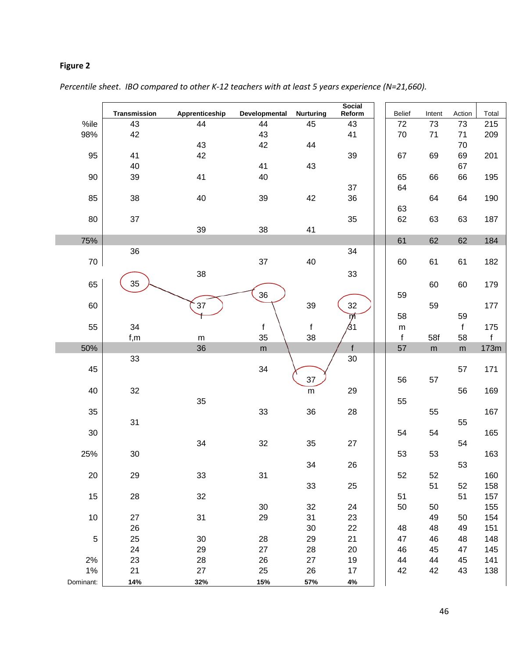# **Figure 2**

|            | Transmission | Apprenticeship  | Developmental   | <b>Nurturing</b> | <b>Social</b><br>Reform | Belief            | Intent   | Action       | Total               |
|------------|--------------|-----------------|-----------------|------------------|-------------------------|-------------------|----------|--------------|---------------------|
| %ile       | 43           | 44              | 44              | 45               | 43                      | 72                | 73       | 73           | 215                 |
| 98%        | 42           |                 | 43              |                  | 41                      | $70\,$            | 71       | 71           | 209                 |
|            |              | 43              | 42              | 44               |                         |                   |          | 70           |                     |
| 95         | 41           | 42              |                 |                  | 39                      | 67                | 69       | 69           | 201                 |
|            | 40           |                 | 41              | 43               |                         |                   |          | 67           |                     |
| 90         | 39           | 41              | 40              |                  |                         | 65                | 66       | 66           | 195                 |
|            |              |                 |                 |                  | 37                      | 64                |          |              |                     |
| 85         | 38           | 40              | 39              | 42               | 36                      |                   | 64       | 64           | 190                 |
|            |              |                 |                 |                  |                         | 63                |          |              |                     |
| 80         | 37           |                 |                 |                  | 35                      | 62                | 63       | 63           | 187                 |
|            |              | 39              | 38              | 41               |                         |                   |          |              |                     |
| 75%        |              |                 |                 |                  |                         | 61                | 62       | 62           | 184                 |
|            | 36           |                 |                 |                  | 34                      |                   |          |              |                     |
| $70\,$     |              |                 | 37              | 40               |                         | 60                | 61       | 61           | 182                 |
|            |              | 38              |                 |                  | 33                      |                   |          |              |                     |
| 65         | 35           |                 |                 |                  |                         |                   | 60       | 60           | 179                 |
|            |              |                 | 36              |                  |                         | 59                |          |              |                     |
| 60         |              | 37              |                 | 39               | 32                      |                   | 59       |              | 177                 |
|            |              |                 |                 |                  | ᅏ<br>61                 | 58                |          | 59           |                     |
| 55         | 34           |                 | f               | $\mathsf{f}$     |                         | ${\sf m}$         |          | $\mathsf{f}$ | 175                 |
| 50%        | f,m          | ${\sf m}$<br>36 | 35<br>${\sf m}$ | 38               | f                       | $\mathsf f$<br>57 | 58f<br>m | 58           | $\mathsf f$<br>173m |
|            | 33           |                 |                 |                  | 30                      |                   |          | ${\sf m}$    |                     |
| 45         |              |                 | 34              |                  |                         |                   |          | 57           | 171                 |
|            |              |                 |                 | 37               |                         | 56                | 57       |              |                     |
| 40         | 32           |                 |                 | ${\sf m}$        | 29                      |                   |          | 56           | 169                 |
|            |              | 35              |                 |                  |                         | 55                |          |              |                     |
| 35         |              |                 | 33              | 36               | 28                      |                   | 55       |              | 167                 |
|            | 31           |                 |                 |                  |                         |                   |          | 55           |                     |
| 30         |              |                 |                 |                  |                         | 54                | 54       |              | 165                 |
|            |              | 34              | 32              | 35               | 27                      |                   |          | 54           |                     |
| 25%        | 30           |                 |                 |                  |                         | 53                | 53       |              | 163                 |
|            |              |                 |                 | 34               | 26                      |                   |          | 53           |                     |
| 20         | 29           | 33              | 31              |                  |                         | 52                | 52       |              | 160                 |
|            |              |                 |                 | 33               | 25                      |                   | 51       | 52           | 158                 |
| 15         | 28           | 32              |                 |                  |                         | 51                |          | 51           | 157                 |
|            |              |                 | $30\,$          | 32               | 24                      | 50                | 50       |              | 155                 |
| 10         | 27           | 31              | 29              | 31               | 23                      |                   | 49       | 50           | 154                 |
|            | 26           |                 |                 | $30\,$           | 22                      | 48                | 48       | 49           | 151                 |
| $\sqrt{5}$ | 25           | 30              | 28              | 29               | 21                      | 47                | 46       | 48           | 148                 |
|            | 24           | 29              | 27              | 28               | 20                      | 46                | 45       | 47           | 145                 |
| 2%         | 23           | 28              | 26              | 27               | 19                      | 44                | 44       | 45           | 141                 |
| $1\%$      | 21           | 27              | 25              | 26               | 17                      | 42                | 42       | 43           | 138                 |
| Dominant:  | 14%          | 32%             | 15%             | 57%              | $4\%$                   |                   |          |              |                     |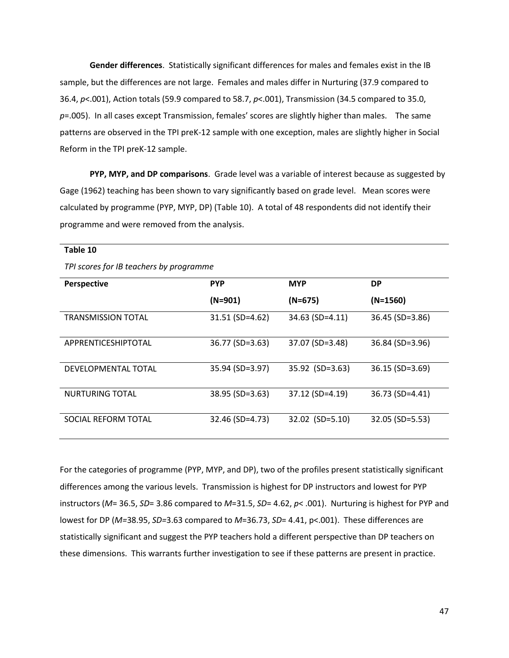**Gender differences**. Statistically significant differences for males and females exist in the IB sample, but the differences are not large. Females and males differ in Nurturing (37.9 compared to 36.4, *p*<.001), Action totals (59.9 compared to 58.7, *p*<.001), Transmission (34.5 compared to 35.0, *p*=.005). In all cases except Transmission, females' scores are slightly higher than males. The same patterns are observed in the TPI preK-12 sample with one exception, males are slightly higher in Social Reform in the TPI preK-12 sample.

**PYP, MYP, and DP comparisons**. Grade level was a variable of interest because as suggested by Gage (1962) teaching has been shown to vary significantly based on grade level. Mean scores were calculated by programme (PYP, MYP, DP) (Table 10). A total of 48 respondents did not identify their programme and were removed from the analysis.

| able 1 |
|--------|
|--------|

*TPI scores for IB teachers by programme* 

| <b>Perspective</b>        | <b>PYP</b>      | <b>MYP</b>        | <b>DP</b>         |
|---------------------------|-----------------|-------------------|-------------------|
|                           | $(N=901)$       | $(N=675)$         | $(N=1560)$        |
| <b>TRANSMISSION TOTAL</b> | 31.51 (SD=4.62) | 34.63 (SD=4.11)   | $36.45$ (SD=3.86) |
| APPRENTICESHIPTOTAL       | 36.77 (SD=3.63) | 37.07 (SD=3.48)   | $36.84$ (SD=3.96) |
| DEVELOPMENTAL TOTAL       | 35.94 (SD=3.97) | $35.92$ (SD=3.63) | $36.15$ (SD=3.69) |
| NURTURING TOTAL           | 38.95 (SD=3.63) | 37.12 (SD=4.19)   | 36.73 (SD=4.41)   |
| SOCIAL REFORM TOTAL       | 32.46 (SD=4.73) | $32.02$ (SD=5.10) | $32.05$ (SD=5.53) |

For the categories of programme (PYP, MYP, and DP), two of the profiles present statistically significant differences among the various levels. Transmission is highest for DP instructors and lowest for PYP instructors (*M*= 36.5, *SD*= 3.86 compared to *M*=31.5, *SD*= 4.62, *p*< .001). Nurturing is highest for PYP and lowest for DP (*M=*38.95, *SD=*3.63 compared to *M*=36.73, *SD*= 4.41, p<.001). These differences are statistically significant and suggest the PYP teachers hold a different perspective than DP teachers on these dimensions. This warrants further investigation to see if these patterns are present in practice.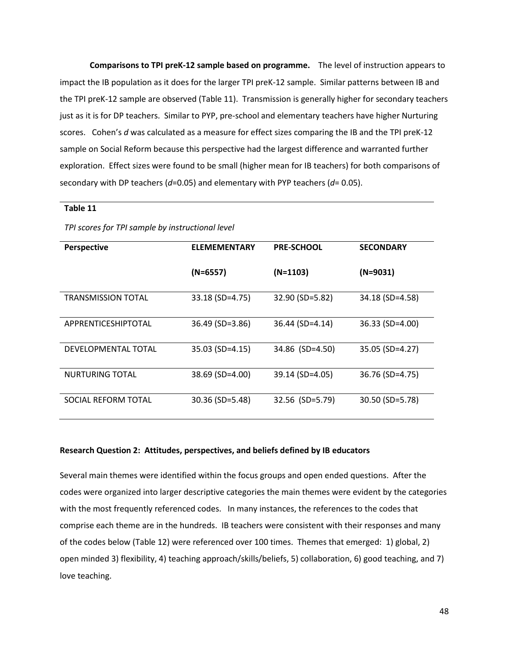**Comparisons to TPI preK-12 sample based on programme.** The level of instruction appears to impact the IB population as it does for the larger TPI preK-12 sample. Similar patterns between IB and the TPI preK-12 sample are observed (Table 11). Transmission is generally higher for secondary teachers just as it is for DP teachers. Similar to PYP, pre-school and elementary teachers have higher Nurturing scores. Cohen's *d* was calculated as a measure for effect sizes comparing the IB and the TPI preK-12 sample on Social Reform because this perspective had the largest difference and warranted further exploration. Effect sizes were found to be small (higher mean for IB teachers) for both comparisons of secondary with DP teachers (*d*=0.05) and elementary with PYP teachers (*d*= 0.05).

#### **Table 11**

| <b>Perspective</b>        | <b>ELEMEMENTARY</b> | <b>PRE-SCHOOL</b> | <b>SECONDARY</b> |
|---------------------------|---------------------|-------------------|------------------|
|                           |                     |                   |                  |
|                           | (N=6557)            | $(N=1103)$        | (N=9031)         |
|                           |                     |                   |                  |
| <b>TRANSMISSION TOTAL</b> | $33.18$ (SD=4.75)   | 32.90 (SD=5.82)   | 34.18 (SD=4.58)  |
|                           |                     |                   |                  |
| APPRENTICESHIPTOTAL       | $36.49$ (SD=3.86)   | 36.44 (SD=4.14)   | $36.33(SD=4.00)$ |
|                           |                     |                   |                  |
| DEVELOPMENTAL TOTAL       | 35.03 (SD=4.15)     | 34.86 (SD=4.50)   | 35.05 (SD=4.27)  |
|                           |                     |                   |                  |
| <b>NURTURING TOTAL</b>    | $38.69$ (SD=4.00)   | 39.14 (SD=4.05)   | 36.76 (SD=4.75)  |
|                           |                     |                   |                  |
| SOCIAL REFORM TOTAL       | $30.36$ (SD=5.48)   | 32.56 (SD=5.79)   | 30.50 (SD=5.78)  |
|                           |                     |                   |                  |

*TPI scores for TPI sample by instructional level* 

### **Research Question 2: Attitudes, perspectives, and beliefs defined by IB educators**

Several main themes were identified within the focus groups and open ended questions. After the codes were organized into larger descriptive categories the main themes were evident by the categories with the most frequently referenced codes. In many instances, the references to the codes that comprise each theme are in the hundreds. IB teachers were consistent with their responses and many of the codes below (Table 12) were referenced over 100 times. Themes that emerged: 1) global, 2) open minded 3) flexibility, 4) teaching approach/skills/beliefs, 5) collaboration, 6) good teaching, and 7) love teaching.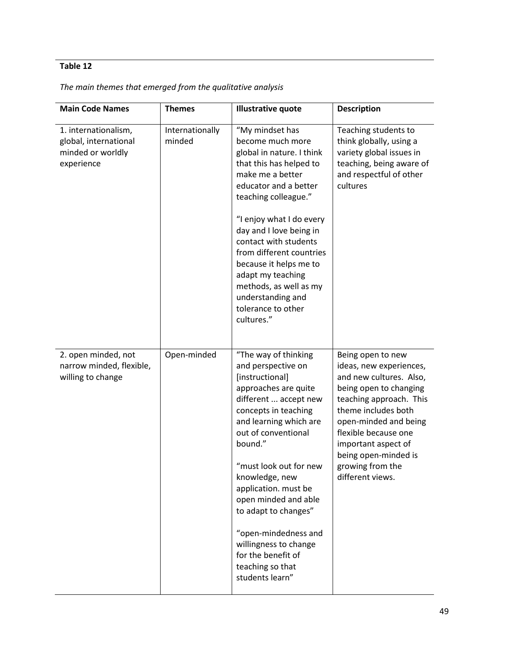# **Table 12**

| <b>Main Code Names</b>                                                           | <b>Themes</b>             | <b>Illustrative quote</b>                                                                                                                                                                                                                                                                                                                                                                                                            | <b>Description</b>                                                                                                                                                                                                                                                                          |
|----------------------------------------------------------------------------------|---------------------------|--------------------------------------------------------------------------------------------------------------------------------------------------------------------------------------------------------------------------------------------------------------------------------------------------------------------------------------------------------------------------------------------------------------------------------------|---------------------------------------------------------------------------------------------------------------------------------------------------------------------------------------------------------------------------------------------------------------------------------------------|
| 1. internationalism,<br>global, international<br>minded or worldly<br>experience | Internationally<br>minded | "My mindset has<br>become much more<br>global in nature. I think<br>that this has helped to<br>make me a better<br>educator and a better<br>teaching colleague."<br>"I enjoy what I do every<br>day and I love being in<br>contact with students<br>from different countries<br>because it helps me to<br>adapt my teaching<br>methods, as well as my<br>understanding and<br>tolerance to other<br>cultures."                       | Teaching students to<br>think globally, using a<br>variety global issues in<br>teaching, being aware of<br>and respectful of other<br>cultures                                                                                                                                              |
| 2. open minded, not<br>narrow minded, flexible,<br>willing to change             | Open-minded               | "The way of thinking<br>and perspective on<br>[instructional]<br>approaches are quite<br>different  accept new<br>concepts in teaching<br>and learning which are<br>out of conventional<br>bound."<br>"must look out for new<br>knowledge, new<br>application. must be<br>open minded and able<br>to adapt to changes"<br>"open-mindedness and<br>willingness to change<br>for the benefit of<br>teaching so that<br>students learn" | Being open to new<br>ideas, new experiences,<br>and new cultures. Also,<br>being open to changing<br>teaching approach. This<br>theme includes both<br>open-minded and being<br>flexible because one<br>important aspect of<br>being open-minded is<br>growing from the<br>different views. |

## *The main themes that emerged from the qualitative analysis*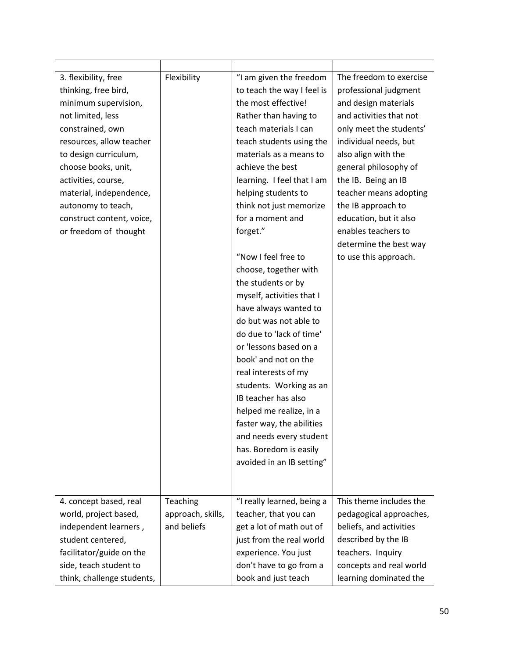| 3. flexibility, free<br>thinking, free bird,<br>minimum supervision,<br>not limited, less<br>constrained, own<br>resources, allow teacher<br>to design curriculum,<br>choose books, unit,<br>activities, course,<br>material, independence,<br>autonomy to teach,<br>construct content, voice,<br>or freedom of thought | Flexibility                                  | "I am given the freedom<br>to teach the way I feel is<br>the most effective!<br>Rather than having to<br>teach materials I can<br>teach students using the<br>materials as a means to<br>achieve the best<br>learning. I feel that I am<br>helping students to<br>think not just memorize<br>for a moment and<br>forget."<br>"Now I feel free to<br>choose, together with<br>the students or by<br>myself, activities that I<br>have always wanted to<br>do but was not able to<br>do due to 'lack of time'<br>or 'lessons based on a<br>book' and not on the<br>real interests of my<br>students. Working as an<br>IB teacher has also<br>helped me realize, in a<br>faster way, the abilities<br>and needs every student<br>has. Boredom is easily<br>avoided in an IB setting" | The freedom to exercise<br>professional judgment<br>and design materials<br>and activities that not<br>only meet the students'<br>individual needs, but<br>also align with the<br>general philosophy of<br>the IB. Being an IB<br>teacher means adopting<br>the IB approach to<br>education, but it also<br>enables teachers to<br>determine the best way<br>to use this approach. |
|-------------------------------------------------------------------------------------------------------------------------------------------------------------------------------------------------------------------------------------------------------------------------------------------------------------------------|----------------------------------------------|-----------------------------------------------------------------------------------------------------------------------------------------------------------------------------------------------------------------------------------------------------------------------------------------------------------------------------------------------------------------------------------------------------------------------------------------------------------------------------------------------------------------------------------------------------------------------------------------------------------------------------------------------------------------------------------------------------------------------------------------------------------------------------------|------------------------------------------------------------------------------------------------------------------------------------------------------------------------------------------------------------------------------------------------------------------------------------------------------------------------------------------------------------------------------------|
| 4. concept based, real<br>world, project based,<br>independent learners,<br>student centered,<br>facilitator/guide on the<br>side, teach student to<br>think, challenge students,                                                                                                                                       | Teaching<br>approach, skills,<br>and beliefs | "I really learned, being a<br>teacher, that you can<br>get a lot of math out of<br>just from the real world<br>experience. You just<br>don't have to go from a<br>book and just teach                                                                                                                                                                                                                                                                                                                                                                                                                                                                                                                                                                                             | This theme includes the<br>pedagogical approaches,<br>beliefs, and activities<br>described by the IB<br>teachers. Inquiry<br>concepts and real world<br>learning dominated the                                                                                                                                                                                                     |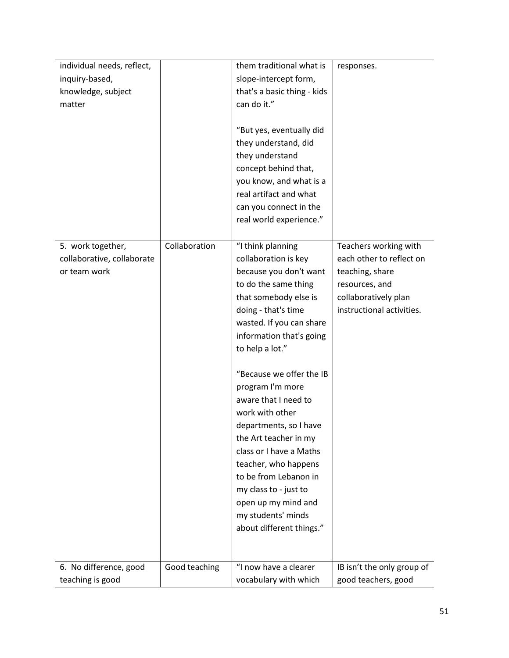| individual needs, reflect,                                      |               | them traditional what is                                                                                                                                                                                                                                                                                                                                                                                                                                                                         | responses.                                                                                                                                  |
|-----------------------------------------------------------------|---------------|--------------------------------------------------------------------------------------------------------------------------------------------------------------------------------------------------------------------------------------------------------------------------------------------------------------------------------------------------------------------------------------------------------------------------------------------------------------------------------------------------|---------------------------------------------------------------------------------------------------------------------------------------------|
| inquiry-based,                                                  |               | slope-intercept form,                                                                                                                                                                                                                                                                                                                                                                                                                                                                            |                                                                                                                                             |
| knowledge, subject                                              |               | that's a basic thing - kids                                                                                                                                                                                                                                                                                                                                                                                                                                                                      |                                                                                                                                             |
| matter                                                          |               | can do it."                                                                                                                                                                                                                                                                                                                                                                                                                                                                                      |                                                                                                                                             |
|                                                                 |               | "But yes, eventually did<br>they understand, did<br>they understand<br>concept behind that,<br>you know, and what is a<br>real artifact and what<br>can you connect in the                                                                                                                                                                                                                                                                                                                       |                                                                                                                                             |
|                                                                 |               | real world experience."                                                                                                                                                                                                                                                                                                                                                                                                                                                                          |                                                                                                                                             |
| 5. work together,<br>collaborative, collaborate<br>or team work | Collaboration | "I think planning<br>collaboration is key<br>because you don't want<br>to do the same thing<br>that somebody else is<br>doing - that's time<br>wasted. If you can share<br>information that's going<br>to help a lot."<br>"Because we offer the IB<br>program I'm more<br>aware that I need to<br>work with other<br>departments, so I have<br>the Art teacher in my<br>class or I have a Maths<br>teacher, who happens<br>to be from Lebanon in<br>my class to - just to<br>open up my mind and | Teachers working with<br>each other to reflect on<br>teaching, share<br>resources, and<br>collaboratively plan<br>instructional activities. |
|                                                                 |               | my students' minds                                                                                                                                                                                                                                                                                                                                                                                                                                                                               |                                                                                                                                             |
|                                                                 |               | about different things."                                                                                                                                                                                                                                                                                                                                                                                                                                                                         |                                                                                                                                             |
|                                                                 |               |                                                                                                                                                                                                                                                                                                                                                                                                                                                                                                  |                                                                                                                                             |
| 6. No difference, good                                          | Good teaching | "I now have a clearer                                                                                                                                                                                                                                                                                                                                                                                                                                                                            | IB isn't the only group of                                                                                                                  |
| teaching is good                                                |               | vocabulary with which                                                                                                                                                                                                                                                                                                                                                                                                                                                                            | good teachers, good                                                                                                                         |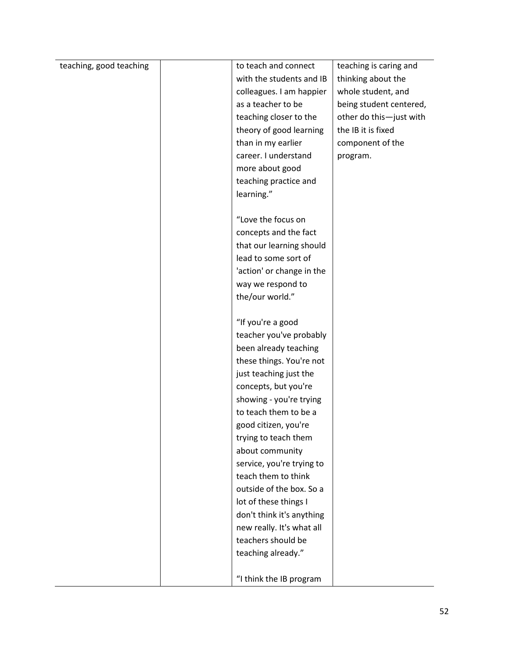| teaching, good teaching | to teach and connect      | teaching is caring and  |
|-------------------------|---------------------------|-------------------------|
|                         | with the students and IB  | thinking about the      |
|                         | colleagues. I am happier  | whole student, and      |
|                         | as a teacher to be        | being student centered, |
|                         | teaching closer to the    | other do this-just with |
|                         | theory of good learning   | the IB it is fixed      |
|                         | than in my earlier        | component of the        |
|                         | career. I understand      | program.                |
|                         | more about good           |                         |
|                         | teaching practice and     |                         |
|                         | learning."                |                         |
|                         |                           |                         |
|                         | "Love the focus on        |                         |
|                         | concepts and the fact     |                         |
|                         | that our learning should  |                         |
|                         | lead to some sort of      |                         |
|                         | 'action' or change in the |                         |
|                         | way we respond to         |                         |
|                         | the/our world."           |                         |
|                         |                           |                         |
|                         | "If you're a good         |                         |
|                         | teacher you've probably   |                         |
|                         | been already teaching     |                         |
|                         | these things. You're not  |                         |
|                         | just teaching just the    |                         |
|                         | concepts, but you're      |                         |
|                         | showing - you're trying   |                         |
|                         | to teach them to be a     |                         |
|                         | good citizen, you're      |                         |
|                         | trying to teach them      |                         |
|                         | about community           |                         |
|                         | service, you're trying to |                         |
|                         | teach them to think       |                         |
|                         | outside of the box. So a  |                         |
|                         | lot of these things I     |                         |
|                         | don't think it's anything |                         |
|                         | new really. It's what all |                         |
|                         | teachers should be        |                         |
|                         | teaching already."        |                         |
|                         |                           |                         |
|                         | "I think the IB program   |                         |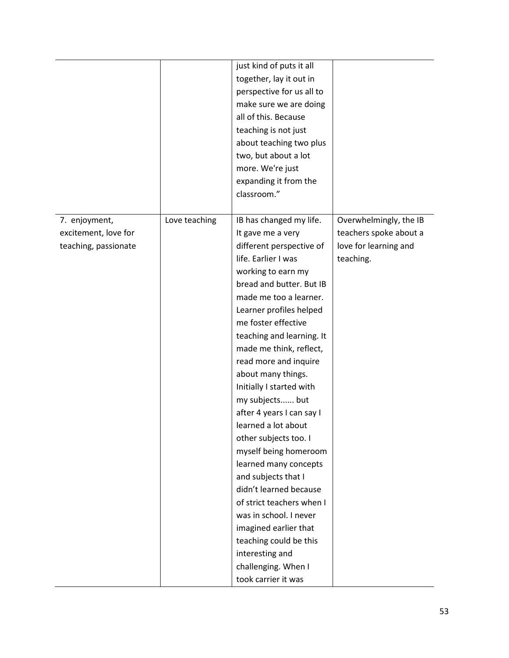|                      |               | just kind of puts it all  |                        |
|----------------------|---------------|---------------------------|------------------------|
|                      |               | together, lay it out in   |                        |
|                      |               | perspective for us all to |                        |
|                      |               | make sure we are doing    |                        |
|                      |               | all of this. Because      |                        |
|                      |               | teaching is not just      |                        |
|                      |               | about teaching two plus   |                        |
|                      |               | two, but about a lot      |                        |
|                      |               | more. We're just          |                        |
|                      |               | expanding it from the     |                        |
|                      |               | classroom."               |                        |
|                      |               |                           |                        |
| 7. enjoyment,        | Love teaching | IB has changed my life.   | Overwhelmingly, the IB |
| excitement, love for |               | It gave me a very         | teachers spoke about a |
| teaching, passionate |               | different perspective of  | love for learning and  |
|                      |               | life. Earlier I was       | teaching.              |
|                      |               | working to earn my        |                        |
|                      |               | bread and butter. But IB  |                        |
|                      |               | made me too a learner.    |                        |
|                      |               | Learner profiles helped   |                        |
|                      |               | me foster effective       |                        |
|                      |               | teaching and learning. It |                        |
|                      |               | made me think, reflect,   |                        |
|                      |               | read more and inquire     |                        |
|                      |               | about many things.        |                        |
|                      |               | Initially I started with  |                        |
|                      |               | my subjects but           |                        |
|                      |               | after 4 years I can say I |                        |
|                      |               | learned a lot about       |                        |
|                      |               | other subjects too. I     |                        |
|                      |               | myself being homeroom     |                        |
|                      |               | learned many concepts     |                        |
|                      |               | and subjects that I       |                        |
|                      |               | didn't learned because    |                        |
|                      |               | of strict teachers when I |                        |
|                      |               | was in school. I never    |                        |
|                      |               | imagined earlier that     |                        |
|                      |               | teaching could be this    |                        |
|                      |               | interesting and           |                        |
|                      |               | challenging. When I       |                        |
|                      |               | took carrier it was       |                        |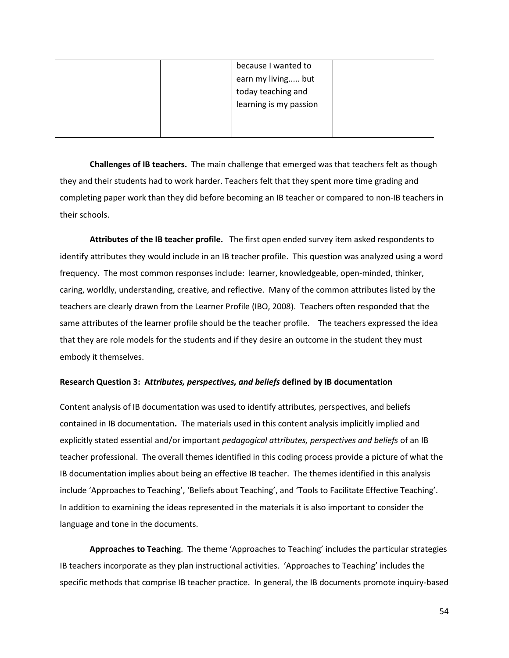| because I wanted to    |  |
|------------------------|--|
| earn my living but     |  |
| today teaching and     |  |
| learning is my passion |  |
|                        |  |
|                        |  |

**Challenges of IB teachers.** The main challenge that emerged was that teachers felt as though they and their students had to work harder. Teachers felt that they spent more time grading and completing paper work than they did before becoming an IB teacher or compared to non-IB teachers in their schools.

**Attributes of the IB teacher profile.** The first open ended survey item asked respondents to identify attributes they would include in an IB teacher profile. This question was analyzed using a word frequency. The most common responses include: learner, knowledgeable, open-minded, thinker, caring, worldly, understanding, creative, and reflective. Many of the common attributes listed by the teachers are clearly drawn from the Learner Profile (IBO, 2008). Teachers often responded that the same attributes of the learner profile should be the teacher profile. The teachers expressed the idea that they are role models for the students and if they desire an outcome in the student they must embody it themselves.

### **Research Question 3: A***ttributes, perspectives, and beliefs* **defined by IB documentation**

Content analysis of IB documentation was used to identify attributes*,* perspectives, and beliefs contained in IB documentation**.** The materials used in this content analysis implicitly implied and explicitly stated essential and/or important *pedagogical attributes, perspectives and beliefs* of an IB teacher professional. The overall themes identified in this coding process provide a picture of what the IB documentation implies about being an effective IB teacher. The themes identified in this analysis include 'Approaches to Teaching', 'Beliefs about Teaching', and 'Tools to Facilitate Effective Teaching'. In addition to examining the ideas represented in the materials it is also important to consider the language and tone in the documents.

**Approaches to Teaching**.The theme 'Approaches to Teaching' includes the particular strategies IB teachers incorporate as they plan instructional activities. 'Approaches to Teaching' includes the specific methods that comprise IB teacher practice. In general, the IB documents promote inquiry-based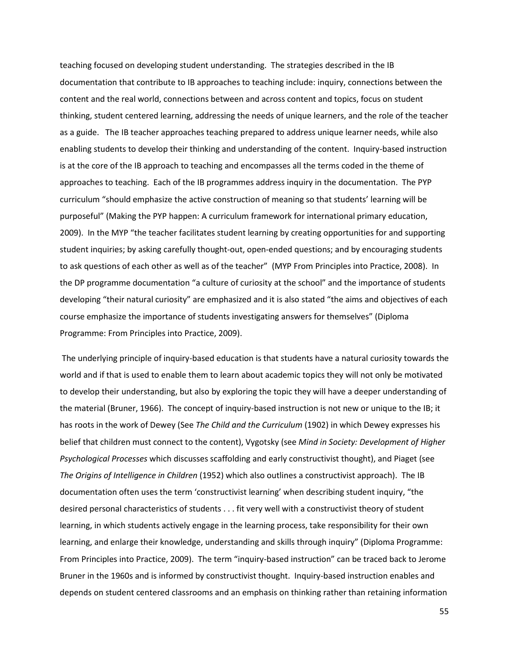teaching focused on developing student understanding. The strategies described in the IB documentation that contribute to IB approaches to teaching include: inquiry, connections between the content and the real world, connections between and across content and topics, focus on student thinking, student centered learning, addressing the needs of unique learners, and the role of the teacher as a guide. The IB teacher approaches teaching prepared to address unique learner needs, while also enabling students to develop their thinking and understanding of the content. Inquiry-based instruction is at the core of the IB approach to teaching and encompasses all the terms coded in the theme of approaches to teaching. Each of the IB programmes address inquiry in the documentation. The PYP curriculum "should emphasize the active construction of meaning so that students' learning will be purposeful" (Making the PYP happen: A curriculum framework for international primary education, 2009). In the MYP "the teacher facilitates student learning by creating opportunities for and supporting student inquiries; by asking carefully thought-out, open-ended questions; and by encouraging students to ask questions of each other as well as of the teacher" (MYP From Principles into Practice, 2008). In the DP programme documentation "a culture of curiosity at the school" and the importance of students developing "their natural curiosity" are emphasized and it is also stated "the aims and objectives of each course emphasize the importance of students investigating answers for themselves" (Diploma Programme: From Principles into Practice, 2009).

The underlying principle of inquiry-based education is that students have a natural curiosity towards the world and if that is used to enable them to learn about academic topics they will not only be motivated to develop their understanding, but also by exploring the topic they will have a deeper understanding of the material (Bruner, 1966). The concept of inquiry-based instruction is not new or unique to the IB; it has roots in the work of Dewey (See *The Child and the Curriculum* (1902) in which Dewey expresses his belief that children must connect to the content), Vygotsky (see *Mind in Society: Development of Higher Psychological Processes* which discusses scaffolding and early constructivist thought), and Piaget (see *The Origins of Intelligence in Children* (1952) which also outlines a constructivist approach). The IB documentation often uses the term 'constructivist learning' when describing student inquiry, "the desired personal characteristics of students . . . fit very well with a constructivist theory of student learning, in which students actively engage in the learning process, take responsibility for their own learning, and enlarge their knowledge, understanding and skills through inquiry" (Diploma Programme: From Principles into Practice, 2009). The term "inquiry-based instruction" can be traced back to Jerome Bruner in the 1960s and is informed by constructivist thought. Inquiry-based instruction enables and depends on student centered classrooms and an emphasis on thinking rather than retaining information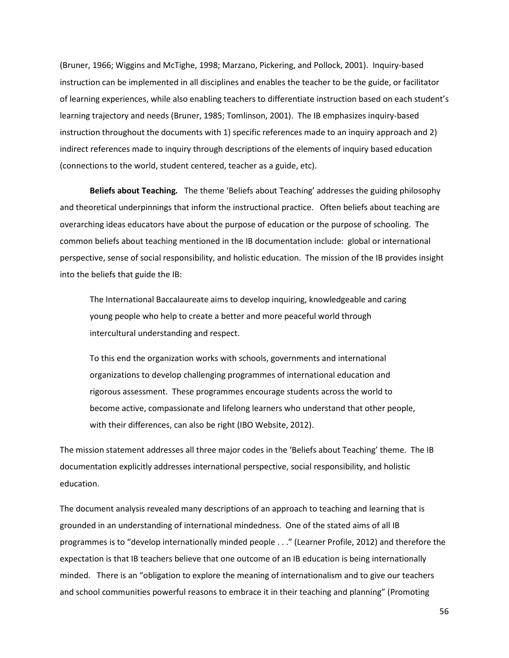(Bruner, 1966; Wiggins and McTighe, 1998; Marzano, Pickering, and Pollock, 2001). Inquiry-based instruction can be implemented in all disciplines and enables the teacher to be the guide, or facilitator of learning experiences, while also enabling teachers to differentiate instruction based on each student's learning trajectory and needs (Bruner, 1985; Tomlinson, 2001). The IB emphasizes inquiry-based instruction throughout the documents with 1) specific references made to an inquiry approach and 2) indirect references made to inquiry through descriptions of the elements of inquiry based education (connections to the world, student centered, teacher as a guide, etc).

**Beliefs about Teaching***.* The theme 'Beliefs about Teaching' addresses the guiding philosophy and theoretical underpinnings that inform the instructional practice. Often beliefs about teaching are overarching ideas educators have about the purpose of education or the purpose of schooling. The common beliefs about teaching mentioned in the IB documentation include: global or international perspective, sense of social responsibility, and holistic education. The mission of the IB provides insight into the beliefs that guide the IB:

The International Baccalaureate aims to develop inquiring, knowledgeable and caring young people who help to create a better and more peaceful world through intercultural understanding and respect.

To this end the organization works with schools, governments and international organizations to develop challenging programmes of international education and rigorous assessment. These programmes encourage students across the world to become active, compassionate and lifelong learners who understand that other people, with their differences, can also be right (IBO Website, 2012).

The mission statement addresses all three major codes in the 'Beliefs about Teaching' theme. The IB documentation explicitly addresses international perspective, social responsibility, and holistic education.

The document analysis revealed many descriptions of an approach to teaching and learning that is grounded in an understanding of international mindedness. One of the stated aims of all IB programmes is to "develop internationally minded people . . ." (Learner Profile, 2012) and therefore the expectation is that IB teachers believe that one outcome of an IB education is being internationally minded. There is an "obligation to explore the meaning of internationalism and to give our teachers and school communities powerful reasons to embrace it in their teaching and planning" (Promoting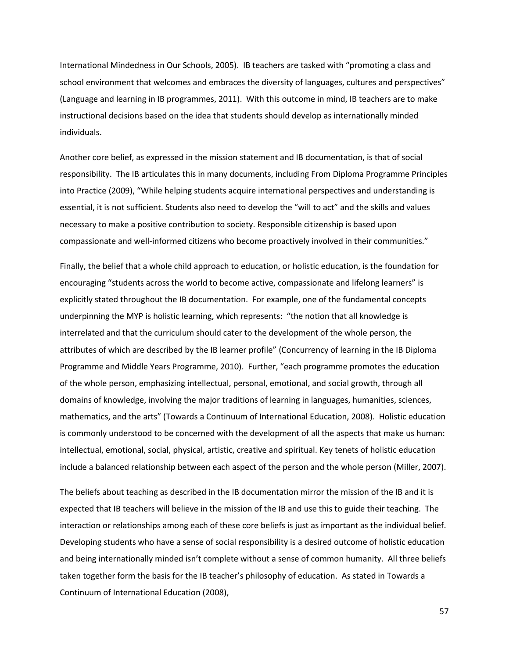International Mindedness in Our Schools, 2005). IB teachers are tasked with "promoting a class and school environment that welcomes and embraces the diversity of languages, cultures and perspectives" (Language and learning in IB programmes, 2011). With this outcome in mind, IB teachers are to make instructional decisions based on the idea that students should develop as internationally minded individuals.

Another core belief, as expressed in the mission statement and IB documentation, is that of social responsibility. The IB articulates this in many documents, including From Diploma Programme Principles into Practice (2009), "While helping students acquire international perspectives and understanding is essential, it is not sufficient. Students also need to develop the "will to act" and the skills and values necessary to make a positive contribution to society. Responsible citizenship is based upon compassionate and well-informed citizens who become proactively involved in their communities."

Finally, the belief that a whole child approach to education, or holistic education, is the foundation for encouraging "students across the world to become active, compassionate and lifelong learners" is explicitly stated throughout the IB documentation. For example, one of the fundamental concepts underpinning the MYP is holistic learning, which represents: "the notion that all knowledge is interrelated and that the curriculum should cater to the development of the whole person, the attributes of which are described by the IB learner profile" (Concurrency of learning in the IB Diploma Programme and Middle Years Programme, 2010). Further, "each programme promotes the education of the whole person, emphasizing intellectual, personal, emotional, and social growth, through all domains of knowledge, involving the major traditions of learning in languages, humanities, sciences, mathematics, and the arts" (Towards a Continuum of International Education, 2008). Holistic education is commonly understood to be concerned with the development of all the aspects that make us human: intellectual, emotional, social, physical, artistic, creative and spiritual. Key tenets of holistic education include a balanced relationship between each aspect of the person and the whole person (Miller, 2007).

The beliefs about teaching as described in the IB documentation mirror the mission of the IB and it is expected that IB teachers will believe in the mission of the IB and use this to guide their teaching. The interaction or relationships among each of these core beliefs is just as important as the individual belief. Developing students who have a sense of social responsibility is a desired outcome of holistic education and being internationally minded isn't complete without a sense of common humanity. All three beliefs taken together form the basis for the IB teacher's philosophy of education. As stated in Towards a Continuum of International Education (2008),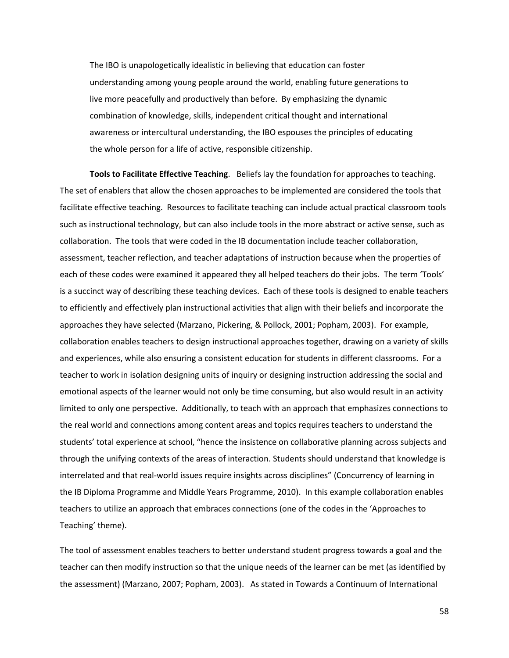The IBO is unapologetically idealistic in believing that education can foster understanding among young people around the world, enabling future generations to live more peacefully and productively than before. By emphasizing the dynamic combination of knowledge, skills, independent critical thought and international awareness or intercultural understanding, the IBO espouses the principles of educating the whole person for a life of active, responsible citizenship.

**Tools to Facilitate Effective Teaching**. Beliefs lay the foundation for approaches to teaching. The set of enablers that allow the chosen approaches to be implemented are considered the tools that facilitate effective teaching. Resources to facilitate teaching can include actual practical classroom tools such as instructional technology, but can also include tools in the more abstract or active sense, such as collaboration. The tools that were coded in the IB documentation include teacher collaboration, assessment, teacher reflection, and teacher adaptations of instruction because when the properties of each of these codes were examined it appeared they all helped teachers do their jobs. The term 'Tools' is a succinct way of describing these teaching devices. Each of these tools is designed to enable teachers to efficiently and effectively plan instructional activities that align with their beliefs and incorporate the approaches they have selected (Marzano, Pickering, & Pollock, 2001; Popham, 2003). For example, collaboration enables teachers to design instructional approaches together, drawing on a variety of skills and experiences, while also ensuring a consistent education for students in different classrooms. For a teacher to work in isolation designing units of inquiry or designing instruction addressing the social and emotional aspects of the learner would not only be time consuming, but also would result in an activity limited to only one perspective. Additionally, to teach with an approach that emphasizes connections to the real world and connections among content areas and topics requires teachers to understand the students' total experience at school, "hence the insistence on collaborative planning across subjects and through the unifying contexts of the areas of interaction. Students should understand that knowledge is interrelated and that real-world issues require insights across disciplines" (Concurrency of learning in the IB Diploma Programme and Middle Years Programme, 2010). In this example collaboration enables teachers to utilize an approach that embraces connections (one of the codes in the 'Approaches to Teaching' theme).

The tool of assessment enables teachers to better understand student progress towards a goal and the teacher can then modify instruction so that the unique needs of the learner can be met (as identified by the assessment) (Marzano, 2007; Popham, 2003). As stated in Towards a Continuum of International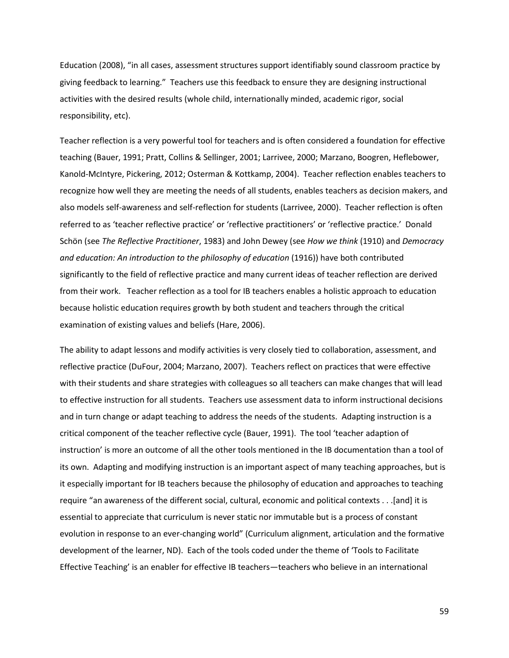Education (2008), "in all cases, assessment structures support identifiably sound classroom practice by giving feedback to learning." Teachers use this feedback to ensure they are designing instructional activities with the desired results (whole child, internationally minded, academic rigor, social responsibility, etc).

Teacher reflection is a very powerful tool for teachers and is often considered a foundation for effective teaching (Bauer, 1991; Pratt, Collins & Sellinger, 2001; Larrivee, 2000; Marzano, Boogren, Heflebower, Kanold-McIntyre, Pickering, 2012; Osterman & Kottkamp, 2004). Teacher reflection enables teachers to recognize how well they are meeting the needs of all students, enables teachers as decision makers, and also models self-awareness and self-reflection for students (Larrivee, 2000). Teacher reflection is often referred to as 'teacher reflective practice' or 'reflective practitioners' or 'reflective practice.' Donald Schön (see *The Reflective Practitioner*, 1983) and John Dewey (see *How we think* (1910) and *Democracy and education: An introduction to the philosophy of education* (1916)) have both contributed significantly to the field of reflective practice and many current ideas of teacher reflection are derived from their work. Teacher reflection as a tool for IB teachers enables a holistic approach to education because holistic education requires growth by both student and teachers through the critical examination of existing values and beliefs (Hare, 2006).

The ability to adapt lessons and modify activities is very closely tied to collaboration, assessment, and reflective practice (DuFour, 2004; Marzano, 2007). Teachers reflect on practices that were effective with their students and share strategies with colleagues so all teachers can make changes that will lead to effective instruction for all students. Teachers use assessment data to inform instructional decisions and in turn change or adapt teaching to address the needs of the students. Adapting instruction is a critical component of the teacher reflective cycle (Bauer, 1991). The tool 'teacher adaption of instruction' is more an outcome of all the other tools mentioned in the IB documentation than a tool of its own. Adapting and modifying instruction is an important aspect of many teaching approaches, but is it especially important for IB teachers because the philosophy of education and approaches to teaching require "an awareness of the different social, cultural, economic and political contexts . . .[and] it is essential to appreciate that curriculum is never static nor immutable but is a process of constant evolution in response to an ever-changing world" (Curriculum alignment, articulation and the formative development of the learner, ND). Each of the tools coded under the theme of 'Tools to Facilitate Effective Teaching' is an enabler for effective IB teachers—teachers who believe in an international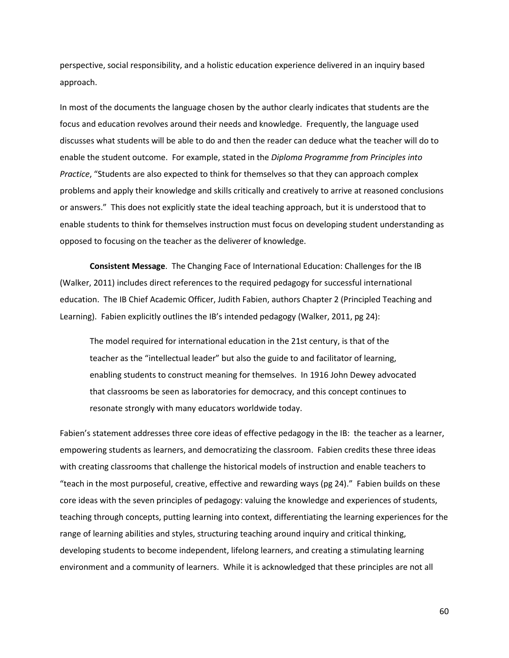perspective, social responsibility, and a holistic education experience delivered in an inquiry based approach.

In most of the documents the language chosen by the author clearly indicates that students are the focus and education revolves around their needs and knowledge. Frequently, the language used discusses what students will be able to do and then the reader can deduce what the teacher will do to enable the student outcome. For example, stated in the *Diploma Programme from Principles into Practice*, "Students are also expected to think for themselves so that they can approach complex problems and apply their knowledge and skills critically and creatively to arrive at reasoned conclusions or answers." This does not explicitly state the ideal teaching approach, but it is understood that to enable students to think for themselves instruction must focus on developing student understanding as opposed to focusing on the teacher as the deliverer of knowledge.

**Consistent Message**. The Changing Face of International Education: Challenges for the IB (Walker, 2011) includes direct references to the required pedagogy for successful international education. The IB Chief Academic Officer, Judith Fabien, authors Chapter 2 (Principled Teaching and Learning). Fabien explicitly outlines the IB's intended pedagogy (Walker, 2011, pg 24):

The model required for international education in the 21st century, is that of the teacher as the "intellectual leader" but also the guide to and facilitator of learning, enabling students to construct meaning for themselves. In 1916 John Dewey advocated that classrooms be seen as laboratories for democracy, and this concept continues to resonate strongly with many educators worldwide today.

Fabien's statement addresses three core ideas of effective pedagogy in the IB: the teacher as a learner, empowering students as learners, and democratizing the classroom. Fabien credits these three ideas with creating classrooms that challenge the historical models of instruction and enable teachers to "teach in the most purposeful, creative, effective and rewarding ways (pg 24)." Fabien builds on these core ideas with the seven principles of pedagogy: valuing the knowledge and experiences of students, teaching through concepts, putting learning into context, differentiating the learning experiences for the range of learning abilities and styles, structuring teaching around inquiry and critical thinking, developing students to become independent, lifelong learners, and creating a stimulating learning environment and a community of learners. While it is acknowledged that these principles are not all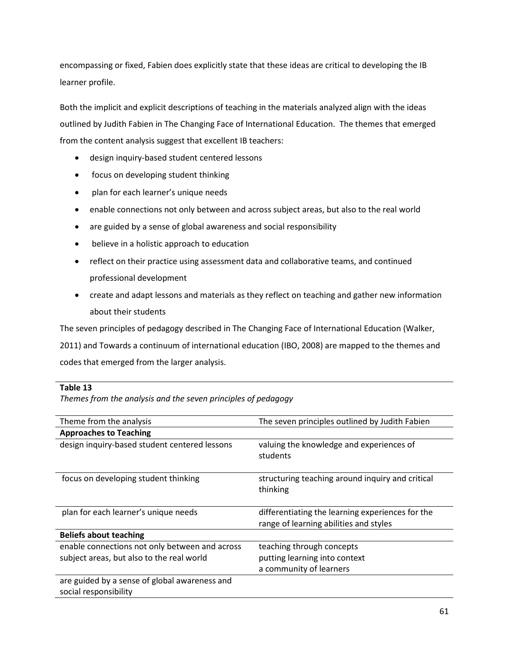encompassing or fixed, Fabien does explicitly state that these ideas are critical to developing the IB learner profile.

Both the implicit and explicit descriptions of teaching in the materials analyzed align with the ideas outlined by Judith Fabien in The Changing Face of International Education. The themes that emerged from the content analysis suggest that excellent IB teachers:

- design inquiry-based student centered lessons
- focus on developing student thinking
- plan for each learner's unique needs
- enable connections not only between and across subject areas, but also to the real world
- are guided by a sense of global awareness and social responsibility
- believe in a holistic approach to education
- reflect on their practice using assessment data and collaborative teams, and continued professional development
- create and adapt lessons and materials as they reflect on teaching and gather new information about their students

The seven principles of pedagogy described in The Changing Face of International Education (Walker,

2011) and Towards a continuum of international education (IBO, 2008) are mapped to the themes and codes that emerged from the larger analysis.

### **Table 13**

*Themes from the analysis and the seven principles of pedagogy*

| Theme from the analysis                        | The seven principles outlined by Judith Fabien               |
|------------------------------------------------|--------------------------------------------------------------|
| <b>Approaches to Teaching</b>                  |                                                              |
| design inquiry-based student centered lessons  | valuing the knowledge and experiences of<br>students         |
| focus on developing student thinking           | structuring teaching around inquiry and critical<br>thinking |
| plan for each learner's unique needs           | differentiating the learning experiences for the             |
|                                                | range of learning abilities and styles                       |
| <b>Beliefs about teaching</b>                  |                                                              |
| enable connections not only between and across | teaching through concepts                                    |
| subject areas, but also to the real world      | putting learning into context                                |
|                                                | a community of learners                                      |
| are guided by a sense of global awareness and  |                                                              |
| social responsibility                          |                                                              |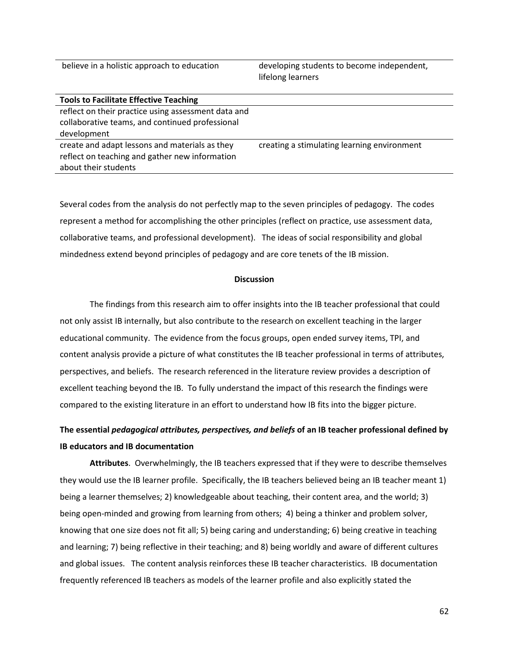believe in a holistic approach to education developing students to become independent,

lifelong learners

| <b>Tools to Facilitate Effective Teaching</b>       |                                             |
|-----------------------------------------------------|---------------------------------------------|
| reflect on their practice using assessment data and |                                             |
| collaborative teams, and continued professional     |                                             |
| development                                         |                                             |
| create and adapt lessons and materials as they      | creating a stimulating learning environment |
| reflect on teaching and gather new information      |                                             |
| about their students                                |                                             |

Several codes from the analysis do not perfectly map to the seven principles of pedagogy. The codes represent a method for accomplishing the other principles (reflect on practice, use assessment data, collaborative teams, and professional development). The ideas of social responsibility and global mindedness extend beyond principles of pedagogy and are core tenets of the IB mission.

### **Discussion**

The findings from this research aim to offer insights into the IB teacher professional that could not only assist IB internally, but also contribute to the research on excellent teaching in the larger educational community. The evidence from the focus groups, open ended survey items, TPI, and content analysis provide a picture of what constitutes the IB teacher professional in terms of attributes, perspectives, and beliefs. The research referenced in the literature review provides a description of excellent teaching beyond the IB. To fully understand the impact of this research the findings were compared to the existing literature in an effort to understand how IB fits into the bigger picture.

# **The essential** *pedagogical attributes, perspectives, and beliefs* **of an IB teacher professional defined by IB educators and IB documentation**

**Attributes**. Overwhelmingly, the IB teachers expressed that if they were to describe themselves they would use the IB learner profile. Specifically, the IB teachers believed being an IB teacher meant 1) being a learner themselves; 2) knowledgeable about teaching, their content area, and the world; 3) being open-minded and growing from learning from others; 4) being a thinker and problem solver, knowing that one size does not fit all; 5) being caring and understanding; 6) being creative in teaching and learning; 7) being reflective in their teaching; and 8) being worldly and aware of different cultures and global issues. The content analysis reinforces these IB teacher characteristics. IB documentation frequently referenced IB teachers as models of the learner profile and also explicitly stated the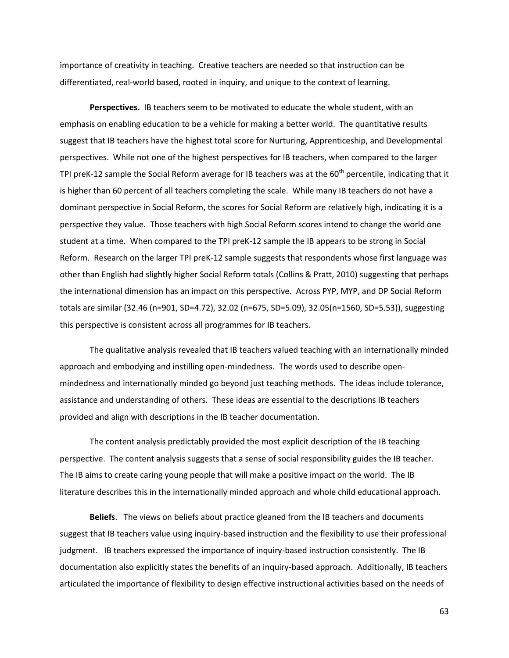importance of creativity in teaching. Creative teachers are needed so that instruction can be differentiated, real-world based, rooted in inquiry, and unique to the context of learning.

**Perspectives.** IB teachers seem to be motivated to educate the whole student, with an emphasis on enabling education to be a vehicle for making a better world. The quantitative results suggest that IB teachers have the highest total score for Nurturing, Apprenticeship, and Developmental perspectives. While not one of the highest perspectives for IB teachers, when compared to the larger TPI preK-12 sample the Social Reform average for IB teachers was at the  $60<sup>th</sup>$  percentile, indicating that it is higher than 60 percent of all teachers completing the scale. While many IB teachers do not have a dominant perspective in Social Reform, the scores for Social Reform are relatively high, indicating it is a perspective they value. Those teachers with high Social Reform scores intend to change the world one student at a time.When compared to the TPI preK-12 sample the IB appears to be strong in Social Reform. Research on the larger TPI preK-12 sample suggests that respondents whose first language was other than English had slightly higher Social Reform totals (Collins & Pratt, 2010) suggesting that perhaps the international dimension has an impact on this perspective. Across PYP, MYP, and DP Social Reform totals are similar (32.46 (n=901, SD=4.72), 32.02 (n=675, SD=5.09), 32.05(n=1560, SD=5.53)), suggesting this perspective is consistent across all programmes for IB teachers.

The qualitative analysis revealed that IB teachers valued teaching with an internationally minded approach and embodying and instilling open-mindedness. The words used to describe openmindedness and internationally minded go beyond just teaching methods. The ideas include tolerance, assistance and understanding of others. These ideas are essential to the descriptions IB teachers provided and align with descriptions in the IB teacher documentation.

The content analysis predictably provided the most explicit description of the IB teaching perspective. The content analysis suggests that a sense of social responsibility guides the IB teacher. The IB aims to create caring young people that will make a positive impact on the world. The IB literature describes this in the internationally minded approach and whole child educational approach.

**Beliefs**. The views on beliefs about practice gleaned from the IB teachers and documents suggest that IB teachers value using inquiry-based instruction and the flexibility to use their professional judgment. IB teachers expressed the importance of inquiry-based instruction consistently. The IB documentation also explicitly states the benefits of an inquiry-based approach. Additionally, IB teachers articulated the importance of flexibility to design effective instructional activities based on the needs of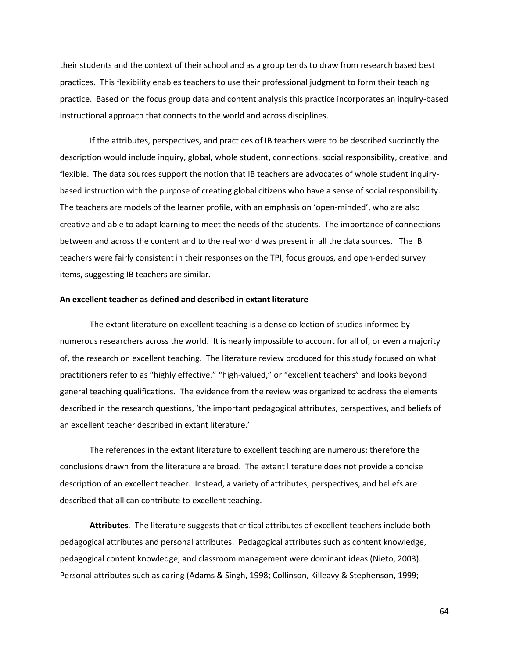their students and the context of their school and as a group tends to draw from research based best practices. This flexibility enables teachers to use their professional judgment to form their teaching practice. Based on the focus group data and content analysis this practice incorporates an inquiry-based instructional approach that connects to the world and across disciplines.

If the attributes, perspectives, and practices of IB teachers were to be described succinctly the description would include inquiry, global, whole student, connections, social responsibility, creative, and flexible. The data sources support the notion that IB teachers are advocates of whole student inquirybased instruction with the purpose of creating global citizens who have a sense of social responsibility. The teachers are models of the learner profile, with an emphasis on 'open-minded', who are also creative and able to adapt learning to meet the needs of the students. The importance of connections between and across the content and to the real world was present in all the data sources. The IB teachers were fairly consistent in their responses on the TPI, focus groups, and open-ended survey items, suggesting IB teachers are similar.

#### **An excellent teacher as defined and described in extant literature**

The extant literature on excellent teaching is a dense collection of studies informed by numerous researchers across the world. It is nearly impossible to account for all of, or even a majority of, the research on excellent teaching. The literature review produced for this study focused on what practitioners refer to as "highly effective," "high-valued," or "excellent teachers" and looks beyond general teaching qualifications. The evidence from the review was organized to address the elements described in the research questions, 'the important pedagogical attributes, perspectives, and beliefs of an excellent teacher described in extant literature.'

The references in the extant literature to excellent teaching are numerous; therefore the conclusions drawn from the literature are broad. The extant literature does not provide a concise description of an excellent teacher. Instead, a variety of attributes, perspectives, and beliefs are described that all can contribute to excellent teaching.

**Attributes***.* The literature suggests that critical attributes of excellent teachers include both pedagogical attributes and personal attributes. Pedagogical attributes such as content knowledge, pedagogical content knowledge, and classroom management were dominant ideas (Nieto, 2003). Personal attributes such as caring (Adams & Singh, 1998; Collinson, Killeavy & Stephenson, 1999;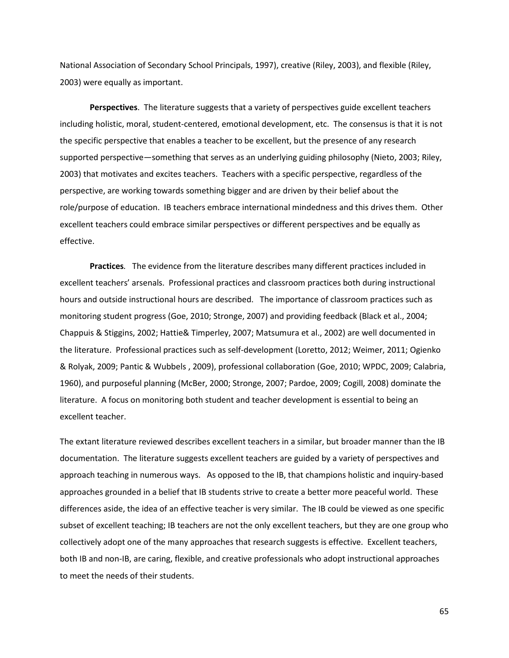National Association of Secondary School Principals, 1997), creative (Riley, 2003), and flexible (Riley, 2003) were equally as important.

**Perspectives**. The literature suggests that a variety of perspectives guide excellent teachers including holistic, moral, student-centered, emotional development, etc. The consensus is that it is not the specific perspective that enables a teacher to be excellent, but the presence of any research supported perspective—something that serves as an underlying guiding philosophy (Nieto, 2003; Riley, 2003) that motivates and excites teachers. Teachers with a specific perspective, regardless of the perspective, are working towards something bigger and are driven by their belief about the role/purpose of education. IB teachers embrace international mindedness and this drives them. Other excellent teachers could embrace similar perspectives or different perspectives and be equally as effective.

**Practices***.* The evidence from the literature describes many different practices included in excellent teachers' arsenals. Professional practices and classroom practices both during instructional hours and outside instructional hours are described. The importance of classroom practices such as monitoring student progress (Goe, 2010; Stronge, 2007) and providing feedback (Black et al., 2004; Chappuis & Stiggins, 2002; Hattie& Timperley, 2007; Matsumura et al., 2002) are well documented in the literature. Professional practices such as self-development (Loretto, 2012; Weimer, 2011; Ogienko & Rolyak, 2009; Pantic & Wubbels , 2009), professional collaboration (Goe, 2010; WPDC, 2009; Calabria, 1960), and purposeful planning (McBer, 2000; Stronge, 2007; Pardoe, 2009; Cogill, 2008) dominate the literature. A focus on monitoring both student and teacher development is essential to being an excellent teacher.

The extant literature reviewed describes excellent teachers in a similar, but broader manner than the IB documentation. The literature suggests excellent teachers are guided by a variety of perspectives and approach teaching in numerous ways. As opposed to the IB, that champions holistic and inquiry-based approaches grounded in a belief that IB students strive to create a better more peaceful world. These differences aside, the idea of an effective teacher is very similar. The IB could be viewed as one specific subset of excellent teaching; IB teachers are not the only excellent teachers, but they are one group who collectively adopt one of the many approaches that research suggests is effective. Excellent teachers, both IB and non-IB, are caring, flexible, and creative professionals who adopt instructional approaches to meet the needs of their students.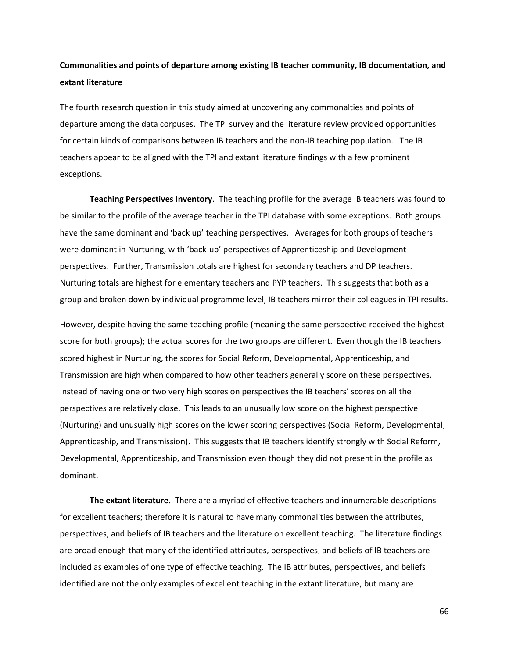# **Commonalities and points of departure among existing IB teacher community, IB documentation, and extant literature**

The fourth research question in this study aimed at uncovering any commonalties and points of departure among the data corpuses. The TPI survey and the literature review provided opportunities for certain kinds of comparisons between IB teachers and the non-IB teaching population. The IB teachers appear to be aligned with the TPI and extant literature findings with a few prominent exceptions.

**Teaching Perspectives Inventory**. The teaching profile for the average IB teachers was found to be similar to the profile of the average teacher in the TPI database with some exceptions. Both groups have the same dominant and 'back up' teaching perspectives. Averages for both groups of teachers were dominant in Nurturing, with 'back-up' perspectives of Apprenticeship and Development perspectives. Further, Transmission totals are highest for secondary teachers and DP teachers. Nurturing totals are highest for elementary teachers and PYP teachers. This suggests that both as a group and broken down by individual programme level, IB teachers mirror their colleagues in TPI results.

However, despite having the same teaching profile (meaning the same perspective received the highest score for both groups); the actual scores for the two groups are different. Even though the IB teachers scored highest in Nurturing, the scores for Social Reform, Developmental, Apprenticeship, and Transmission are high when compared to how other teachers generally score on these perspectives. Instead of having one or two very high scores on perspectives the IB teachers' scores on all the perspectives are relatively close. This leads to an unusually low score on the highest perspective (Nurturing) and unusually high scores on the lower scoring perspectives (Social Reform, Developmental, Apprenticeship, and Transmission). This suggests that IB teachers identify strongly with Social Reform, Developmental, Apprenticeship, and Transmission even though they did not present in the profile as dominant.

**The extant literature.** There are a myriad of effective teachers and innumerable descriptions for excellent teachers; therefore it is natural to have many commonalities between the attributes, perspectives, and beliefs of IB teachers and the literature on excellent teaching. The literature findings are broad enough that many of the identified attributes, perspectives, and beliefs of IB teachers are included as examples of one type of effective teaching. The IB attributes, perspectives, and beliefs identified are not the only examples of excellent teaching in the extant literature, but many are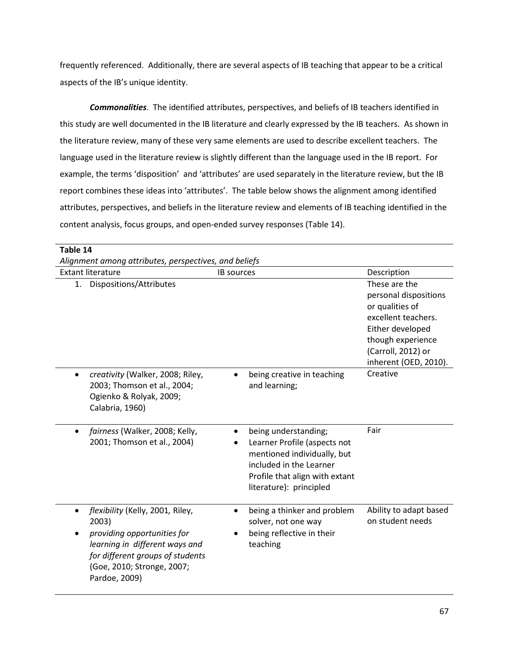frequently referenced. Additionally, there are several aspects of IB teaching that appear to be a critical aspects of the IB's unique identity.

*Commonalities*. The identified attributes, perspectives, and beliefs of IB teachers identified in this study are well documented in the IB literature and clearly expressed by the IB teachers. As shown in the literature review, many of these very same elements are used to describe excellent teachers. The language used in the literature review is slightly different than the language used in the IB report. For example, the terms 'disposition' and 'attributes' are used separately in the literature review, but the IB report combines these ideas into 'attributes'. The table below shows the alignment among identified attributes, perspectives, and beliefs in the literature review and elements of IB teaching identified in the content analysis, focus groups, and open-ended survey responses (Table 14).

| Table 14                                                                                                                                                                                                   |                                                                                                                                                                                  |                                            |  |  |
|------------------------------------------------------------------------------------------------------------------------------------------------------------------------------------------------------------|----------------------------------------------------------------------------------------------------------------------------------------------------------------------------------|--------------------------------------------|--|--|
| Alignment among attributes, perspectives, and beliefs                                                                                                                                                      |                                                                                                                                                                                  |                                            |  |  |
| <b>Extant literature</b>                                                                                                                                                                                   | <b>IB</b> sources                                                                                                                                                                | Description                                |  |  |
| Dispositions/Attributes<br>1.                                                                                                                                                                              |                                                                                                                                                                                  | These are the                              |  |  |
|                                                                                                                                                                                                            |                                                                                                                                                                                  | personal dispositions                      |  |  |
|                                                                                                                                                                                                            |                                                                                                                                                                                  | or qualities of<br>excellent teachers.     |  |  |
|                                                                                                                                                                                                            |                                                                                                                                                                                  | Either developed                           |  |  |
|                                                                                                                                                                                                            |                                                                                                                                                                                  | though experience                          |  |  |
|                                                                                                                                                                                                            |                                                                                                                                                                                  | (Carroll, 2012) or                         |  |  |
|                                                                                                                                                                                                            |                                                                                                                                                                                  | inherent (OED, 2010).                      |  |  |
| creativity (Walker, 2008; Riley,<br>$\bullet$<br>2003; Thomson et al., 2004;<br>Ogienko & Rolyak, 2009;<br>Calabria, 1960)                                                                                 | being creative in teaching<br>$\bullet$<br>and learning;                                                                                                                         | Creative                                   |  |  |
| fairness (Walker, 2008; Kelly,<br>$\bullet$<br>2001; Thomson et al., 2004)                                                                                                                                 | being understanding;<br>٠<br>Learner Profile (aspects not<br>mentioned individually, but<br>included in the Learner<br>Profile that align with extant<br>literature): principled | Fair                                       |  |  |
| flexibility (Kelly, 2001, Riley,<br>$\bullet$<br>2003)<br>providing opportunities for<br>learning in different ways and<br>for different groups of students<br>(Goe, 2010; Stronge, 2007;<br>Pardoe, 2009) | being a thinker and problem<br>solver, not one way<br>being reflective in their<br>teaching                                                                                      | Ability to adapt based<br>on student needs |  |  |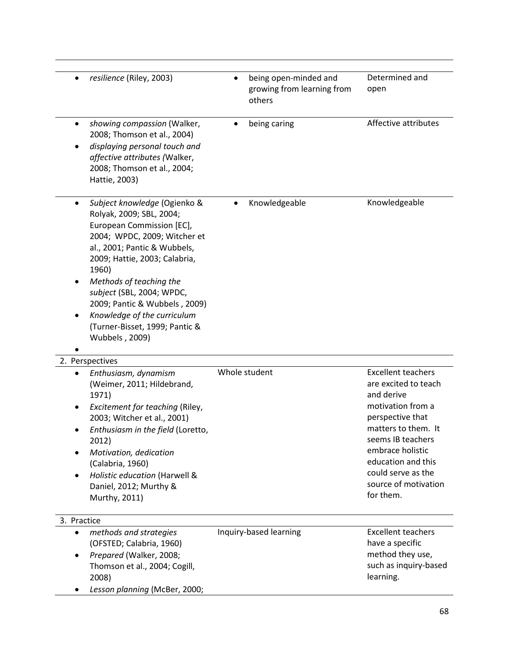| resilience (Riley, 2003)                                                                                                                                                                                                                                                                                                                                                         | being open-minded and<br>growing from learning from<br>others | Determined and<br>open                                                                                                                                                                                                                                    |
|----------------------------------------------------------------------------------------------------------------------------------------------------------------------------------------------------------------------------------------------------------------------------------------------------------------------------------------------------------------------------------|---------------------------------------------------------------|-----------------------------------------------------------------------------------------------------------------------------------------------------------------------------------------------------------------------------------------------------------|
| showing compassion (Walker,<br>٠<br>2008; Thomson et al., 2004)<br>displaying personal touch and<br>affective attributes (Walker,<br>2008; Thomson et al., 2004;<br>Hattie, 2003)                                                                                                                                                                                                | being caring                                                  | Affective attributes                                                                                                                                                                                                                                      |
| Subject knowledge (Ogienko &<br>Rolyak, 2009; SBL, 2004;<br>European Commission [EC],<br>2004; WPDC, 2009; Witcher et<br>al., 2001; Pantic & Wubbels,<br>2009; Hattie, 2003; Calabria,<br>1960)<br>Methods of teaching the<br>subject (SBL, 2004; WPDC,<br>2009; Pantic & Wubbels, 2009)<br>Knowledge of the curriculum<br>٠<br>(Turner-Bisset, 1999; Pantic &<br>Wubbels, 2009) | Knowledgeable                                                 | Knowledgeable                                                                                                                                                                                                                                             |
| 2. Perspectives                                                                                                                                                                                                                                                                                                                                                                  |                                                               |                                                                                                                                                                                                                                                           |
| Enthusiasm, dynamism<br>(Weimer, 2011; Hildebrand,<br>1971)<br>Excitement for teaching (Riley,<br>2003; Witcher et al., 2001)<br>Enthusiasm in the field (Loretto,<br>2012)<br>Motivation, dedication<br>(Calabria, 1960)<br>Holistic education (Harwell &<br>Daniel, 2012; Murthy &<br>Murthy, 2011)                                                                            | Whole student                                                 | <b>Excellent teachers</b><br>are excited to teach<br>and derive<br>motivation from a<br>perspective that<br>matters to them. It<br>seems IB teachers<br>embrace holistic<br>education and this<br>could serve as the<br>source of motivation<br>for them. |
| 3. Practice                                                                                                                                                                                                                                                                                                                                                                      |                                                               |                                                                                                                                                                                                                                                           |
| methods and strategies<br>$\bullet$<br>(OFSTED; Calabria, 1960)<br>Prepared (Walker, 2008;<br>$\bullet$<br>Thomson et al., 2004; Cogill,<br>2008)<br>Lesson planning (McBer, 2000;                                                                                                                                                                                               | Inquiry-based learning                                        | <b>Excellent teachers</b><br>have a specific<br>method they use,<br>such as inquiry-based<br>learning.                                                                                                                                                    |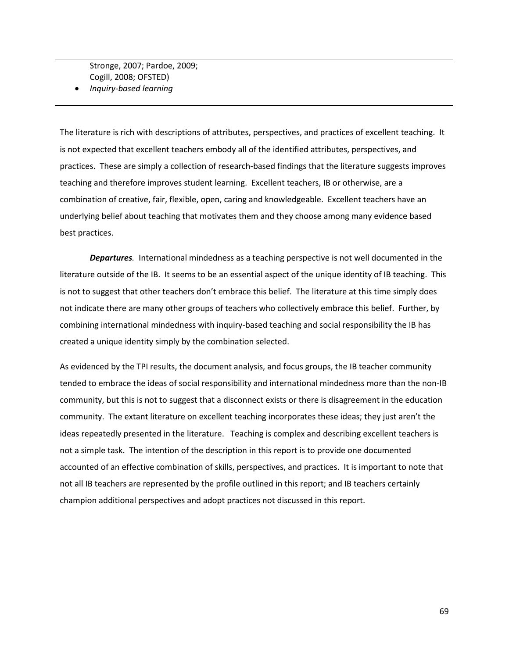Stronge, 2007; Pardoe, 2009; Cogill, 2008; OFSTED)

• *Inquiry-based learning*

The literature is rich with descriptions of attributes, perspectives, and practices of excellent teaching. It is not expected that excellent teachers embody all of the identified attributes, perspectives, and practices. These are simply a collection of research-based findings that the literature suggests improves teaching and therefore improves student learning. Excellent teachers, IB or otherwise, are a combination of creative, fair, flexible, open, caring and knowledgeable. Excellent teachers have an underlying belief about teaching that motivates them and they choose among many evidence based best practices.

*Departures.* International mindedness as a teaching perspective is not well documented in the literature outside of the IB. It seems to be an essential aspect of the unique identity of IB teaching. This is not to suggest that other teachers don't embrace this belief. The literature at this time simply does not indicate there are many other groups of teachers who collectively embrace this belief. Further, by combining international mindedness with inquiry-based teaching and social responsibility the IB has created a unique identity simply by the combination selected.

As evidenced by the TPI results, the document analysis, and focus groups, the IB teacher community tended to embrace the ideas of social responsibility and international mindedness more than the non-IB community, but this is not to suggest that a disconnect exists or there is disagreement in the education community. The extant literature on excellent teaching incorporates these ideas; they just aren't the ideas repeatedly presented in the literature. Teaching is complex and describing excellent teachers is not a simple task. The intention of the description in this report is to provide one documented accounted of an effective combination of skills, perspectives, and practices. It is important to note that not all IB teachers are represented by the profile outlined in this report; and IB teachers certainly champion additional perspectives and adopt practices not discussed in this report.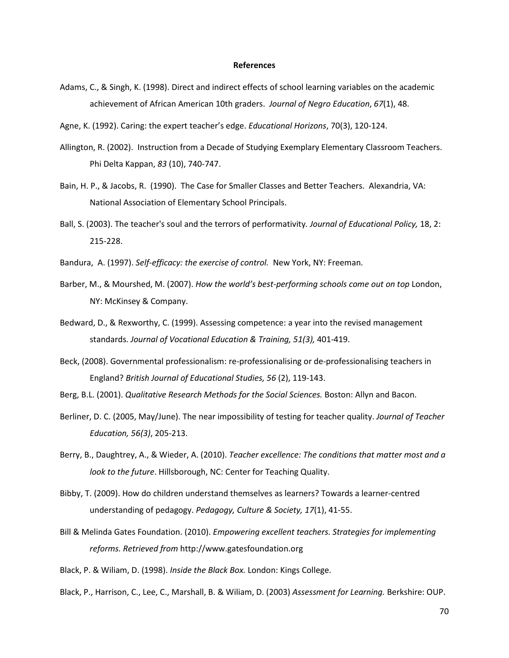#### **References**

- Adams, C., & Singh, K. (1998). Direct and indirect effects of school learning variables on the academic achievement of African American 10th graders. *Journal of Negro Education*, *67*(1), 48.
- Agne, K. (1992). Caring: the expert teacher's edge. *Educational Horizons*, 70(3), 120-124.
- Allington, R. (2002). Instruction from a Decade of Studying Exemplary Elementary Classroom Teachers. Phi Delta Kappan, *83* (10), 740-747.
- Bain, H. P., & Jacobs, R. (1990). The Case for Smaller Classes and Better Teachers. Alexandria, VA: National Association of Elementary School Principals.
- Ball, S. (2003). The teacher's soul and the terrors of performativity*[. Journal of Educational Policy,](http://www.tandfonline.com/loi/tedp20?open=18#vol_18)* 18, [2:](http://www.tandfonline.com/toc/tedp20/18/2) 215-228.
- Bandura, A. (1997). *Self-efficacy: the exercise of control.* New York, NY: Freeman.
- Barber, M., & Mourshed, M. (2007). *How the world's best-performing schools come out on top* London, NY: McKinsey & Company.
- Bedward, D., & Rexworthy, C. (1999). Assessing competence: a year into the revised management standards. *Journal of Vocational Education & Training, 51(3),* 401-419.
- Beck, (2008). Governmental professionalism: re-professionalising or de-professionalising teachers in England? *British Journal of Educational Studies, 56* (2), 119-143.
- Berg, B.L. (2001). *Qualitative Research Methods for the Social Sciences.* Boston: Allyn and Bacon.
- Berliner, D. C. (2005, May/June). The near impossibility of testing for teacher quality. *Journal of Teacher Education, 56(3)*, 205-213.
- Berry, B., Daughtrey, A., & Wieder, A. (2010). *Teacher excellence: The conditions that matter most and a look to the future*. Hillsborough, NC: Center for Teaching Quality.
- Bibby, T. (2009). How do children understand themselves as learners? Towards a learner-centred understanding of pedagogy. *Pedagogy, Culture & Society, 17*(1), 41-55.
- Bill & Melinda Gates Foundation. (2010). *Empowering excellent teachers. Strategies for implementing reforms. Retrieved from* http:/[/www.gatesfoundation.org](http://www.gatesfoundation.org/)
- Black, P. & Wiliam, D. (1998). *Inside the Black Box.* London: Kings College.
- Black, P., Harrison, C., Lee, C., Marshall, B. & Wiliam, D. (2003) *Assessment for Learning.* Berkshire: OUP.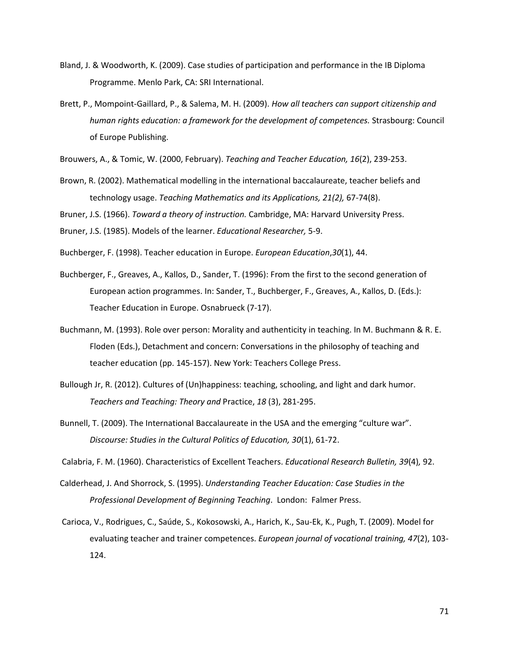- Bland, J. & Woodworth, K. (2009). Case studies of participation and performance in the IB Diploma Programme. Menlo Park, CA: SRI International.
- Brett, P., Mompoint-Gaillard, P., & Salema, M. H. (2009). *How all teachers can support citizenship and human rights education: a framework for the development of competences.* Strasbourg: Council of Europe Publishing.

Brouwers, A., & Tomic, W. (2000, February). *Teaching and Teacher [Education,](http://www.sciencedirect.com/science/journal/0742051X) 16*[\(2\)](http://www.sciencedirect.com/science/journal/0742051X/16/2), 239-253.

Brown, R. (2002). Mathematical modelling in the international baccalaureate, teacher beliefs and technology usage. *[Teaching Mathematics and its Applications,](http://www.ingentaconnect.com/content/oup/teamat;jsessionid=3qcracb8wuob0.alice) 21(2),* 67-74(8).

Bruner, J.S. (1966). *Toward a theory of instruction.* Cambridge, MA: Harvard University Press.

Bruner, J.S. (1985). Models of the learner. *Educational Researcher,* 5-9.

- Buchberger, F. (1998). Teacher education in Europe. *European Education*,*30*(1), 44.
- Buchberger, F., Greaves, A., Kallos, D., Sander, T. (1996): From the first to the second generation of European action programmes. In: Sander, T., Buchberger, F., Greaves, A., Kallos, D. (Eds.): Teacher Education in Europe. Osnabrueck (7-17).
- Buchmann, M. (1993). Role over person: Morality and authenticity in teaching. In M. Buchmann & R. E. Floden (Eds.), Detachment and concern: Conversations in the philosophy of teaching and teacher education (pp. 145-157). New York: Teachers College Press.
- Bullough Jr, R. (2012). Cultures of (Un)happiness: teaching, schooling, and light and dark humor. *Teachers and Teaching: Theory and* Practice, *18* (3), 281-295.
- Bunnell, T. (2009). The International Baccalaureate in the USA and the emerging "culture war". *Discourse: Studies in the Cultural Politics of Education, 30*(1), 61-72.

Calabria, F. M. (1960). Characteristics of Excellent Teachers. *Educational Research Bulletin, [39](http://www.jstor.org/stable/i264619)*(4)*,* 92.

- Calderhead, J. And Shorrock, S. (1995). *Understanding Teacher Education: Case Studies in the Professional Development of Beginning Teaching*. London: Falmer Press.
- Carioca, V., Rodrigues, C., Saúde, S., Kokosowski, A., Harich, K., Sau-Ek, K., Pugh, T. (2009). Model for evaluating teacher and trainer competences. *European journal of vocational training, 47*(2), 103- 124.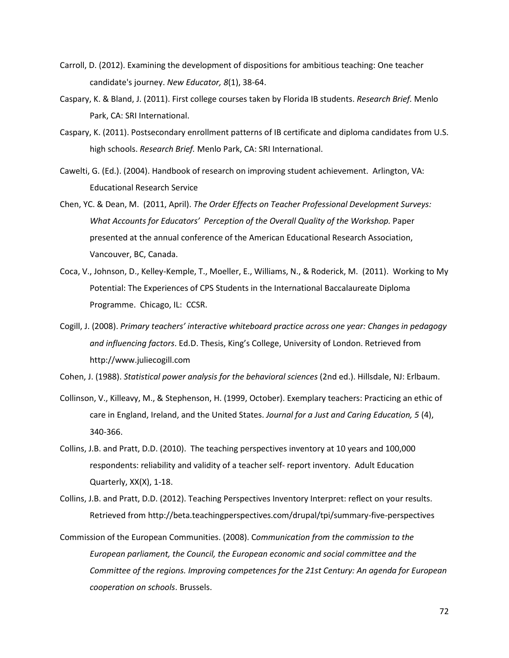- Carroll, D. (2012). Examining the development of dispositions for ambitious teaching: One teacher candidate's journey. *New Educator, 8*(1), 38-64.
- Caspary, K. & Bland, J. (2011). First college courses taken by Florida IB students. *Research Brief.* Menlo Park, CA: SRI International.
- Caspary, K. (2011). Postsecondary enrollment patterns of IB certificate and diploma candidates from U.S. high schools. *Research Brief.* Menlo Park, CA: SRI International.
- Cawelti, G. (Ed.). (2004). Handbook of research on improving student achievement. Arlington, VA: Educational Research Service
- Chen, YC. & Dean, M. (2011, April). *The Order Effects on Teacher Professional Development Surveys: What Accounts for Educators' Perception of the Overall Quality of the Workshop.* Paper presented at the annual conference of the American Educational Research Association, Vancouver, BC, Canada.
- Coca, V., Johnson, D., Kelley-Kemple, T., Moeller, E., Williams, N., & Roderick, M. (2011). Working to My Potential: The Experiences of CPS Students in the International Baccalaureate Diploma Programme. Chicago, IL: CCSR.
- Cogill, J. (2008). *Primary teachers' interactive whiteboard practice across one year: Changes in pedagogy and influencing factors*. Ed.D. Thesis, King's College, University of London. Retrieved from http:/[/www.juliecogill.com](http://www.juliecogill.com/)

Cohen, J. (1988). *Statistical power analysis for the behavioral sciences* (2nd ed.). Hillsdale, NJ: Erlbaum.

- Collinson, V., Killeavy, M., & Stephenson, H. (1999, October). Exemplary teachers: Practicing an ethic of care in England, Ireland, and the United States. *Journal for a Just and Caring Education, 5* (4), 340-366.
- Collins, J.B. and Pratt, D.D. (2010). The teaching perspectives inventory at 10 years and 100,000 respondents: reliability and validity of a teacher self- report inventory. Adult Education Quarterly, XX(X), 1-18.
- Collins, J.B. and Pratt, D.D. (2012). Teaching Perspectives Inventory Interpret: reflect on your results. Retrieved from http://beta.teachingperspectives.com/drupal/tpi/summary-five-perspectives
- Commission of the European Communities. (2008). C*ommunication from the commission to the European parliament, the Council, the European economic and social committee and the Committee of the regions. Improving competences for the 21st Century: An agenda for European cooperation on schools*. Brussels.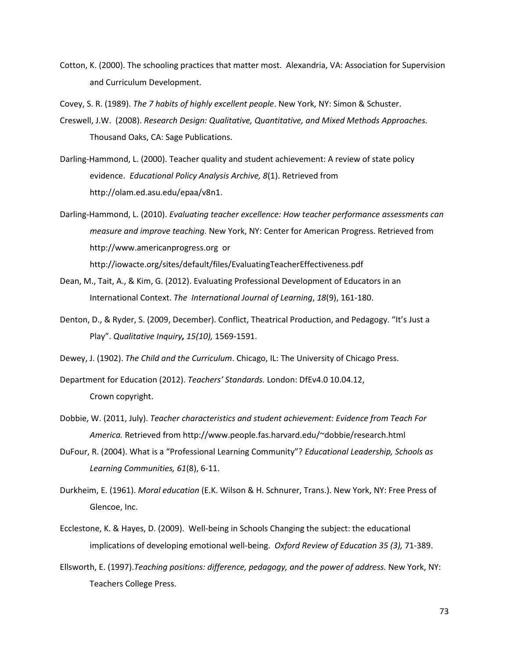Cotton, K. (2000). The schooling practices that matter most. Alexandria, VA: Association for Supervision and Curriculum Development.

Covey, S. R. (1989). *The 7 habits of highly excellent people*. New York, NY: Simon & Schuster.

- Creswell, J.W. (2008). *Research Design: Qualitative, Quantitative, and Mixed Methods Approaches.* Thousand Oaks, CA: Sage Publications.
- Darling-Hammond, L. (2000). Teacher quality and student achievement: A review of state policy evidence. *Educational Policy Analysis Archive, 8*(1). Retrieved from http://olam.ed.asu.edu/epaa/v8n1.
- Darling-Hammond, L. (2010). *Evaluating teacher excellence: How teacher performance assessments can measure and improve teaching.* New York, NY: Center for American Progress. Retrieved from http:/[/www.americanprogress.org](http://www.americanprogress.org/) or <http://iowacte.org/sites/default/files/EvaluatingTeacherEffectiveness.pdf>
- Dean, M., Tait, A., & Kim, G. (2012). Evaluating Professional Development of Educators in an International Context. *The International Journal of Learning*, *18*(9), 161-180.
- Denton, D., & Ryder, S. (2009, December). Conflict, Theatrical Production, and Pedagogy. "It's Just a Play". *Qualitative Inquiry, 15(10),* 1569-1591.

Dewey, J. (1902). *The Child and the Curriculum*. Chicago, IL: The University of Chicago Press.

Department for Education (2012). *Teachers' Standards.* London: DfEv4.0 10.04.12, Crown copyright.

- Dobbie, W. (2011, July). *Teacher characteristics and student achievement: Evidence from Teach For America.* Retrieved from http:/[/www.people.fas.harvard.edu/~dobbie/research.html](http://www.people.fas.harvard.edu/~dobbie/research.html)
- DuFour, R. (2004). What is a "Professional Learning Community"? *Educational Leadership, Schools as Learning Communities, 61*(8), 6-11.
- Durkheim, E. (1961). *Moral education* (E.K. Wilson & H. Schnurer, Trans.). New York, NY: Free Press of Glencoe, Inc.
- [Ecclestone,](http://www.tandfonline.com/action/doSearch?action=runSearch&type=advanced&result=true&prevSearch=%2Bauthorsfield%3A(Ecclestone%2C+Kathryn)) K. & [Hayes,](http://www.tandfonline.com/action/doSearch?action=runSearch&type=advanced&result=true&prevSearch=%2Bauthorsfield%3A(Hayes%2C+Dennis)) D. (2009). Well-being in Schools Changing the subject: the educational implications of developing emotional well-being. *Oxford Review of Education 35 (3),* 71-389.
- [Ellsworth, E.](http://eric.ed.gov/ERICWebPortal/search/simpleSearch.jsp;jsessionid=rv2Uv8wOhCJgbJHUfIcZRg__.ericsrv003?_pageLabel=ERICSearchResult&_urlType=action&newSearch=true&ERICExtSearch_SearchType_0=au&ERICExtSearch_SearchValue_0=%22Ellsworth+Elizabeth%22) (1997).*Teaching positions: difference, pedagogy, and the power of address.* New York, NY: Teachers College Press.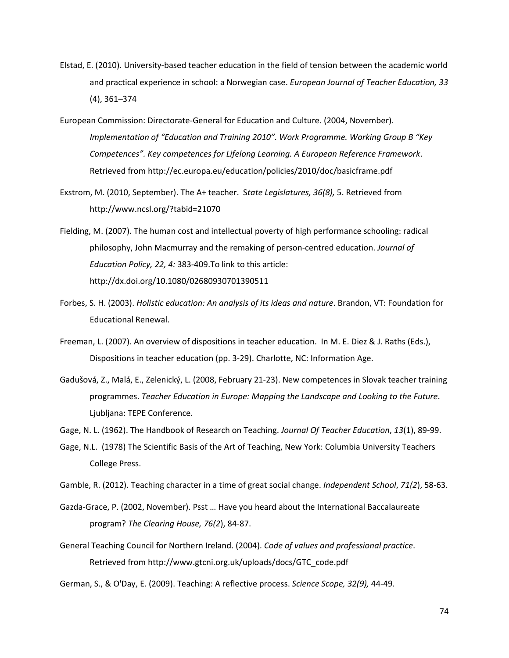- Elstad, E. (2010). University-based teacher education in the field of tension between the academic world and practical experience in school: a Norwegian case. *European Journal of Teacher Education, 33*  (4), 361–374
- European Commission: Directorate-General for Education and Culture. (2004, November). *Implementation of "Education and Training 2010". Work Programme. Working Group B "Key Competences". Key competences for Lifelong Learning. A European Reference Framework*. Retrieved from http://ec.europa.eu/education/policies/2010/doc/basicframe.pdf
- Exstrom, M. (2010, September). The A+ teacher. S*tate Legislatures, 36(8),* 5. Retrieved from <http://www.ncsl.org/?tabid=21070>
- Fielding, M. (2007). The human cost and intellectual poverty of high performance schooling: radical philosophy, John Macmurray and the remaking of person-centred education. *Journal of Education Policy, 22, 4:* 383-409.To link to this article: http://dx.doi.org/10.1080/02680930701390511
- Forbes, S. H. (2003). *Holistic education: An analysis of its ideas and nature*. Brandon, VT: Foundation for Educational Renewal.
- Freeman, L. (2007). An overview of dispositions in teacher education. In M. E. Diez & J. Raths (Eds.), Dispositions in teacher education (pp. 3-29). Charlotte, NC: Information Age.
- Gadušová, Z., Malá, E., Zelenický, L. (2008, February 21-23). New competences in Slovak teacher training programmes. *Teacher Education in Europe: Mapping the Landscape and Looking to the Future*. Ljubljana: TEPE Conference.

Gage, N. L. (1962). The Handbook of Research on Teaching. *Journal Of Teacher Education*, *13*(1), 89-99.

Gage, N.L. (1978) The Scientific Basis of the Art of Teaching, New York: Columbia University Teachers College Press.

Gamble, R. (2012). Teaching character in a time of great social change. *Independent School*, *71(2*), 58-63.

- [Gazda-Grace, P.](http://wlv.summon.serialssolutions.com/search?s.dym=false&s.q=Author%3A%22Gazda-grace%2C+Patricia%22) (2002, November). [Psst … Have you heard about the International Baccalaureate](http://wlv.summon.serialssolutions.com/link/0/eLvHCXMwY2BQsDRKSzOxMEpJNDRNSUxMBdbxaWmJBmnGxmlp5qmW4MF8pJP2meBH5KBedTTEYzmguLhEG7pgwdFM2wN0lxAwA4N2FxWlQFcdI9ZHwgb-nBKBIZqTCFqQXpIK2isAWqKFtsQPfKEd6E4J0FiCR34pYhLHPbEqJVEXqAUy_g455D8zEWX8wAi6kQ65TLTUBW1PRS4TIXeyQOPeCKmAg9znhlJVYhTC8FWLlkBjgc1R0PkvllDzUQ68RquI4MsDDeHnlqIZAaxqDY1NQYWXp6sjfLIIdLwx7MI8kEdgk9egI9TRTUBpfkBWoGLUwuCaMkSQgR_aJ1BwhESvEANTap4w6Dpt6NIbPs7vU-py3Jz37Jf6tlawKsAWAEK07nc)  [program?](http://wlv.summon.serialssolutions.com/link/0/eLvHCXMwY2BQsDRKSzOxMEpJNDRNSUxMBdbxaWmJBmnGxmlp5qmW4MF8pJP2meBH5KBedTTEYzmguLhEG7pgwdFM2wN0lxAwA4N2FxWlQFcdI9ZHwgb-nBKBIZqTCFqQXpIK2isAWqKFtsQPfKEd6E4J0FiCR34pYhLHPbEqJVEXqAUy_g455D8zEWX8wAi6kQ65TLTUBW1PRS4TIXeyQOPeCKmAg9znhlJVYhTC8FWLlkBjgc1R0PkvllDzUQ68RquI4MsDDeHnlqIZAaxqDY1NQYWXp6sjfLIIdLwx7MI8kEdgk9egI9TRTUBpfkBWoGLUwuCaMkSQgR_aJ1BwhESvEANTap4w6Dpt6NIbPs7vU-py3Jz37Jf6tlawKsAWAEK07nc) *The Clearing House, 76(2*), 84-87.
- General Teaching Council for Northern Ireland. (2004). *Code of values and professional practice*. Retrieved from http://www.gtcni.org.uk/uploads/docs/GTC\_code.pdf

German, S., & O'Day, E. (2009). Teaching: A reflective process. *Science Scope, 32(9),* 44-49.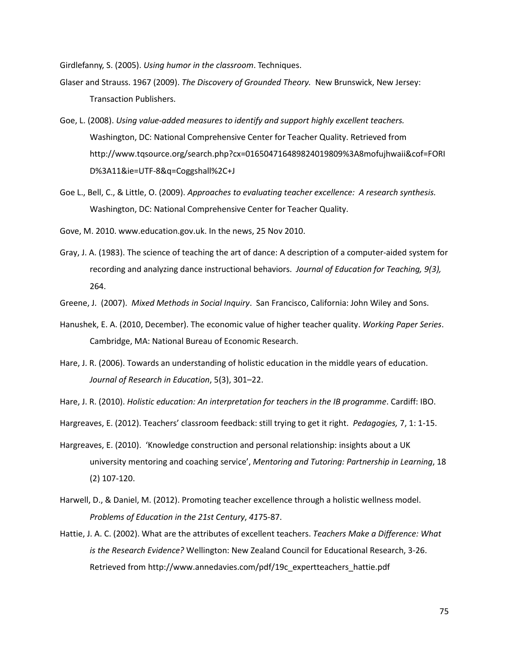Girdlefanny, S. (2005). *Using humor in the classroom*. Techniques.

- Glaser and Strauss. 1967 (2009). *The Discovery of Grounded Theory.* New Brunswick, New Jersey: Transaction Publishers.
- Goe, L. (2008). *Using value-added measures to identify and support highly excellent teachers.*  Washington, DC: National Comprehensive Center for Teacher Quality. Retrieved from [http://www.tqsource.org/search.php?cx=016504716489824019809%3A8mofujhwaii&cof=FORI](http://www.tqsource.org/search.php?cx=016504716489824019809%3A8mofujhwaii&cof=FORID%3A11&ie=UTF-8&q=Coggshall%2C+J) [D%3A11&ie=UTF-8&q=Coggshall%2C+J](http://www.tqsource.org/search.php?cx=016504716489824019809%3A8mofujhwaii&cof=FORID%3A11&ie=UTF-8&q=Coggshall%2C+J)
- Goe L., Bell, C., & Little, O. (2009). *Approaches to evaluating teacher excellence: A research synthesis.* Washington, DC: National Comprehensive Center for Teacher Quality.

Gove, M. 2010. www.education.gov.uk. [In the news,](http://www.google.co.uk/url?url=http://www.education.gov.uk/inthenews&rct=j&sa=X&ei=bdAPUIGuLaej0QWxrIGAAg&ved=0CEwQ6QUoADAA&q=Teaching+is+a+craft+and+it+is+best+learnt+as+an+apprentice+observing+a+master+craftsman+or+woman.+Watching+others,+and+being+rigorously+observed+yourself+as+you+develop,+is+the+best+route+to+acquiring+mastery+in+the+classroom+&usg=AFQjCNGBFM6xm206DcFEve58evy8cdp3pg) 25 Nov 2010.

Gray, J. A. (1983). The science of teaching the art of dance: A description of a computer-aided system for recording and analyzing dance instructional behaviors. *Journal of Education for Teaching, 9(3),*  264.

Greene, J. (2007). *Mixed Methods in Social Inquiry*. San Francisco, California: John Wiley and Sons.

- Hanushek, E. A. (2010, December). The economic value of higher teacher quality. *Working Paper Series*. Cambridge, MA: National Bureau of Economic Research.
- Hare, J. R. (2006). Towards an understanding of holistic education in the middle years of education. *Journal of Research in Education*, 5(3), 301–22.

Hare, J. R. (2010). *Holistic education: An interpretation for teachers in the IB programme*. Cardiff: IBO.

Hargreaves, E. (2012). Teachers' classroom feedback: still trying to get it right. *Pedagogies,* 7, 1: 1-15.

- Hargreaves, E. (2010). 'Knowledge construction and personal relationship: insights about a UK university mentoring and coaching service', *Mentoring and Tutoring: Partnership in Learning*, 18 (2) 107-120.
- Harwell, D., & Daniel, M. (2012). Promoting teacher excellence through a holistic wellness model. *Problems of Education in the 21st Century*, *41*75-87.
- Hattie, J. A. C. (2002). What are the attributes of excellent teachers. *Teachers Make a Difference: What is the Research Evidence?* Wellington: New Zealand Council for Educational Research, 3-26. Retrieved from [http://www.annedavies.com/pdf/19c\\_expertteachers\\_hattie.pdf](http://www.annedavies.com/pdf/19c_expertteachers_hattie.pdf)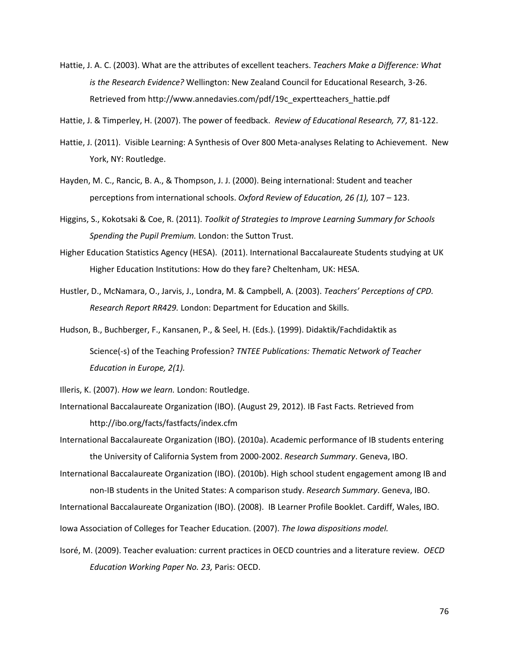- Hattie, J. A. C. (2003). What are the attributes of excellent teachers. *Teachers Make a Difference: What is the Research Evidence?* Wellington: New Zealand Council for Educational Research, 3-26. Retrieved from [http://www.annedavies.com/pdf/19c\\_expertteachers\\_hattie.pdf](http://www.annedavies.com/pdf/19c_expertteachers_hattie.pdf)
- Hattie, J. & Timperley, H. (2007). The power of feedback. *Review of Educational Research, 77,* 81-122.
- Hattie, J. (2011). Visible Learning: A Synthesis of Over 800 Meta-analyses Relating to Achievement. New York, NY: Routledge.
- [Hayden, M. C.](http://wlv.summon.serialssolutions.com/search?s.dym=false&s.q=Author%3A%22Hayden%2C+M.+C%22), [Rancic, B. A.](http://wlv.summon.serialssolutions.com/search?s.dym=false&s.q=Author%3A%22Rancic%2C+B.+A%22), [& Thompson, J. J.](http://wlv.summon.serialssolutions.com/search?s.dym=false&s.q=Author%3A%22Thompson%2C+J.+J%22) (2000). [Being international: Student and teacher](http://wlv.summon.serialssolutions.com/link/0/eLvHCXMwY2BQsDRKSzOxMEpJNDRNSUxMBdbxaWmJBmnGxmlp5qmW4MF8pJP2EUuaUa86GuKx7JQKmfFHGtYD9fGDISdWQpZHQs9sLkAsYYFsKslEGQwsBh_HWYzcWIVuJgyC726BrwZBlFuV0HLLVw8x3hoEOsMDfHO6kx5irBSx9ASYbvSg01Gw8QYDxIIr2D4rA1NdE0vIRTuwMhSy6x0lrUAKROidttC61RCytxij2IaucwSaDDQYfPWEBeQSUdQDstEqLvhyQkPYOaeoBgArZkNjU1BRFxQcjtTGsjQxQj6zDthGNrVA6bNaGCBN9VqADtkDtaGh1Tt01wY8GGDnRYEObEe1H6WpA1ntiqXGB1XjIYIM_NAOiIIjJC0JMTCl5gmD7u6GxizfxdDY9hmXHRwmaThOqmTxOQAAkV4NsQ)  [perceptions from international schools.](http://wlv.summon.serialssolutions.com/link/0/eLvHCXMwY2BQsDRKSzOxMEpJNDRNSUxMBdbxaWmJBmnGxmlp5qmW4MF8pJP2EUuaUa86GuKx7JQKmfFHGtYD9fGDISdWQpZHQs9sLkAsYYFsKslEGQwsBh_HWYzcWIVuJgyC726BrwZBlFuV0HLLVw8x3hoEOsMDfHO6kx5irBSx9ASYbvSg01Gw8QYDxIIr2D4rA1NdE0vIRTuwMhSy6x0lrUAKROidttC61RCytxij2IaucwSaDDQYfPWEBeQSUdQDstEqLvhyQkPYOaeoBgArZkNjU1BRFxQcjtTGsjQxQj6zDthGNrVA6bNaGCBN9VqADtkDtaGh1Tt01wY8GGDnRYEObEe1H6WpA1ntiqXGB1XjIYIM_NAOiIIjJC0JMTCl5gmD7u6GxizfxdDY9hmXHRwmaThOqmTxOQAAkV4NsQ) *Oxford Review of Education, 26 (1),* 107 – 123.
- Higgins, S., Kokotsaki & Coe, R. (2011). *Toolkit of Strategies to Improve Learning Summary for Schools Spending the Pupil Premium.* London: the Sutton Trust.
- Higher Education Statistics Agency (HESA). (2011). International Baccalaureate Students studying at UK Higher Education Institutions: How do they fare? Cheltenham, UK: HESA.
- Hustler, D., McNamara, O., Jarvis, J., Londra, M. & Campbell, A. (2003). *Teachers' Perceptions of CPD. Research Report RR429.* London: Department for Education and Skills.
- Hudson, B., Buchberger, F., Kansanen, P., & Seel, H. (Eds.). (1999). Didaktik/Fachdidaktik as
	- Science(-s) of the Teaching Profession? *TNTEE Publications: Thematic Network of Teacher Education in Europe, 2(1).*

Illeris, K. (2007). *How we learn.* London: Routledge.

- International Baccalaureate Organization (IBO). (August 29, 2012). IB Fast Facts. Retrieved from http://ibo.org/facts/fastfacts/index.cfm
- International Baccalaureate Organization (IBO). (2010a). Academic performance of IB students entering the University of California System from 2000-2002. *Research Summary*. Geneva, IBO.
- International Baccalaureate Organization (IBO). (2010b). High school student engagement among IB and non-IB students in the United States: A comparison study. *Research Summary*. Geneva, IBO.
- International Baccalaureate Organization (IBO). (2008). IB Learner Profile Booklet. Cardiff, Wales, IBO.
- Iowa Association of Colleges for Teacher Education. (2007). *The Iowa dispositions model.*
- Isoré, M. (2009). Teacher evaluation: current practices in OECD countries and a literature review*. OECD Education Working Paper No. 23,* Paris: OECD.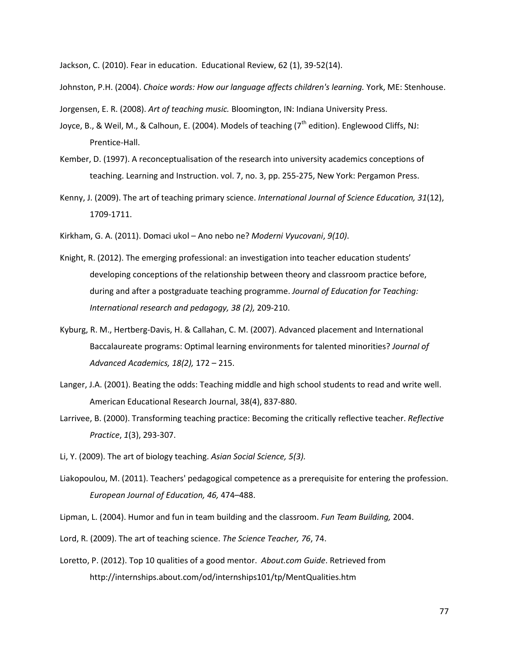Jackson, C. (2010). Fear in education. Educational Review, 62 (1), 39-52(14).

Johnston, P.H. (2004). *Choice words: How our language affects children's learning.* York, ME: Stenhouse.

Jorgensen, E. R. (2008). *Art of teaching music.* Bloomington, IN: Indiana University Press.

- Joyce, B., & Weil, M., & Calhoun, E. (2004). Models of teaching (7<sup>th</sup> edition). Englewood Cliffs, NJ: Prentice-Hall.
- Kember, D. (1997). A reconceptualisation of the research into university academics conceptions of teaching. Learning and Instruction. vol. 7, no. 3, pp. 255-275, New York: Pergamon Press.
- Kenny, J. (2009). The art of teaching primary science. *International Journal of Science Education, 31*(12), 1709-1711.
- Kirkham, G. A. (2011). Domaci ukol Ano nebo ne? *Moderni Vyucovani*, *9(10)*.
- Knight, R. (2012). The emerging professional: an investigation into teacher education students' developing conceptions of the relationship between theory and classroom practice before, during and after a postgraduate teaching programme. *Journal of Education for Teaching: International research and pedagogy, 38 (2),* 209-210.
- Kyburg, R. M., Hertberg-Davis, H. & Callahan, C. M. (2007). [Advanced placement and International](http://go.galegroup.com/ps/retrieve.do?sgHitCountType=None&sort=DA-SORT&inPS=true&prodId=EAIM&userGroupName=wolverhamptonw&tabID=T002&searchId=R5&resultListType=RESULT_LIST&contentSegment=&searchType=AdvancedSearchForm¤tPosition=1&contentSet=GALE%7CA167103577&&docId=GALE|A167103577&docType=GALE&role=)  [Baccalaureate programs: Optimal learning environments for talented minorities?](http://go.galegroup.com/ps/retrieve.do?sgHitCountType=None&sort=DA-SORT&inPS=true&prodId=EAIM&userGroupName=wolverhamptonw&tabID=T002&searchId=R5&resultListType=RESULT_LIST&contentSegment=&searchType=AdvancedSearchForm¤tPosition=1&contentSet=GALE%7CA167103577&&docId=GALE|A167103577&docType=GALE&role=) *Journal of Advanced Academics, 18(2),* 172 – 215.
- Langer, J.A. (2001). Beating the odds: Teaching middle and high school students to read and write well. American Educational Research Journal, 38(4), 837-880.
- Larrivee, B. (2000). Transforming teaching practice: Becoming the critically reflective teacher. *Reflective Practice*, *1*(3), 293-307.
- Li, Y. (2009). The art of biology teaching. *[Asian Social Science,](http://www.doaj.org/doaj?func=openurl&issn=19112017&genre=journal&uiLanguage=en) 5(3).*
- Liakopoulou, M. (2011). Teachers' pedagogical competence as a prerequisite for entering the profession. *European Journal of Education, 46,* 474–488.
- Lipman, L. (2004). Humor and fun in team building and the classroom. *Fun Team Building,* 2004.
- Lord, R. (2009). The art of teaching science. *The Science Teacher, 76*, 74.
- [Loretto,](http://internships.about.com/bio/Penny-Loretto-25594.htm) P. (2012). Top 10 qualities of a good mentor. *About.com Guide*. Retrieved from <http://internships.about.com/od/internships101/tp/MentQualities.htm>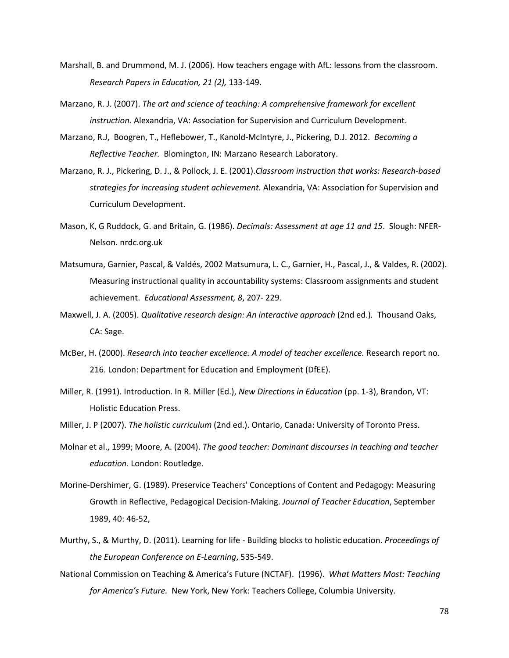- Marshall, B. and Drummond, M. J. (2006). How teachers engage with AfL: lessons from the classroom. *Research Papers in Education, 21 (2),* 133-149.
- Marzano, R. J. (2007). *The art and science of teaching: A comprehensive framework for excellent instruction.* Alexandria, VA: Association for Supervision and Curriculum Development.
- Marzano, R.J, Boogren, T., Heflebower, T., Kanold-McIntyre, J., Pickering, D.J. 2012. *Becoming a Reflective Teacher.* Blomington, IN: Marzano Research Laboratory.
- Marzano, R. J., Pickering, D. J., & Pollock, J. E. (2001).*Classroom instruction that works: Research-based strategies for increasing student achievement.* Alexandria, VA: Association for Supervision and Curriculum Development.
- Mason, K, G Ruddock, G. and Britain, G. (1986). *Decimals: Assessment at age 11 and 15*. Slough: NFER-Nelson. nrdc.org.uk
- Matsumura, Garnier, Pascal, & Valdés, 2002 Matsumura, L. C., Garnier, H., Pascal, J., & Valdes, R. (2002). Measuring instructional quality in accountability systems: Classroom assignments and student achievement. *Educational Assessment, 8*, 207- 229.
- Maxwell, J. A. (2005). *Qualitative research design: An interactive approach* (2nd ed.)*.* Thousand Oaks, CA: Sage.
- McBer, H. (2000). *Research into teacher excellence. A model of teacher excellence.* Research report no. 216. London: Department for Education and Employment (DfEE).
- Miller, R. (1991). Introduction. In R. Miller (Ed.), *New Directions in Education* (pp. 1-3), Brandon, VT: Holistic Education Press.
- Miller, J. P (2007). *The holistic curriculum* (2nd ed.). Ontario, Canada: University of Toronto Press.
- Molnar et al., 1999; Moore, A. (2004). *The good teacher: Dominant discourses in teaching and teacher education.* London: Routledge.
- Morine-Dershimer, G. (1989). Preservice Teachers' Conceptions of Content and Pedagogy: Measuring Growth in Reflective, Pedagogical Decision-Making. *Journal of Teacher Education*, September 1989, 40: 46-52,
- Murthy, S., & Murthy, D. (2011). Learning for life Building blocks to holistic education. *Proceedings of the European Conference on E-Learning*, 535-549.
- National Commission on Teaching & America's Future (NCTAF). (1996). *What Matters Most: Teaching for America's Future.* New York, New York: Teachers College, Columbia University.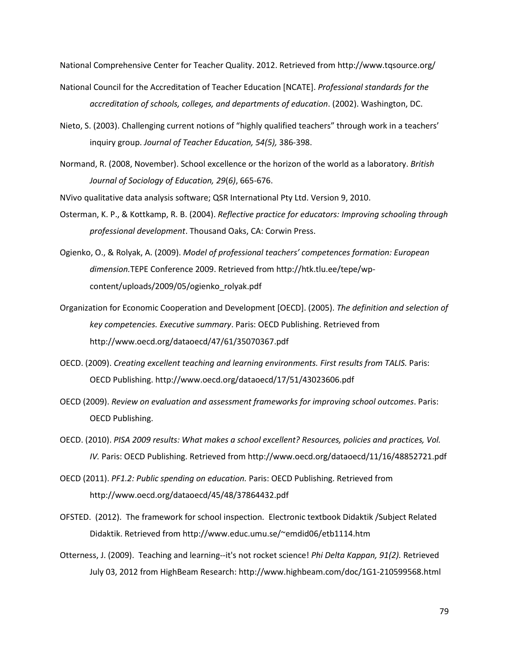National Comprehensive Center for Teacher Quality. 2012. Retrieved from [http://www.tqsource.org/](http://www.tqsource.org/search.php?cx=016504716489824019809%3A8mofujhwaii&cof=FORID%3A11&ie=UTF-8&q=Coggshall%2C+J)

- National Council for the Accreditation of Teacher Education [NCATE]. *Professional standards for the accreditation of schools, colleges, and departments of education*. (2002). Washington, DC.
- Nieto, S. (2003)[. Challenging current notions of "highly qualified teachers" through work in a](http://wlv.summon.serialssolutions.com/link/0/eLvHCXMw1Z0_TsMwFMYjFjYQ9AJdmBDCtWNsjxUwsDAxsCYkkZAQzB26IPUS3Zi4CDNX4ABcgvfZjvPsqgdgjCp5qJ2X7_3x76uquZOtFLbpbCc6K3oxDC3phK41TwYuqgVpPzXZC6ujf77L19ELxXfvI2rp_i1Nt51JiUGOl9W5Z2UM0JuR4Uz7J5NLD0rmqHw07Fczjgmz-tSuih2J0GlQZGp09N6hCcM4z01WXFDxll0qLrK5obJ-iGsAlO0seCgNPOh4ZDSLi2rkXYenYDy9G719_9jLClpYKAonKlgg56Ds4gOWxgr3r0Hf6IXSiHp3t0vWZaWEk8s30PQzlo-qMzaOAZ2PyUGLpjHH7-W4NKlIr_F7xqDjc5xb7YTWGR7OOcnTOwcYEdcOtmbraQ2UNIufmFe-muSpMRRxkV6ne8LeMjNt3dS2vyz_sFymTblXNu4ICfZwUh3HUzdfhtfgtDroX2ewHY8n7-hj_TvbXNzI95_Px-3X9-EfRfs5DA) teachers' [inquiry group.](http://wlv.summon.serialssolutions.com/link/0/eLvHCXMw1Z0_TsMwFMYjFjYQ9AJdmBDCtWNsjxUwsDAxsCYkkZAQzB26IPUS3Zi4CDNX4ABcgvfZjvPsqgdgjCp5qJ2X7_3x76uquZOtFLbpbCc6K3oxDC3phK41TwYuqgVpPzXZC6ujf77L19ELxXfvI2rp_i1Nt51JiUGOl9W5Z2UM0JuR4Uz7J5NLD0rmqHw07Fczjgmz-tSuih2J0GlQZGp09N6hCcM4z01WXFDxll0qLrK5obJ-iGsAlO0seCgNPOh4ZDSLi2rkXYenYDy9G719_9jLClpYKAonKlgg56Ds4gOWxgr3r0Hf6IXSiHp3t0vWZaWEk8s30PQzlo-qMzaOAZ2PyUGLpjHH7-W4NKlIr_F7xqDjc5xb7YTWGR7OOcnTOwcYEdcOtmbraQ2UNIufmFe-muSpMRRxkV6ne8LeMjNt3dS2vyz_sFymTblXNu4ICfZwUh3HUzdfhtfgtDroX2ewHY8n7-hj_TvbXNzI95_Px-3X9-EfRfs5DA) *Journal of Teacher Education, 54(5),* 386-398.
- Normand, R. (2008, November). School excellence or the horizon of the world as a laboratory. *[British](http://www.informaworld.com/smpp/title~db=all~content=t713409002)  [Journal of Sociology of Education,](http://www.informaworld.com/smpp/title~db=all~content=t713409002) [29](http://www.informaworld.com/smpp/title~db=all~content=t713409002~tab=issueslist~branches=29#v29)*(*[6\)](http://www.informaworld.com/smpp/title~db=all~content=g905314088)*, 665-676.

NVivo qualitative data analysis software; QSR International Pty Ltd. Version 9, 2010.

- Osterman, K. P., & Kottkamp, R. B. (2004). *Reflective practice for educators: Improving schooling through professional development*. Thousand Oaks, CA: Corwin Press.
- Ogienko, O., & Rolyak, A. (2009). *Model of professional teachers' competences formation: European dimension.*TEPE Conference 2009. Retrieved from [http://htk.tlu.ee/tepe/wp](http://htk.tlu.ee/tepe/wp-content/uploads/2009/05/ogienko_rolyak.pdf)[content/uploads/2009/05/ogienko\\_rolyak.pdf](http://htk.tlu.ee/tepe/wp-content/uploads/2009/05/ogienko_rolyak.pdf)
- Organization for Economic Cooperation and Development [OECD]. (2005). *The definition and selection of key competencies. Executive summary*. Paris: OECD Publishing. Retrieved from <http://www.oecd.org/dataoecd/47/61/35070367.pdf>
- OECD. (2009). *Creating excellent teaching and learning environments. First results from TALIS.* Paris: OECD Publishing.<http://www.oecd.org/dataoecd/17/51/43023606.pdf>
- OECD (2009). *Review on evaluation and assessment frameworks for improving school outcomes*. Paris: OECD Publishing.
- OECD. (2010). *PISA 2009 results: What makes a school excellent? Resources, policies and practices, Vol. IV.* Paris: OECD Publishing. Retrieved from http://www.oecd.org/dataoecd/11/16/48852721.pdf
- OECD (2011). *PF1.2: Public spending on education.* Paris: OECD Publishing. Retrieved from http://www.oecd.org/dataoecd/45/48/37864432.pdf
- OFSTED. (2012). The framework for school inspection. Electronic textbook Didaktik /Subject Related Didaktik. Retrieved from<http://www.educ.umu.se/~emdid06/etb1114.htm>
- Otterness, J. (2009). Teaching and learning--it's not rocket science! *Phi Delta Kappan, 91(2).* Retrieved July 03, 2012 from HighBeam Research: http://www.highbeam.com/doc/1G1-210599568.html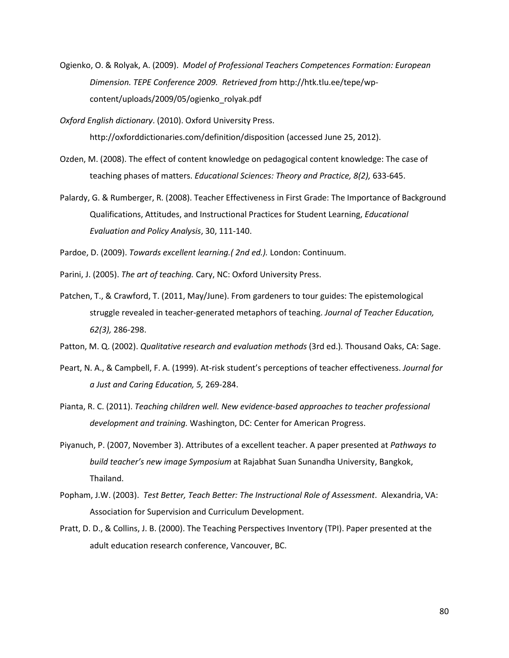Ogienko, O. & Rolyak, A. (2009). *Model of Professional Teachers Competences Formation: European Dimension. TEPE Conference 2009. Retrieved from* http://htk.tlu.ee/tepe/wpcontent/uploads/2009/05/ogienko\_rolyak.pdf

*Oxford English dictionary*. (2010). Oxford University Press. http://oxforddictionaries.com/definition/disposition (accessed June 25, 2012).

- Ozden, M. (2008). The effect of content knowledge on pedagogical content knowledge: The case of teaching phases of matters. *Educational Sciences: Theory and Practice, 8(2),* 633-645.
- Palardy, G. & Rumberger, R. (2008). Teacher Effectiveness in First Grade: The Importance of Background Qualifications, Attitudes, and Instructional Practices for Student Learning, *Educational Evaluation and Policy Analysis*, 30, 111-140.

Pardoe, D. (2009). *Towards excellent learning.( 2nd ed.).* London: Continuum.

Parini, J. (2005). *The art of teaching.* Cary, NC: Oxford University Press.

Patchen, T., & Crawford, T. (2011, May/June). From gardeners to tour guides: The epistemological struggle revealed in teacher-generated metaphors of teaching. *Journal of Teacher Education, 62(3),* 286-298.

Patton, M. Q. (2002). *Qualitative research and evaluation methods* (3rd ed.)*.* Thousand Oaks, CA: Sage.

- Peart, N. A., & Campbell, F. A. (1999). At-risk student's perceptions of teacher effectiveness. *Journal for a Just and Caring Education, 5,* 269-284.
- Pianta, R. C. (2011). *Teaching children well. New evidence-based approaches to teacher professional development and training.* Washington, DC: Center for American Progress.
- Piyanuch, P. (2007, November 3). Attributes of a excellent teacher. A paper presented at *Pathways to build teacher's new image Symposium* at Rajabhat Suan Sunandha University, Bangkok, Thailand.
- Popham, J.W. (2003). *Test Better, Teach Better: The Instructional Role of Assessment*. Alexandria, VA: Association for Supervision and Curriculum Development.
- Pratt, D. D., & Collins, J. B. (2000). The Teaching Perspectives Inventory (TPI). Paper presented at the adult education research conference, Vancouver, BC.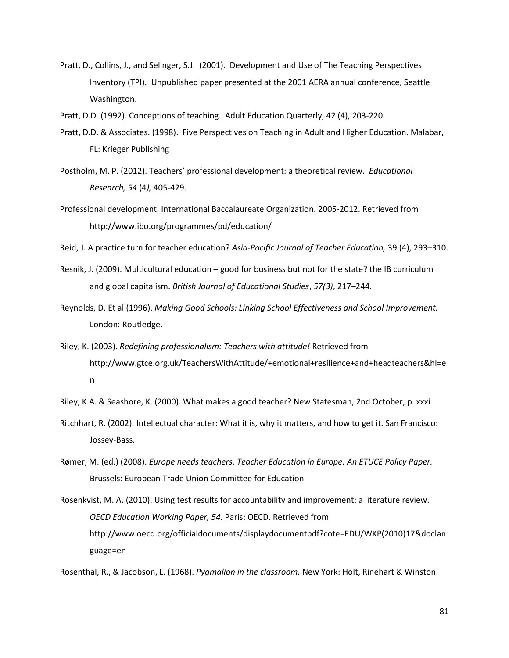- Pratt, D., Collins, J., and Selinger, S.J. (2001). Development and Use of The Teaching Perspectives Inventory (TPI). Unpublished paper presented at the 2001 AERA annual conference, Seattle Washington.
- Pratt, D.D. (1992). Conceptions of teaching. Adult Education Quarterly, 42 (4), 203-220.
- Pratt, D.D. & Associates. (1998). Five Perspectives on Teaching in Adult and Higher Education. Malabar, FL: Krieger Publishing
- Postholm, M. P. (2012). Teachers' professional development: a theoretical review. *Educational Research, 54* (4*),* 405-429.
- Professional development. International Baccalaureate Organization. 2005-2012. Retrieved from <http://www.ibo.org/programmes/pd/education/>
- Reid, J. A practice turn for teacher education? *Asia-Pacific Journal of Teacher Education,* 39 (4), 293–310.
- Resnik, J. (2009). Multicultural education good for business but not for the state? the IB curriculum and global capitalism. *[British Journal of Educational Studies](http://onlinelibrary.wiley.com.ez-proxy.unv.wlv.ac.uk/journal/10.1111/(ISSN)1467-8527)*, *[57\(3\)](http://onlinelibrary.wiley.com.ez-proxy.unv.wlv.ac.uk/doi/10.1111/bjes.2009.57.issue-3/issuetoc)*, 217–244.
- Reynolds, D. Et al (1996). *Making Good Schools: Linking School Effectiveness and School Improvement.* London: Routledge.
- Riley, K. (2003). *Redefining professionalism: Teachers with attitude!* Retrieved from [http://www.gtce.org.uk/TeachersWithAttitude/+emotional+resilience+and+headteachers&hl=e](http://www.google.co.uk/search?q=cache:Jc0TkQWh5a8J:www.gtce.org.uk/TeachersWithAttitude/+emotional+resilience+and+headteachers&hl=en) [n](http://www.google.co.uk/search?q=cache:Jc0TkQWh5a8J:www.gtce.org.uk/TeachersWithAttitude/+emotional+resilience+and+headteachers&hl=en)
- Riley, K.A. & Seashore, K. (2000). What makes a good teacher? New Statesman, 2nd October, p. xxxi
- Ritchhart, R. (2002). Intellectual character: What it is, why it matters, and how to get it. San Francisco: Jossey-Bass.
- Rømer, M. (ed.) (2008). *Europe needs teachers. Teacher Education in Europe: An ETUCE Policy Paper.*  Brussels: European Trade Union Committee for Education
- Rosenkvist, M. A. (2010). Using test results for accountability and improvement: a literature review. *OECD Education Working Paper, 54.* Paris: OECD. Retrieved from [http://www.oecd.org/officialdocuments/displaydocumentpdf?cote=EDU/WKP\(2010\)17&doclan](http://www.oecd.org/officialdocuments/displaydocumentpdf?cote=EDU/WKP(2010)17&doclanguage=en) [guage=en](http://www.oecd.org/officialdocuments/displaydocumentpdf?cote=EDU/WKP(2010)17&doclanguage=en)

Rosenthal, R., & Jacobson, L. (1968). *Pygmalion in the classroom.* New York: Holt, Rinehart & Winston.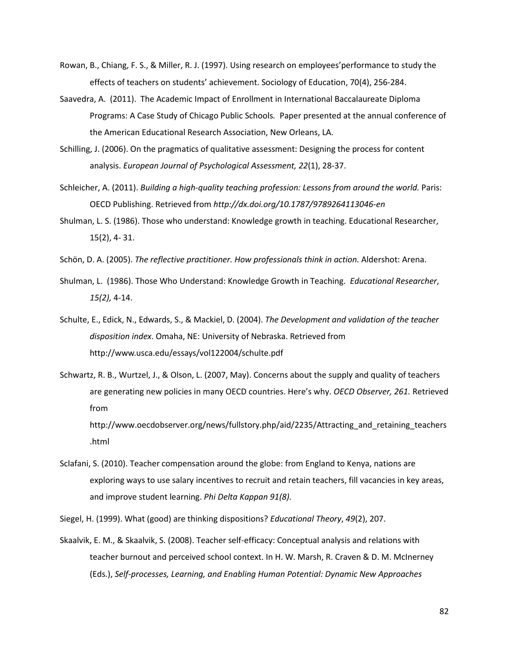- Rowan, B., Chiang, F. S., & Miller, R. J. (1997). Using research on employees'performance to study the effects of teachers on students' achievement. Sociology of Education, 70(4), 256-284.
- Saavedra, A. (2011). The Academic Impact of Enrollment in International Baccalaureate Diploma Programs: A Case Study of Chicago Public Schools*.* Paper presented at the annual conference of the American Educational Research Association, New Orleans, LA.
- Schilling, J. (2006). On the pragmatics of qualitative assessment: Designing the process for content analysis. *European Journal of Psychological Assessment, 22*(1), 28-37.
- Schleicher, A. (2011). *Building a high-quality teaching profession: Lessons from around the world.* Paris: OECD Publishing. Retrieved from *<http://dx.doi.org/10.1787/9789264113046-en>*
- Shulman, L. S. (1986). Those who understand: Knowledge growth in teaching. Educational Researcher, 15(2), 4- 31.
- Schön, D. A. (2005). *The reflective practitioner. How professionals think in action.* Aldershot: Arena.
- Shulman, L. (1986). Those Who Understand: Knowledge Growth in Teaching. *Educational Researcher*, *15(2),* 4-14.
- Schulte, E., Edick, N., Edwards, S., & Mackiel, D. (2004). *The Development and validation of the teacher disposition index*. Omaha, NE: University of Nebraska. Retrieved from <http://www.usca.edu/essays/vol122004/schulte.pdf>
- Schwartz, R. B., Wurtzel, J., & Olson, L. (2007, May). Concerns about the supply and quality of teachers are generating new policies in many OECD countries. Here's why. *OECD Observer, 261.* Retrieved from

http://www.oecdobserver.org/news/fullstory.php/aid/2235/Attracting\_and\_retaining\_teachers .html

- Sclafani, S. (2010). Teacher compensation around the globe: from England to Kenya, nations are exploring ways to use salary incentives to recruit and retain teachers, fill vacancies in key areas, and improve student learning. *Phi Delta Kappan 91(8).*
- Siegel, H. (1999). What (good) are thinking dispositions? *Educational Theory*, *49*(2), 207.
- Skaalvik, E. M., & Skaalvik, S. (2008). Teacher self-efficacy: Conceptual analysis and relations with teacher burnout and perceived school context. In H. W. Marsh, R. Craven & D. M. McInerney (Eds.), *Self-processes, Learning, and Enabling Human Potential: Dynamic New Approaches*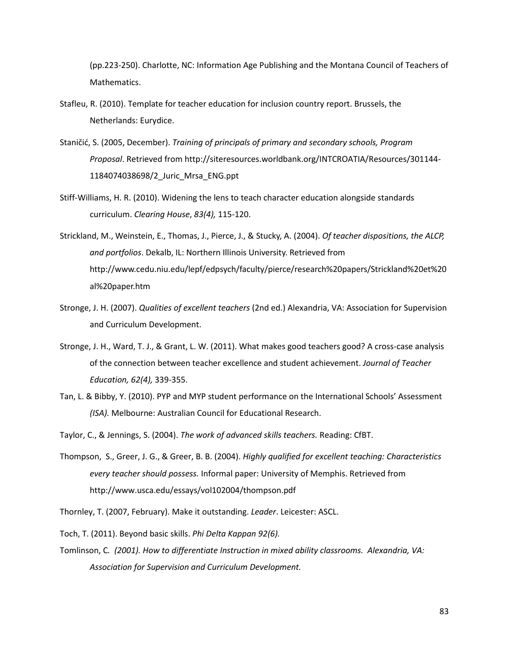(pp.223-250). Charlotte, NC: Information Age Publishing and the Montana Council of Teachers of Mathematics.

- Stafleu, R. (2010). Template for teacher education for inclusion country report. Brussels, the Netherlands: Eurydice.
- Staničić, S. (2005, December). *Training of principals of primary and secondary schools, Program Proposal*. Retrieved from [http://siteresources.worldbank.org/INTCROATIA/Resources/301144-](http://siteresources.worldbank.org/INTCROATIA/Resources/301144-1184074038698/2_Juric_Mrsa_ENG.ppt) [1184074038698/2\\_Juric\\_Mrsa\\_ENG.ppt](http://siteresources.worldbank.org/INTCROATIA/Resources/301144-1184074038698/2_Juric_Mrsa_ENG.ppt)
- Stiff-Williams, H. R. (2010). Widening the lens to teach character education alongside standards curriculum. *Clearing House*, *83(4),* 115-120.
- Strickland, M., Weinstein, E., Thomas, J., Pierce, J., & Stucky, A. (2004). *Of teacher dispositions, the ALCP, and portfolios*. Dekalb, IL: Northern Illinois University. Retrieved from [http://www.cedu.niu.edu/lepf/edpsych/faculty/pierce/research%20papers/Strickland%20et%20](http://www.cedu.niu.edu/lepf/edpsych/faculty/pierce/research%20papers/Strickland%20et%20al%20paper.htm) [al%20paper.htm](http://www.cedu.niu.edu/lepf/edpsych/faculty/pierce/research%20papers/Strickland%20et%20al%20paper.htm)
- Stronge, J. H. (2007). *Qualities of excellent teachers* (2nd ed.) Alexandria, VA: Association for Supervision and Curriculum Development.
- Stronge, J. H., Ward, T. J., & Grant, L. W. (2011). What makes good teachers good? A cross-case analysis of the connection between teacher excellence and student achievement. *Journal of Teacher Education, 62(4),* 339-355.
- Tan, L. & Bibby, Y. (2010). PYP and MYP student performance on the International Schools' Assessment *(ISA).* Melbourne: Australian Council for Educational Research.
- Taylor, C., & Jennings, S. (2004). *The work of advanced skills teachers.* Reading: CfBT.
- Thompson, S., Greer, J. G., & Greer, B. B. (2004). *Highly qualified for excellent teaching: Characteristics every teacher should possess.* Informal paper: University of Memphis. Retrieved from <http://www.usca.edu/essays/vol102004/thompson.pdf>
- Thornley, T. (2007, February). Make it outstanding. *Leader*. Leicester: ASCL.
- Toch, T. (2011). Beyond basic skills. *Phi Delta Kappan 92(6).*
- Tomlinson, C*. (2001). How to differentiate Instruction in mixed ability classrooms. Alexandria, VA: Association for Supervision and Curriculum Development.*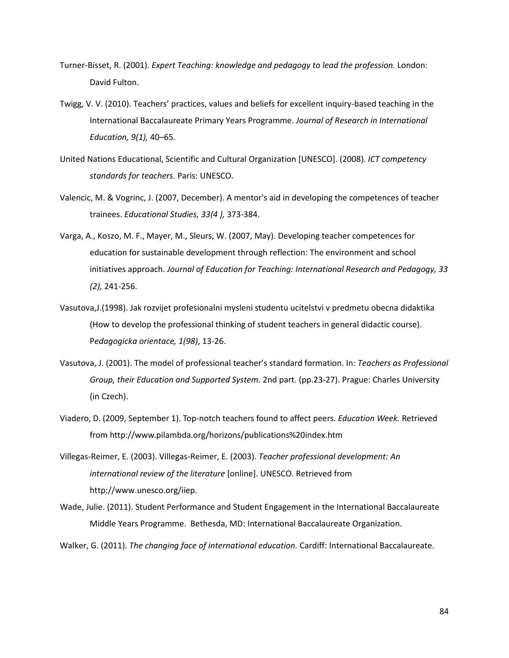- Turner-Bisset, R. (2001). *Expert Teaching: knowledge and pedagogy to lead the profession.* London: David Fulton.
- Twigg, V. V. (2010). Teachers' practices, values and beliefs for excellent inquiry-based teaching in the International Baccalaureate Primary Years Programme. *Journal of Research in International Education, 9(1),* 40–65.
- United Nations Educational, Scientific and Cultural Organization [UNESCO]. (2008). *ICT competency standards for teachers.* Paris: UNESCO.
- [Valencic, M.](http://search.proquest.com/professional/docview.indexfieldauthoraffiliation.lateralsearchlink:lateralsearch/sng/au/Valencic,+Milena/$N?t:ac=62057401/abstract/13412C6166E19C4D707/2&t:cp=maintain/docviewblocks) & [Vogrinc, J.](http://search.proquest.com/professional/docview.indexfieldauthoraffiliation.lateralsearchlink:lateralsearch/sng/au/Vogrinc,+Janez/$N?t:ac=62057401/abstract/13412C6166E19C4D707/2&t:cp=maintain/docviewblocks) (2007, December). A mentor's aid in developing the competences of teacher trainees. *Educational Studies, 33(4 ),* 373-384.
- [Varga, A.](http://search.proquest.com/professional/docview.indexfieldauthoraffiliation.lateralsearchlink:lateralsearch/sng/au/Varga,+Attila/$N?t:ac=62041497/abstract/13412C6166E19C4D707/1&t:cp=maintain/docviewblocks), [Koszo, M. F.](http://search.proquest.com/professional/docview.indexfieldauthoraffiliation.lateralsearchlink:lateralsearch/sng/au/Koszo,+Maria+Fuz/$N?t:ac=62041497/abstract/13412C6166E19C4D707/1&t:cp=maintain/docviewblocks), [Mayer, M.](http://search.proquest.com/professional/docview.indexfieldauthoraffiliation.lateralsearchlink:lateralsearch/sng/au/Mayer,+Michela/$N?t:ac=62041497/abstract/13412C6166E19C4D707/1&t:cp=maintain/docviewblocks), [Sleurs, W.](http://search.proquest.com/professional/docview.indexfieldauthoraffiliation.lateralsearchlink:lateralsearch/sng/au/Sleurs,+Willy/$N?t:ac=62041497/abstract/13412C6166E19C4D707/1&t:cp=maintain/docviewblocks) (2007, May). Developing teacher competences for education for sustainable development through reflection: The environment and school initiatives approach. *Journal of Education for Teaching: International Research and Pedagogy, 33 (2),* 241-256.
- Vasutova,J.(1998). Jak rozvijet profesionalni mysleni studentu ucitelstvi v predmetu obecna didaktika (How to develop the professional thinking of student teachers in general didactic course). P*edagogicka orientace, 1(98)*, 13-26.
- Vasutova, J. (2001). The model of professional teacher's standard formation. In*: Teachers as Professional Group, their Education and Supported System.* 2nd part. (pp.23-27). Prague: Charles University (in Czech).
- Viadero, D. (2009, September 1). Top-notch teachers found to affect peers. *Education Week.* Retrieved from<http://www.pilambda.org/horizons/publications%20index.htm>
- Villegas-Reimer, E. (2003). Villegas-Reimer, E. (2003). *Teacher professional development: An international review of the literature* [online]. UNESCO. Retrieved from http://www.unesco.org/iiep.
- Wade, Julie. (2011). Student Performance and Student Engagement in the International Baccalaureate Middle Years Programme. Bethesda, MD: International Baccalaureate Organization.

Walker, G. (2011). *The changing face of international education.* Cardiff: International Baccalaureate.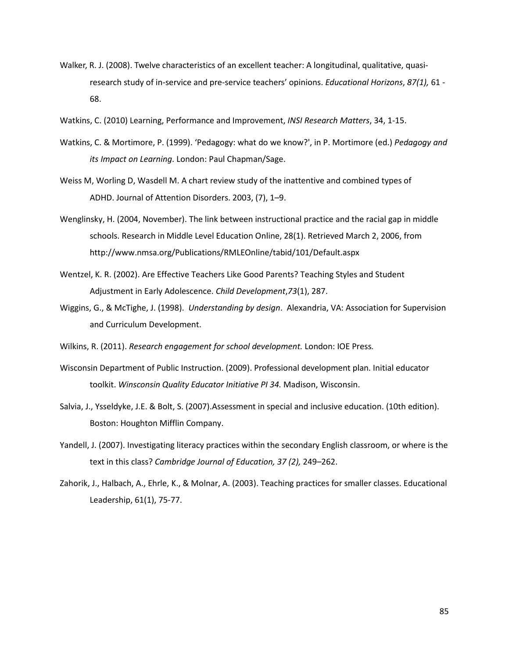- Walker, R. J. (2008). Twelve characteristics of an excellent teacher: A longitudinal, qualitative, quasiresearch study of in-service and pre-service teachers' opinions. *Educational Horizons*, *87(1),* 61 - 68.
- Watkins, C. (2010) Learning, Performance and Improvement, *INSI Research Matters*, 34, 1-15.
- Watkins, C. & Mortimore, P. (1999). 'Pedagogy: what do we know?', in P. Mortimore (ed.) *Pedagogy and its Impact on Learning*. London: Paul Chapman/Sage.
- Weiss M, Worling D, Wasdell M. A chart review study of the inattentive and combined types of ADHD. Journal of Attention Disorders. 2003, (7), 1–9.
- Wenglinsky, H. (2004, November). The link between instructional practice and the racial gap in middle schools. Research in Middle Level Education Online, 28(1). Retrieved March 2, 2006, from http://www.nmsa.org/Publications/RMLEOnline/tabid/101/Default.aspx
- Wentzel, K. R. (2002). Are Effective Teachers Like Good Parents? Teaching Styles and Student Adjustment in Early Adolescence. *Child Development*,*73*(1), 287.
- Wiggins, G., & McTighe, J. (1998). *Understanding by design*. Alexandria, VA: Association for Supervision and Curriculum Development.
- Wilkins, R. (2011). *Research engagement for school development.* London: IOE Press*.*
- Wisconsin Department of Public Instruction. (2009). Professional development plan. Initial educator toolkit. *Winsconsin Quality Educator Initiative PI 34.* Madison, Wisconsin.
- Salvia, J., Ysseldyke, J.E. & Bolt, S. (2007).Assessment in special and inclusive education. (10th edition). Boston: Houghton Mifflin Company.
- Yandell, J. (2007). Investigating literacy practices within the secondary English classroom, or where is the text in this class? *Cambridge Journal of Education, 37 (2),* 249–262.
- Zahorik, J., Halbach, A., Ehrle, K., & Molnar, A. (2003). Teaching practices for smaller classes. Educational Leadership, 61(1), 75-77.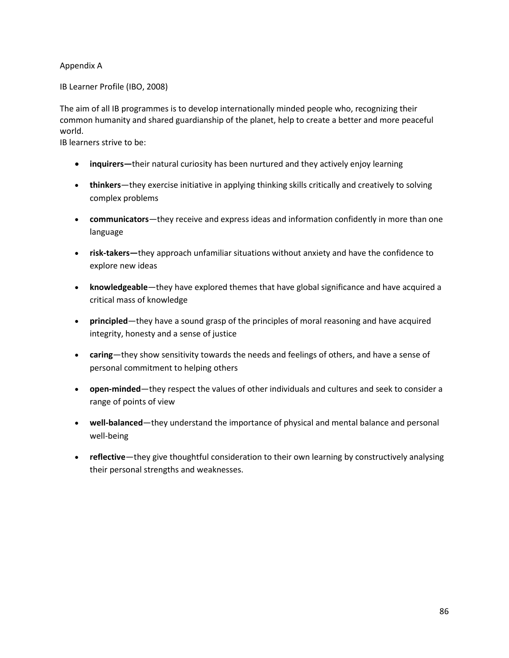### Appendix A

IB Learner Profile (IBO, 2008)

The aim of all IB programmes is to develop internationally minded people who, recognizing their common humanity and shared guardianship of the planet, help to create a better and more peaceful world.

IB learners strive to be:

- **inquirers—**their natural curiosity has been nurtured and they actively enjoy learning
- **thinkers**—they exercise initiative in applying thinking skills critically and creatively to solving complex problems
- **communicators**—they receive and express ideas and information confidently in more than one language
- **risk-takers—**they approach unfamiliar situations without anxiety and have the confidence to explore new ideas
- **knowledgeable**—they have explored themes that have global significance and have acquired a critical mass of knowledge
- **principled**—they have a sound grasp of the principles of moral reasoning and have acquired integrity, honesty and a sense of justice
- **caring**—they show sensitivity towards the needs and feelings of others, and have a sense of personal commitment to helping others
- **open-minded**—they respect the values of other individuals and cultures and seek to consider a range of points of view
- **well-balanced**—they understand the importance of physical and mental balance and personal well-being
- **reflective**—they give thoughtful consideration to their own learning by constructively analysing their personal strengths and weaknesses.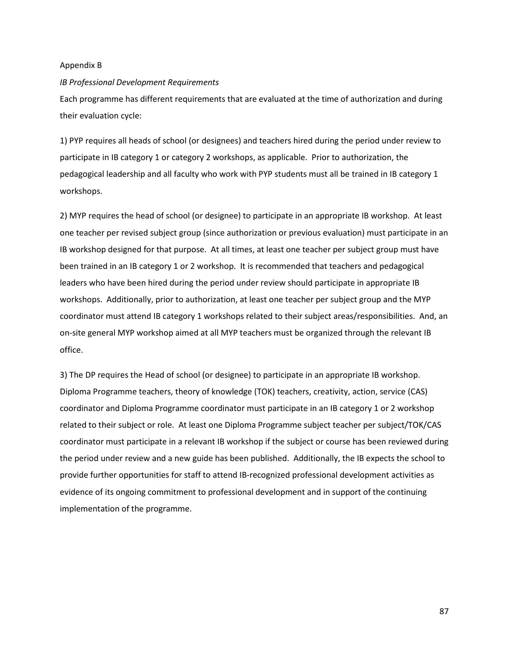#### Appendix B

#### *IB Professional Development Requirements*

Each programme has different requirements that are evaluated at the time of authorization and during their evaluation cycle:

1) PYP requires all heads of school (or designees) and teachers hired during the period under review to participate in IB category 1 or category 2 workshops, as applicable. Prior to authorization, the pedagogical leadership and all faculty who work with PYP students must all be trained in IB category 1 workshops.

2) MYP requires the head of school (or designee) to participate in an appropriate IB workshop. At least one teacher per revised subject group (since authorization or previous evaluation) must participate in an IB workshop designed for that purpose. At all times, at least one teacher per subject group must have been trained in an IB category 1 or 2 workshop. It is recommended that teachers and pedagogical leaders who have been hired during the period under review should participate in appropriate IB workshops. Additionally, prior to authorization, at least one teacher per subject group and the MYP coordinator must attend IB category 1 workshops related to their subject areas/responsibilities. And, an on-site general MYP workshop aimed at all MYP teachers must be organized through the relevant IB office.

3) The DP requires the Head of school (or designee) to participate in an appropriate IB workshop. Diploma Programme teachers, theory of knowledge (TOK) teachers, creativity, action, service (CAS) coordinator and Diploma Programme coordinator must participate in an IB category 1 or 2 workshop related to their subject or role. At least one Diploma Programme subject teacher per subject/TOK/CAS coordinator must participate in a relevant IB workshop if the subject or course has been reviewed during the period under review and a new guide has been published. Additionally, the IB expects the school to provide further opportunities for staff to attend IB-recognized professional development activities as evidence of its ongoing commitment to professional development and in support of the continuing implementation of the programme.

87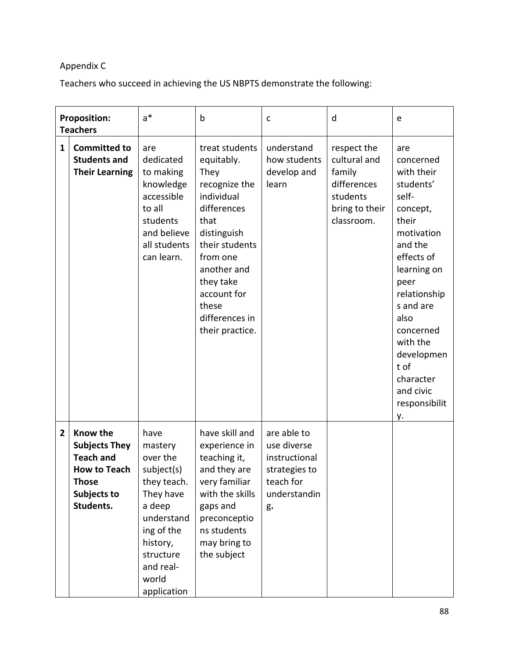# Appendix C

Teachers who succeed in achieving the US NBPTS demonstrate the following:

|                | <b>Proposition:</b><br><b>Teachers</b>                                                                                  | $a^*$                                                                                                                                                                     | $\mathsf b$                                                                                                                                                                                                                      | C                                                                                               | d                                                                                                | e                                                                                                                                                                                                                                                                            |
|----------------|-------------------------------------------------------------------------------------------------------------------------|---------------------------------------------------------------------------------------------------------------------------------------------------------------------------|----------------------------------------------------------------------------------------------------------------------------------------------------------------------------------------------------------------------------------|-------------------------------------------------------------------------------------------------|--------------------------------------------------------------------------------------------------|------------------------------------------------------------------------------------------------------------------------------------------------------------------------------------------------------------------------------------------------------------------------------|
| 1              | <b>Committed to</b><br><b>Students and</b><br><b>Their Learning</b>                                                     | are<br>dedicated<br>to making<br>knowledge<br>accessible<br>to all<br>students<br>and believe<br>all students<br>can learn.                                               | treat students<br>equitably.<br>They<br>recognize the<br>individual<br>differences<br>that<br>distinguish<br>their students<br>from one<br>another and<br>they take<br>account for<br>these<br>differences in<br>their practice. | understand<br>how students<br>develop and<br>learn                                              | respect the<br>cultural and<br>family<br>differences<br>students<br>bring to their<br>classroom. | are<br>concerned<br>with their<br>students'<br>self-<br>concept,<br>their<br>motivation<br>and the<br>effects of<br>learning on<br>peer<br>relationship<br>s and are<br>also<br>concerned<br>with the<br>developmen<br>t of<br>character<br>and civic<br>responsibilit<br>у. |
| $\overline{2}$ | Know the<br><b>Subjects They</b><br><b>Teach and</b><br><b>How to Teach</b><br><b>Those</b><br>Subjects to<br>Students. | have<br>mastery<br>over the<br>subject(s)<br>they teach.<br>They have<br>a deep<br>understand<br>ing of the<br>history,<br>structure<br>and real-<br>world<br>application | have skill and<br>experience in<br>teaching it,<br>and they are<br>very familiar<br>with the skills<br>gaps and<br>preconceptio<br>ns students<br>may bring to<br>the subject                                                    | are able to<br>use diverse<br>instructional<br>strategies to<br>teach for<br>understandin<br>g. |                                                                                                  |                                                                                                                                                                                                                                                                              |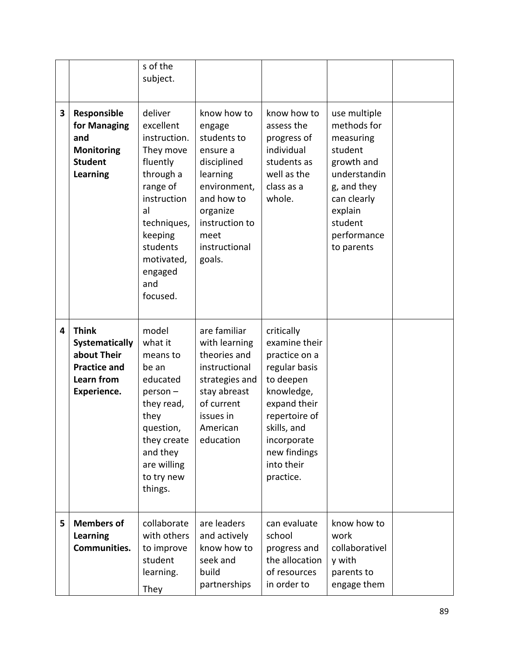|   |                                                                                                   | s of the<br>subject.                                                                                                                                                                          |                                                                                                                                                                            |                                                                                                                                                                                                    |                                                                                                                                                                    |  |
|---|---------------------------------------------------------------------------------------------------|-----------------------------------------------------------------------------------------------------------------------------------------------------------------------------------------------|----------------------------------------------------------------------------------------------------------------------------------------------------------------------------|----------------------------------------------------------------------------------------------------------------------------------------------------------------------------------------------------|--------------------------------------------------------------------------------------------------------------------------------------------------------------------|--|
| 3 | Responsible<br>for Managing<br>and<br>Monitoring<br><b>Student</b><br><b>Learning</b>             | deliver<br>excellent<br>instruction.<br>They move<br>fluently<br>through a<br>range of<br>instruction<br>al<br>techniques,<br>keeping<br>students<br>motivated,<br>engaged<br>and<br>focused. | know how to<br>engage<br>students to<br>ensure a<br>disciplined<br>learning<br>environment,<br>and how to<br>organize<br>instruction to<br>meet<br>instructional<br>goals. | know how to<br>assess the<br>progress of<br>individual<br>students as<br>well as the<br>class as a<br>whole.                                                                                       | use multiple<br>methods for<br>measuring<br>student<br>growth and<br>understandin<br>g, and they<br>can clearly<br>explain<br>student<br>performance<br>to parents |  |
| 4 | <b>Think</b><br>Systematically<br>about Their<br><b>Practice and</b><br>Learn from<br>Experience. | model<br>what it<br>means to<br>be an<br>educated<br>$person -$<br>they read,<br>they<br>question,<br>they create<br>and they<br>are willing<br>to try new<br>things.                         | are familiar<br>with learning<br>theories and<br>instructional<br>strategies and<br>stay abreast<br>of current<br>issues in<br>American<br>education                       | critically<br>examine their<br>practice on a<br>regular basis<br>to deepen<br>knowledge,<br>expand their<br>repertoire of<br>skills, and<br>incorporate<br>new findings<br>into their<br>practice. |                                                                                                                                                                    |  |
| 5 | <b>Members of</b><br><b>Learning</b><br>Communities.                                              | collaborate<br>with others<br>to improve<br>student<br>learning.<br>They                                                                                                                      | are leaders<br>and actively<br>know how to<br>seek and<br>build<br>partnerships                                                                                            | can evaluate<br>school<br>progress and<br>the allocation<br>of resources<br>in order to                                                                                                            | know how to<br>work<br>collaborativel<br>y with<br>parents to<br>engage them                                                                                       |  |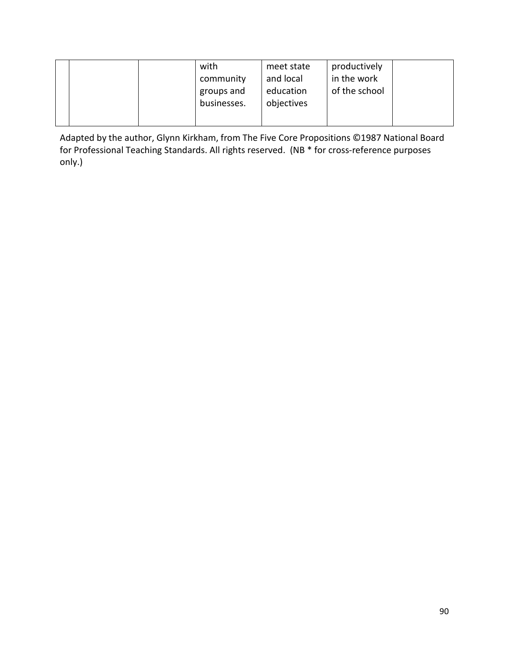| of the school<br>education<br>groups and<br>objectives<br>businesses. |  | with<br>community | meet state<br>and local | productively<br>in the work |  |
|-----------------------------------------------------------------------|--|-------------------|-------------------------|-----------------------------|--|
|-----------------------------------------------------------------------|--|-------------------|-------------------------|-----------------------------|--|

Adapted by the author, Glynn Kirkham, from The Five Core Propositions ©1987 National Board for Professional Teaching Standards. All rights reserved. (NB \* for cross-reference purposes only.)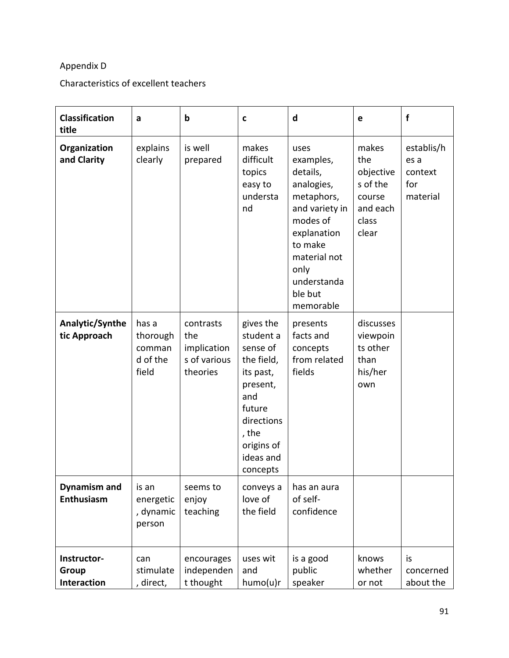# Appendix D

# Characteristics of excellent teachers

| <b>Classification</b><br>title           | a                                                | $\mathbf b$                                                 | C                                                                                                                                                        | d                                                                                                                                                                                | e                                                                             | $\mathbf f$                                      |
|------------------------------------------|--------------------------------------------------|-------------------------------------------------------------|----------------------------------------------------------------------------------------------------------------------------------------------------------|----------------------------------------------------------------------------------------------------------------------------------------------------------------------------------|-------------------------------------------------------------------------------|--------------------------------------------------|
| Organization<br>and Clarity              | explains<br>clearly                              | is well<br>prepared                                         | makes<br>difficult<br>topics<br>easy to<br>understa<br>nd                                                                                                | uses<br>examples,<br>details,<br>analogies,<br>metaphors,<br>and variety in<br>modes of<br>explanation<br>to make<br>material not<br>only<br>understanda<br>ble but<br>memorable | makes<br>the<br>objective<br>s of the<br>course<br>and each<br>class<br>clear | establis/h<br>es a<br>context<br>for<br>material |
| Analytic/Synthe<br>tic Approach          | has a<br>thorough<br>comman<br>d of the<br>field | contrasts<br>the<br>implication<br>s of various<br>theories | gives the<br>student a<br>sense of<br>the field,<br>its past,<br>present,<br>and<br>future<br>directions<br>, the<br>origins of<br>ideas and<br>concepts | presents<br>facts and<br>concepts<br>from related<br>fields                                                                                                                      | discusses<br>viewpoin<br>ts other<br>than<br>his/her<br>own                   |                                                  |
| <b>Dynamism and</b><br><b>Enthusiasm</b> | is an<br>energetic<br>, dynamic<br>person        | seems to<br>enjoy<br>teaching                               | conveys a<br>love of<br>the field                                                                                                                        | has an aura<br>of self-<br>confidence                                                                                                                                            |                                                                               |                                                  |
| Instructor-<br>Group<br>Interaction      | can<br>stimulate<br>, direct,                    | encourages<br>independen<br>t thought                       | uses wit<br>and<br>humo(u)r                                                                                                                              | is a good<br>public<br>speaker                                                                                                                                                   | knows<br>whether<br>or not                                                    | is<br>concerned<br>about the                     |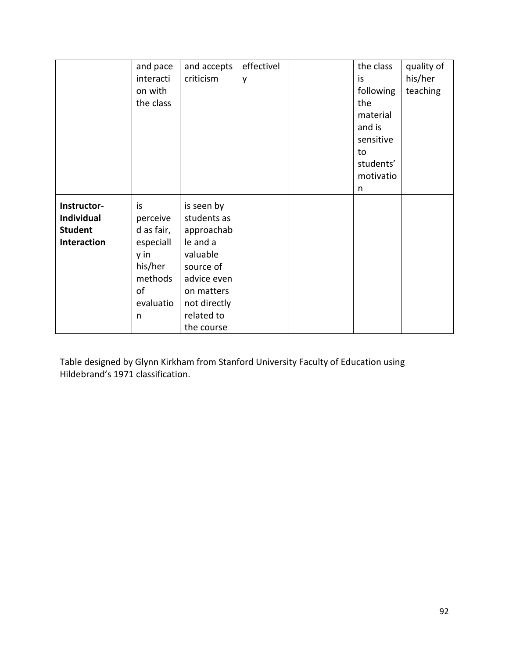|                | and pace   | and accepts  | effectivel | the class | quality of |
|----------------|------------|--------------|------------|-----------|------------|
|                | interacti  | criticism    | y          | is        | his/her    |
|                | on with    |              |            | following | teaching   |
|                | the class  |              |            | the       |            |
|                |            |              |            | material  |            |
|                |            |              |            | and is    |            |
|                |            |              |            | sensitive |            |
|                |            |              |            | to        |            |
|                |            |              |            | students' |            |
|                |            |              |            | motivatio |            |
|                |            |              |            | n         |            |
| Instructor-    | is         | is seen by   |            |           |            |
| Individual     | perceive   | students as  |            |           |            |
| <b>Student</b> | d as fair, | approachab   |            |           |            |
| Interaction    | especiall  | le and a     |            |           |            |
|                | y in       | valuable     |            |           |            |
|                | his/her    | source of    |            |           |            |
|                | methods    | advice even  |            |           |            |
|                | of         | on matters   |            |           |            |
|                | evaluatio  | not directly |            |           |            |
|                | n          | related to   |            |           |            |
|                |            | the course   |            |           |            |

Table designed by Glynn Kirkham from Stanford University Faculty of Education using Hildebrand's 1971 classification.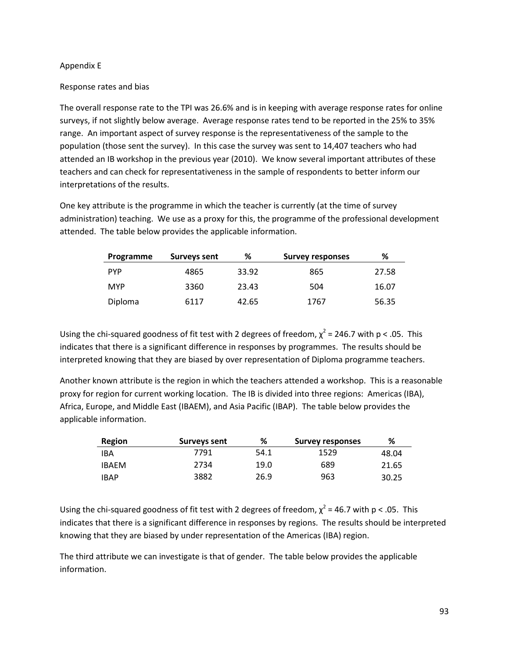### Appendix E

### Response rates and bias

The overall response rate to the TPI was 26.6% and is in keeping with average response rates for online surveys, if not slightly below average. Average response rates tend to be reported in the 25% to 35% range. An important aspect of survey response is the representativeness of the sample to the population (those sent the survey). In this case the survey was sent to 14,407 teachers who had attended an IB workshop in the previous year (2010). We know several important attributes of these teachers and can check for representativeness in the sample of respondents to better inform our interpretations of the results.

One key attribute is the programme in which the teacher is currently (at the time of survey administration) teaching. We use as a proxy for this, the programme of the professional development attended. The table below provides the applicable information.

| Programme  | Surveys sent | %     | <b>Survey responses</b> | ℅     |
|------------|--------------|-------|-------------------------|-------|
| <b>PYP</b> | 4865         | 33.92 | 865                     | 27.58 |
| <b>MYP</b> | 3360         | 23.43 | 504                     | 16.07 |
| Diploma    | 6117         | 42.65 | 1767                    | 56.35 |

Using the chi-squared goodness of fit test with 2 degrees of freedom,  $\chi^2$  = 246.7 with p < .05. This indicates that there is a significant difference in responses by programmes. The results should be interpreted knowing that they are biased by over representation of Diploma programme teachers.

Another known attribute is the region in which the teachers attended a workshop. This is a reasonable proxy for region for current working location. The IB is divided into three regions: Americas (IBA), Africa, Europe, and Middle East (IBAEM), and Asia Pacific (IBAP). The table below provides the applicable information.

| Region       | Surveys sent | %    | <b>Survey responses</b> | %     |
|--------------|--------------|------|-------------------------|-------|
| IBA          | 7791         | 54.1 | 1529                    | 48.04 |
| <b>IBAFM</b> | 2734         | 19.0 | 689                     | 21.65 |
| <b>IBAP</b>  | 3882         | 26.9 | 963                     | 30.25 |

Using the chi-squared goodness of fit test with 2 degrees of freedom,  $\chi^2$  = 46.7 with p < .05. This indicates that there is a significant difference in responses by regions. The results should be interpreted knowing that they are biased by under representation of the Americas (IBA) region.

The third attribute we can investigate is that of gender. The table below provides the applicable information.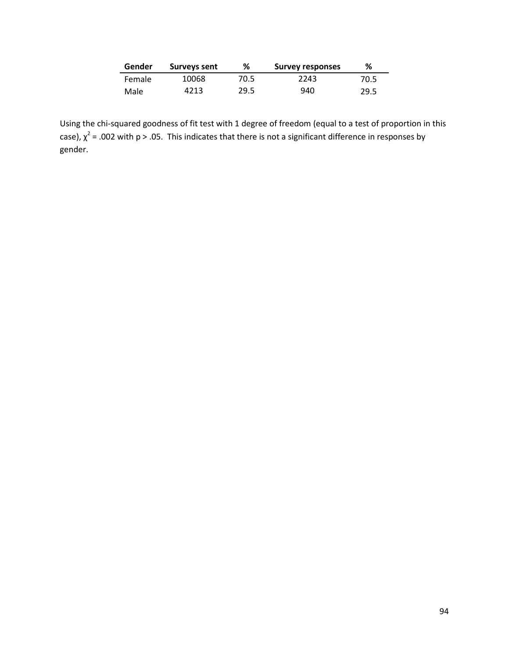| Gender | Surveys sent | %    | <b>Survey responses</b> | %    |
|--------|--------------|------|-------------------------|------|
| Female | 10068        | 70.5 | 2243                    | 70.5 |
| Male   | 4213         | 29.5 | 940                     | 29.5 |

Using the chi-squared goodness of fit test with 1 degree of freedom (equal to a test of proportion in this case),  $\chi^2$  = .002 with p > .05. This indicates that there is not a significant difference in responses by gender.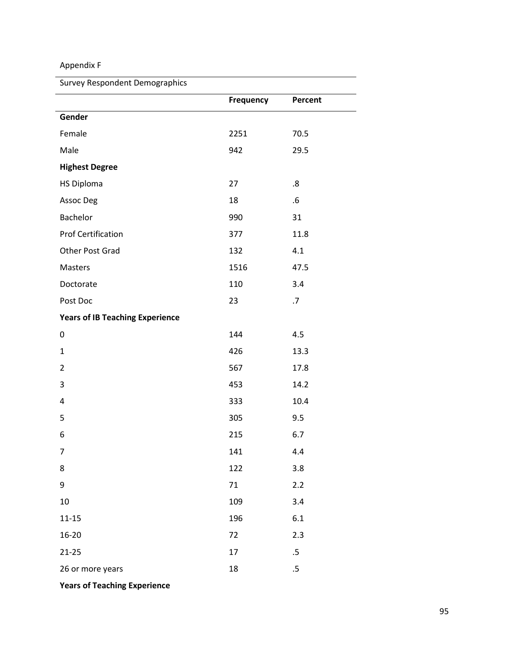# Appendix F

### Survey Respondent Demographics

|                                        | Frequency | Percent |
|----------------------------------------|-----------|---------|
| Gender                                 |           |         |
| Female                                 | 2251      | 70.5    |
| Male                                   | 942       | 29.5    |
| <b>Highest Degree</b>                  |           |         |
| <b>HS Diploma</b>                      | 27        | .8      |
| Assoc Deg                              | 18        | $.6\,$  |
| Bachelor                               | 990       | 31      |
| <b>Prof Certification</b>              | 377       | 11.8    |
| Other Post Grad                        | 132       | 4.1     |
| Masters                                | 1516      | 47.5    |
| Doctorate                              | 110       | 3.4     |
| Post Doc                               | 23        | .7      |
| <b>Years of IB Teaching Experience</b> |           |         |
| 0                                      | 144       | 4.5     |
| $\mathbf{1}$                           | 426       | 13.3    |
| $\overline{2}$                         | 567       | 17.8    |
| $\mathsf 3$                            | 453       | 14.2    |
| 4                                      | 333       | 10.4    |
| 5                                      | 305       | 9.5     |
| 6                                      | 215       | 6.7     |
| $\overline{7}$                         | 141       | 4.4     |
| 8                                      | 122       | 3.8     |
| 9                                      | 71        | 2.2     |
| $10\,$                                 | 109       | 3.4     |
| $11 - 15$                              | 196       | $6.1\,$ |
| 16-20                                  | 72        | 2.3     |
| $21 - 25$                              | 17        | .5      |
| 26 or more years                       | 18        | $.5\,$  |

**Years of Teaching Experience**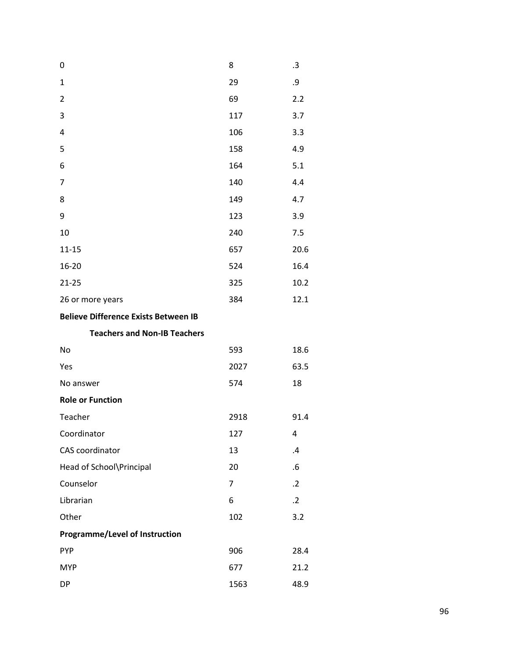| 0                                           | 8    | .3            |
|---------------------------------------------|------|---------------|
| $\mathbf{1}$                                | 29   | .9            |
| $\overline{2}$                              | 69   | 2.2           |
| 3                                           | 117  | 3.7           |
| 4                                           | 106  | 3.3           |
| 5                                           | 158  | 4.9           |
| 6                                           | 164  | 5.1           |
| 7                                           | 140  | 4.4           |
| 8                                           | 149  | 4.7           |
| 9                                           | 123  | 3.9           |
| 10                                          | 240  | 7.5           |
| $11 - 15$                                   | 657  | 20.6          |
| 16-20                                       | 524  | 16.4          |
| $21 - 25$                                   | 325  | 10.2          |
| 26 or more years                            | 384  | 12.1          |
| <b>Believe Difference Exists Between IB</b> |      |               |
| <b>Teachers and Non-IB Teachers</b>         |      |               |
| No                                          | 593  | 18.6          |
| Yes                                         | 2027 | 63.5          |
| No answer                                   | 574  | 18            |
| <b>Role or Function</b>                     |      |               |
| Teacher                                     | 2918 | 91.4          |
| Coordinator                                 | 127  | 4             |
| CAS coordinator                             | 13   | $\mathcal{A}$ |
| Head of School\Principal                    | 20   | .6            |
| Counselor                                   | 7    | $\cdot$ .2    |
| Librarian                                   | 6    | $\cdot$ .2    |
| Other                                       | 102  | 3.2           |
| <b>Programme/Level of Instruction</b>       |      |               |
| <b>PYP</b>                                  | 906  | 28.4          |
| <b>MYP</b>                                  |      |               |
|                                             | 677  | 21.2          |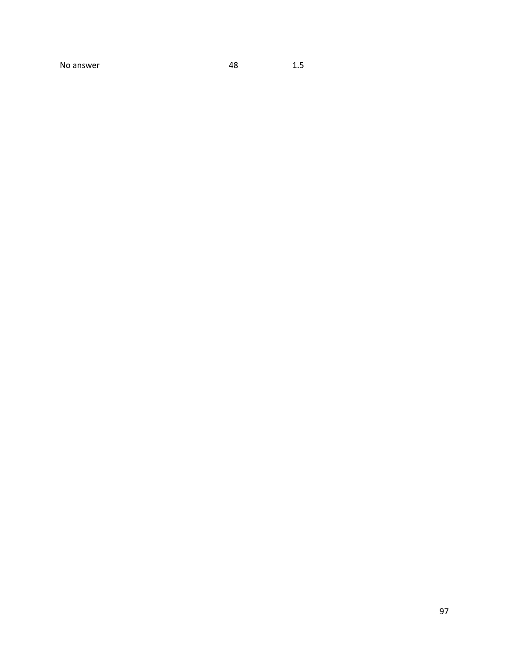No answer 1.5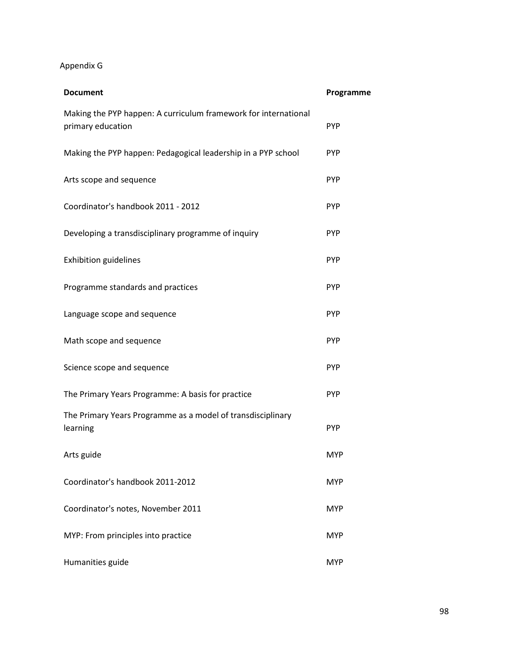# Appendix G

| <b>Document</b>                                                                      | Programme  |
|--------------------------------------------------------------------------------------|------------|
| Making the PYP happen: A curriculum framework for international<br>primary education | <b>PYP</b> |
| Making the PYP happen: Pedagogical leadership in a PYP school                        | <b>PYP</b> |
| Arts scope and sequence                                                              | <b>PYP</b> |
| Coordinator's handbook 2011 - 2012                                                   | <b>PYP</b> |
| Developing a transdisciplinary programme of inquiry                                  | <b>PYP</b> |
| <b>Exhibition guidelines</b>                                                         | <b>PYP</b> |
| Programme standards and practices                                                    | <b>PYP</b> |
| Language scope and sequence                                                          | <b>PYP</b> |
| Math scope and sequence                                                              | <b>PYP</b> |
| Science scope and sequence                                                           | <b>PYP</b> |
| The Primary Years Programme: A basis for practice                                    | <b>PYP</b> |
| The Primary Years Programme as a model of transdisciplinary<br>learning              | <b>PYP</b> |
| Arts guide                                                                           | <b>MYP</b> |
| Coordinator's handbook 2011-2012                                                     | <b>MYP</b> |
| Coordinator's notes, November 2011                                                   | <b>MYP</b> |
| MYP: From principles into practice                                                   | <b>MYP</b> |
| Humanities guide                                                                     | <b>MYP</b> |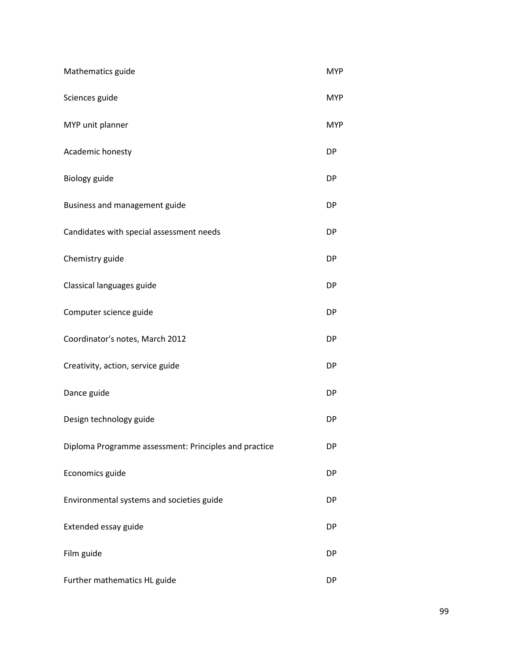| Mathematics guide                                     | <b>MYP</b> |
|-------------------------------------------------------|------------|
| Sciences guide                                        | <b>MYP</b> |
| MYP unit planner                                      | <b>MYP</b> |
| Academic honesty                                      | <b>DP</b>  |
| Biology guide                                         | DP         |
| Business and management guide                         | <b>DP</b>  |
| Candidates with special assessment needs              | <b>DP</b>  |
| Chemistry guide                                       | DP         |
| Classical languages guide                             | DP         |
| Computer science guide                                | <b>DP</b>  |
| Coordinator's notes, March 2012                       | <b>DP</b>  |
| Creativity, action, service guide                     | <b>DP</b>  |
| Dance guide                                           | <b>DP</b>  |
| Design technology guide                               | <b>DP</b>  |
| Diploma Programme assessment: Principles and practice | DP         |
| Economics guide                                       | <b>DP</b>  |
| Environmental systems and societies guide             | <b>DP</b>  |
| Extended essay guide                                  | <b>DP</b>  |
| Film guide                                            | <b>DP</b>  |
| Further mathematics HL guide                          | DP         |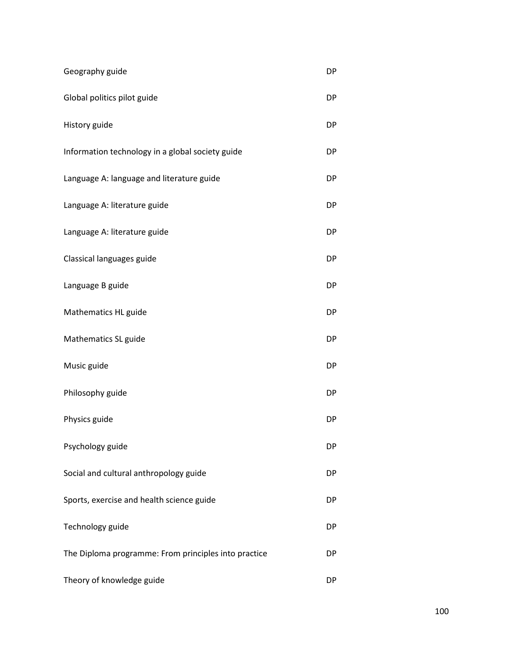| Geography guide                                      | DP        |
|------------------------------------------------------|-----------|
| Global politics pilot guide                          | <b>DP</b> |
| History guide                                        | DP        |
| Information technology in a global society guide     | DP        |
| Language A: language and literature guide            | DP        |
| Language A: literature guide                         | <b>DP</b> |
| Language A: literature guide                         | DP        |
| Classical languages guide                            | DP        |
| Language B guide                                     | <b>DP</b> |
| Mathematics HL guide                                 | <b>DP</b> |
| Mathematics SL guide                                 | DP        |
| Music guide                                          | DP        |
| Philosophy guide                                     | <b>DP</b> |
| Physics guide                                        | <b>DP</b> |
| Psychology guide                                     | <b>DP</b> |
| Social and cultural anthropology guide               | <b>DP</b> |
| Sports, exercise and health science guide            | DP        |
| Technology guide                                     | DP        |
| The Diploma programme: From principles into practice | DP        |
| Theory of knowledge guide                            | <b>DP</b> |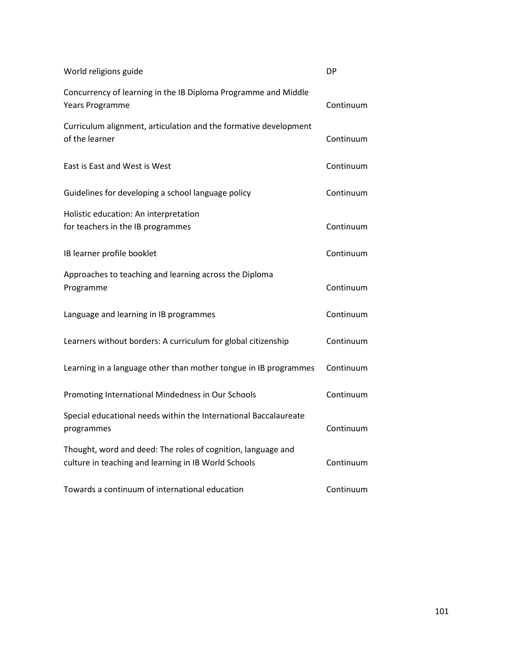| World religions guide                                                                                                | DP        |
|----------------------------------------------------------------------------------------------------------------------|-----------|
| Concurrency of learning in the IB Diploma Programme and Middle<br>Years Programme                                    | Continuum |
| Curriculum alignment, articulation and the formative development<br>of the learner                                   | Continuum |
| East is East and West is West                                                                                        | Continuum |
| Guidelines for developing a school language policy                                                                   | Continuum |
| Holistic education: An interpretation<br>for teachers in the IB programmes                                           | Continuum |
| IB learner profile booklet                                                                                           | Continuum |
| Approaches to teaching and learning across the Diploma<br>Programme                                                  | Continuum |
| Language and learning in IB programmes                                                                               | Continuum |
| Learners without borders: A curriculum for global citizenship                                                        | Continuum |
| Learning in a language other than mother tongue in IB programmes                                                     | Continuum |
| Promoting International Mindedness in Our Schools                                                                    | Continuum |
| Special educational needs within the International Baccalaureate<br>programmes                                       | Continuum |
| Thought, word and deed: The roles of cognition, language and<br>culture in teaching and learning in IB World Schools | Continuum |
| Towards a continuum of international education                                                                       | Continuum |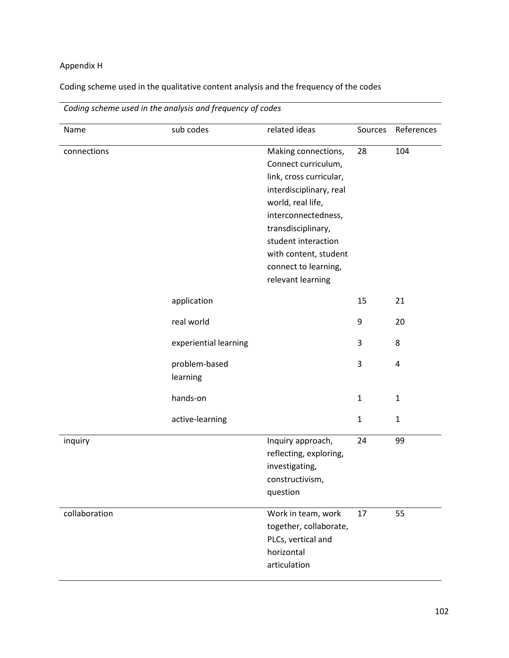# Appendix H

Coding scheme used in the qualitative content analysis and the frequency of the codes

| Name          | sub codes                 | related ideas                                                                                                                                                                                                                                                   | Sources      | References   |
|---------------|---------------------------|-----------------------------------------------------------------------------------------------------------------------------------------------------------------------------------------------------------------------------------------------------------------|--------------|--------------|
| connections   |                           | Making connections,<br>Connect curriculum,<br>link, cross curricular,<br>interdisciplinary, real<br>world, real life,<br>interconnectedness,<br>transdisciplinary,<br>student interaction<br>with content, student<br>connect to learning,<br>relevant learning | 28           | 104          |
|               | application               |                                                                                                                                                                                                                                                                 | 15           | 21           |
|               | real world                |                                                                                                                                                                                                                                                                 | 9            | 20           |
|               | experiential learning     |                                                                                                                                                                                                                                                                 | 3            | 8            |
|               | problem-based<br>learning |                                                                                                                                                                                                                                                                 | 3            | $\pmb{4}$    |
|               | hands-on                  |                                                                                                                                                                                                                                                                 | $\mathbf{1}$ | $\mathbf{1}$ |
|               | active-learning           |                                                                                                                                                                                                                                                                 | $\mathbf{1}$ | $\mathbf{1}$ |
| inquiry       |                           | Inquiry approach,<br>reflecting, exploring,<br>investigating,<br>constructivism,<br>question                                                                                                                                                                    | 24           | 99           |
| collaboration |                           | Work in team, work<br>together, collaborate,<br>PLCs, vertical and<br>horizontal<br>articulation                                                                                                                                                                | 17           | 55           |

*Coding scheme used in the analysis and frequency of codes*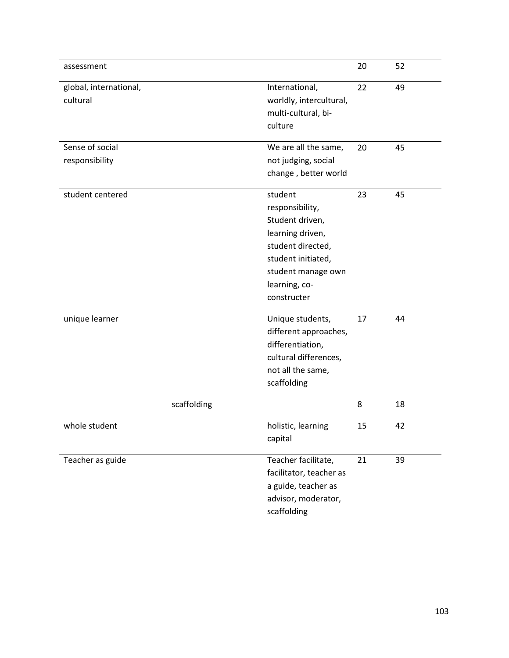| assessment                         |                                                                                                                                                                    | 20      | 52       |
|------------------------------------|--------------------------------------------------------------------------------------------------------------------------------------------------------------------|---------|----------|
| global, international,<br>cultural | International,<br>worldly, intercultural,<br>multi-cultural, bi-<br>culture                                                                                        | 22      | 49       |
| Sense of social<br>responsibility  | We are all the same,<br>not judging, social<br>change, better world                                                                                                | 20      | 45       |
| student centered                   | student<br>responsibility,<br>Student driven,<br>learning driven,<br>student directed,<br>student initiated,<br>student manage own<br>learning, co-<br>constructer | 23      | 45       |
| unique learner<br>scaffolding      | Unique students,<br>different approaches,<br>differentiation,<br>cultural differences,<br>not all the same,<br>scaffolding                                         | 17<br>8 | 44<br>18 |
| whole student                      | holistic, learning<br>capital                                                                                                                                      | 15      | 42       |
| Teacher as guide                   | Teacher facilitate,<br>facilitator, teacher as<br>a guide, teacher as<br>advisor, moderator,<br>scaffolding                                                        | 21      | 39       |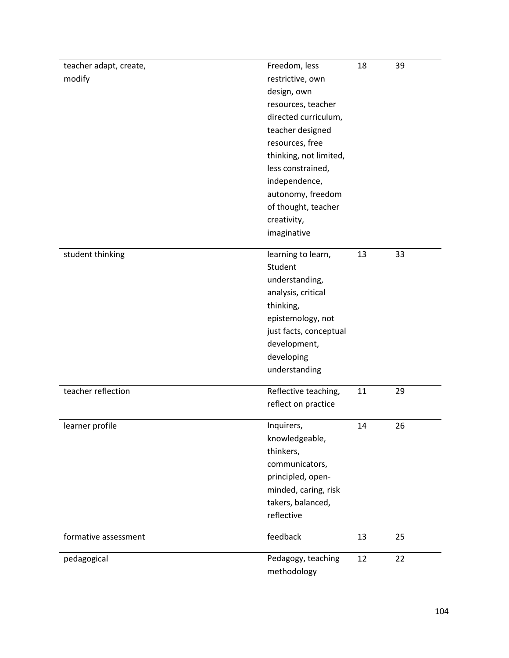| teacher adapt, create, | Freedom, less                     | 18 | 39 |
|------------------------|-----------------------------------|----|----|
| modify                 | restrictive, own                  |    |    |
|                        | design, own                       |    |    |
|                        | resources, teacher                |    |    |
|                        | directed curriculum,              |    |    |
|                        | teacher designed                  |    |    |
|                        | resources, free                   |    |    |
|                        | thinking, not limited,            |    |    |
|                        | less constrained,                 |    |    |
|                        | independence,                     |    |    |
|                        | autonomy, freedom                 |    |    |
|                        | of thought, teacher               |    |    |
|                        | creativity,                       |    |    |
|                        | imaginative                       |    |    |
|                        |                                   |    |    |
| student thinking       | learning to learn,                | 13 | 33 |
|                        | Student                           |    |    |
|                        | understanding,                    |    |    |
|                        | analysis, critical                |    |    |
|                        | thinking,                         |    |    |
|                        | epistemology, not                 |    |    |
|                        | just facts, conceptual            |    |    |
|                        | development,                      |    |    |
|                        | developing                        |    |    |
|                        | understanding                     |    |    |
| teacher reflection     | Reflective teaching,              | 11 | 29 |
|                        | reflect on practice               |    |    |
|                        |                                   |    |    |
| learner profile        | Inquirers,                        | 14 | 26 |
|                        | knowledgeable,                    |    |    |
|                        | thinkers,                         |    |    |
|                        | communicators,                    |    |    |
|                        | principled, open-                 |    |    |
|                        | minded, caring, risk              |    |    |
|                        | takers, balanced,                 |    |    |
|                        | reflective                        |    |    |
| formative assessment   | feedback                          | 13 | 25 |
| pedagogical            | Pedagogy, teaching<br>methodology | 12 | 22 |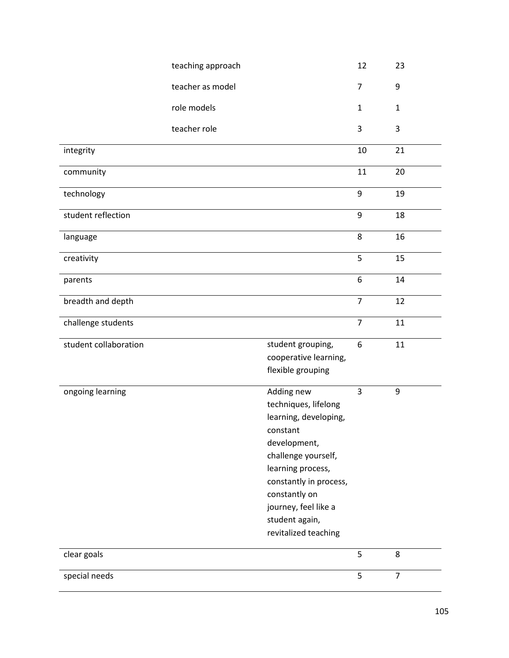|                       | teaching approach |                                                                                                                                                                                                                                                  | 12             | 23             |
|-----------------------|-------------------|--------------------------------------------------------------------------------------------------------------------------------------------------------------------------------------------------------------------------------------------------|----------------|----------------|
|                       | teacher as model  |                                                                                                                                                                                                                                                  | 7              | 9              |
|                       | role models       |                                                                                                                                                                                                                                                  | $\mathbf{1}$   | $\mathbf 1$    |
|                       | teacher role      |                                                                                                                                                                                                                                                  | 3              | $\mathbf{3}$   |
| integrity             |                   |                                                                                                                                                                                                                                                  | 10             | 21             |
| community             |                   |                                                                                                                                                                                                                                                  | 11             | 20             |
| technology            |                   |                                                                                                                                                                                                                                                  | 9              | 19             |
| student reflection    |                   |                                                                                                                                                                                                                                                  | 9              | 18             |
| language              |                   |                                                                                                                                                                                                                                                  | 8              | 16             |
| creativity            |                   |                                                                                                                                                                                                                                                  | 5              | 15             |
| parents               |                   |                                                                                                                                                                                                                                                  | 6              | 14             |
| breadth and depth     |                   |                                                                                                                                                                                                                                                  | $\overline{7}$ | 12             |
| challenge students    |                   |                                                                                                                                                                                                                                                  | $\overline{7}$ | 11             |
| student collaboration |                   | student grouping,<br>cooperative learning,<br>flexible grouping                                                                                                                                                                                  | 6              | 11             |
| ongoing learning      |                   | Adding new<br>techniques, lifelong<br>learning, developing,<br>constant<br>development,<br>challenge yourself,<br>learning process,<br>constantly in process,<br>constantly on<br>journey, feel like a<br>student again,<br>revitalized teaching | 3              | 9              |
| clear goals           |                   |                                                                                                                                                                                                                                                  | 5              | 8              |
| special needs         |                   |                                                                                                                                                                                                                                                  | 5              | $\overline{7}$ |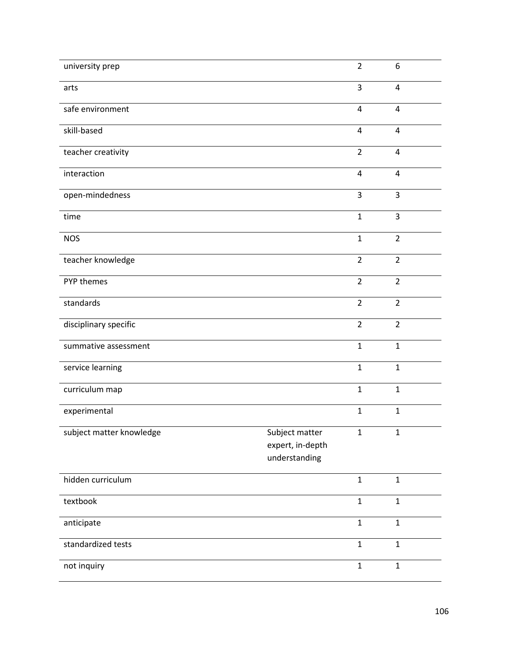| university prep          |                                                     | $\overline{2}$          | 6                       |
|--------------------------|-----------------------------------------------------|-------------------------|-------------------------|
| arts                     |                                                     | 3                       | 4                       |
| safe environment         |                                                     | $\sqrt{4}$              | $\pmb{4}$               |
| skill-based              |                                                     | $\overline{4}$          | $\overline{4}$          |
| teacher creativity       |                                                     | $\overline{2}$          | $\overline{\mathbf{4}}$ |
| interaction              |                                                     | $\overline{\mathbf{4}}$ | $\overline{4}$          |
| open-mindedness          |                                                     | 3                       | 3                       |
| time                     |                                                     | $\mathbf{1}$            | 3                       |
| <b>NOS</b>               |                                                     | $\mathbf{1}$            | $\overline{2}$          |
| teacher knowledge        |                                                     | $\overline{2}$          | $\overline{2}$          |
| PYP themes               |                                                     | $\overline{2}$          | $\overline{2}$          |
| standards                |                                                     | $\overline{2}$          | $\overline{2}$          |
| disciplinary specific    |                                                     | $\overline{2}$          | $\overline{2}$          |
| summative assessment     |                                                     | $\mathbf{1}$            | $\mathbf{1}$            |
| service learning         |                                                     | $\mathbf{1}$            | $\mathbf{1}$            |
| curriculum map           |                                                     | $\mathbf{1}$            | $\mathbf{1}$            |
| experimental             |                                                     | $\mathbf{1}$            | $\mathbf{1}$            |
| subject matter knowledge | Subject matter<br>expert, in-depth<br>understanding | $\mathbf{1}$            | $\mathbf 1$             |
| hidden curriculum        |                                                     | $\mathbf{1}$            | $\mathbf{1}$            |
| textbook                 |                                                     | $\mathbf{1}$            | $\mathbf{1}$            |
| anticipate               |                                                     | $\mathbf{1}$            | $\mathbf{1}$            |
| standardized tests       |                                                     | $\mathbf{1}$            | $\mathbf{1}$            |
| not inquiry              |                                                     | $\mathbf{1}$            | $\mathbf{1}$            |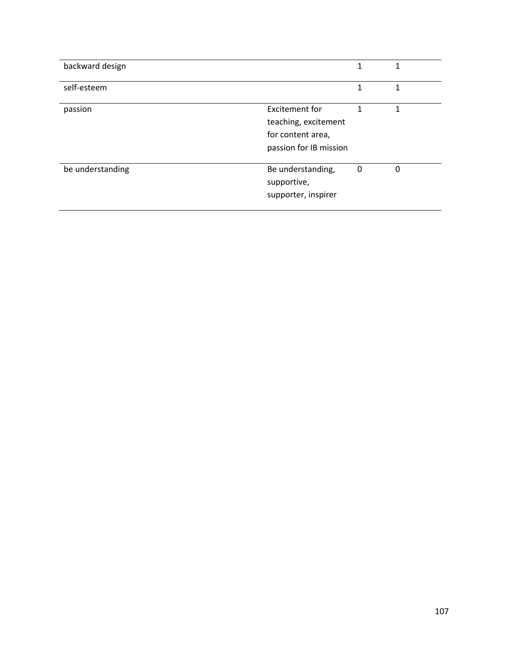| backward design  |                                                                                       | 1 | 1 |
|------------------|---------------------------------------------------------------------------------------|---|---|
| self-esteem      |                                                                                       | 1 | 1 |
| passion          | Excitement for<br>teaching, excitement<br>for content area,<br>passion for IB mission |   | 1 |
| be understanding | Be understanding,<br>supportive,<br>supporter, inspirer                               | 0 | 0 |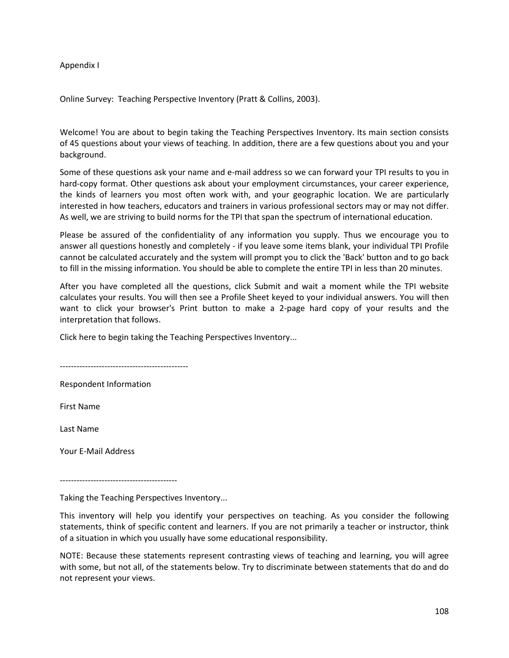#### Appendix I

Online Survey: Teaching Perspective Inventory (Pratt & Collins, 2003).

Welcome! You are about to begin taking the Teaching Perspectives Inventory. Its main section consists of 45 questions about your views of teaching. In addition, there are a few questions about you and your background.

Some of these questions ask your name and e-mail address so we can forward your TPI results to you in hard-copy format. Other questions ask about your employment circumstances, your career experience, the kinds of learners you most often work with, and your geographic location. We are particularly interested in how teachers, educators and trainers in various professional sectors may or may not differ. As well, we are striving to build norms for the TPI that span the spectrum of international education.

Please be assured of the confidentiality of any information you supply. Thus we encourage you to answer all questions honestly and completely - if you leave some items blank, your individual TPI Profile cannot be calculated accurately and the system will prompt you to click the 'Back' button and to go back to fill in the missing information. You should be able to complete the entire TPI in less than 20 minutes.

After you have completed all the questions, click Submit and wait a moment while the TPI website calculates your results. You will then see a Profile Sheet keyed to your individual answers. You will then want to click your browser's Print button to make a 2-page hard copy of your results and the interpretation that follows.

Click here to begin taking the Teaching Perspectives Inventory...

----------------------------------------------

Respondent Information

First Name

Last Name

Your E-Mail Address

------------------------------------------

Taking the Teaching Perspectives Inventory...

This inventory will help you identify your perspectives on teaching. As you consider the following statements, think of specific content and learners. If you are not primarily a teacher or instructor, think of a situation in which you usually have some educational responsibility.

NOTE: Because these statements represent contrasting views of teaching and learning, you will agree with some, but not all, of the statements below. Try to discriminate between statements that do and do not represent your views.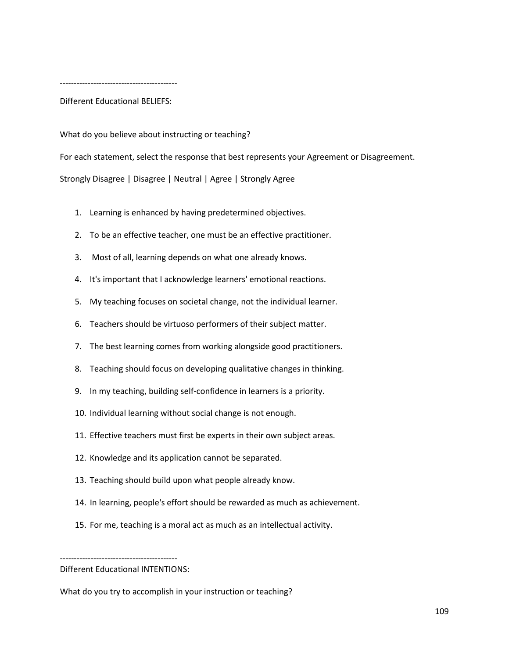------------------------------------------

Different Educational BELIEFS:

What do you believe about instructing or teaching?

For each statement, select the response that best represents your Agreement or Disagreement. Strongly Disagree | Disagree | Neutral | Agree | Strongly Agree

- 1. Learning is enhanced by having predetermined objectives.
- 2. To be an effective teacher, one must be an effective practitioner.
- 3. Most of all, learning depends on what one already knows.
- 4. It's important that I acknowledge learners' emotional reactions.
- 5. My teaching focuses on societal change, not the individual learner.
- 6. Teachers should be virtuoso performers of their subject matter.
- 7. The best learning comes from working alongside good practitioners.
- 8. Teaching should focus on developing qualitative changes in thinking.
- 9. In my teaching, building self-confidence in learners is a priority.
- 10. Individual learning without social change is not enough.
- 11. Effective teachers must first be experts in their own subject areas.
- 12. Knowledge and its application cannot be separated.
- 13. Teaching should build upon what people already know.
- 14. In learning, people's effort should be rewarded as much as achievement.
- 15. For me, teaching is a moral act as much as an intellectual activity.

------------------------------------------ Different Educational INTENTIONS:

What do you try to accomplish in your instruction or teaching?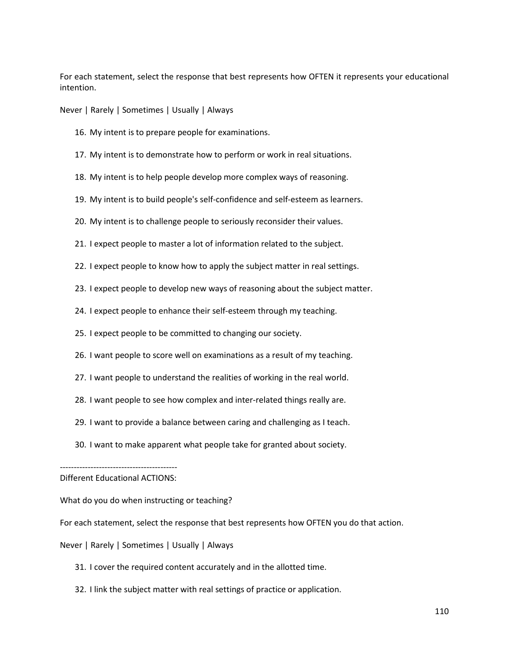For each statement, select the response that best represents how OFTEN it represents your educational intention.

Never | Rarely | Sometimes | Usually | Always

- 16. My intent is to prepare people for examinations.
- 17. My intent is to demonstrate how to perform or work in real situations.
- 18. My intent is to help people develop more complex ways of reasoning.
- 19. My intent is to build people's self-confidence and self-esteem as learners.
- 20. My intent is to challenge people to seriously reconsider their values.
- 21. I expect people to master a lot of information related to the subject.
- 22. I expect people to know how to apply the subject matter in real settings.
- 23. I expect people to develop new ways of reasoning about the subject matter.
- 24. I expect people to enhance their self-esteem through my teaching.
- 25. I expect people to be committed to changing our society.
- 26. I want people to score well on examinations as a result of my teaching.
- 27. I want people to understand the realities of working in the real world.
- 28. I want people to see how complex and inter-related things really are.
- 29. I want to provide a balance between caring and challenging as I teach.
- 30. I want to make apparent what people take for granted about society.

## ------------------------------------------ Different Educational ACTIONS:

What do you do when instructing or teaching?

For each statement, select the response that best represents how OFTEN you do that action.

Never | Rarely | Sometimes | Usually | Always

- 31. I cover the required content accurately and in the allotted time.
- 32. I link the subject matter with real settings of practice or application.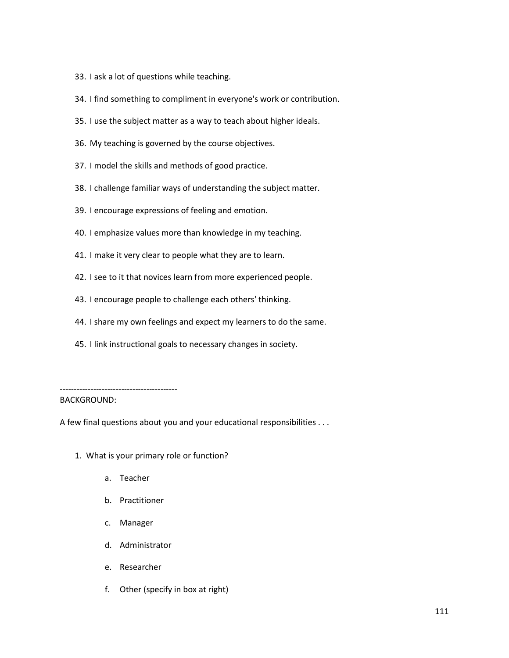- 33. I ask a lot of questions while teaching.
- 34. I find something to compliment in everyone's work or contribution.
- 35. I use the subject matter as a way to teach about higher ideals.
- 36. My teaching is governed by the course objectives.
- 37. I model the skills and methods of good practice.
- 38. I challenge familiar ways of understanding the subject matter.
- 39. I encourage expressions of feeling and emotion.
- 40. I emphasize values more than knowledge in my teaching.
- 41. I make it very clear to people what they are to learn.
- 42. I see to it that novices learn from more experienced people.
- 43. I encourage people to challenge each others' thinking.
- 44. I share my own feelings and expect my learners to do the same.
- 45. I link instructional goals to necessary changes in society.

------------------------------------------

## BACKGROUND:

A few final questions about you and your educational responsibilities . . .

- 1. What is your primary role or function?
	- a. Teacher
	- b. Practitioner
	- c. Manager
	- d. Administrator
	- e. Researcher
	- f. Other (specify in box at right)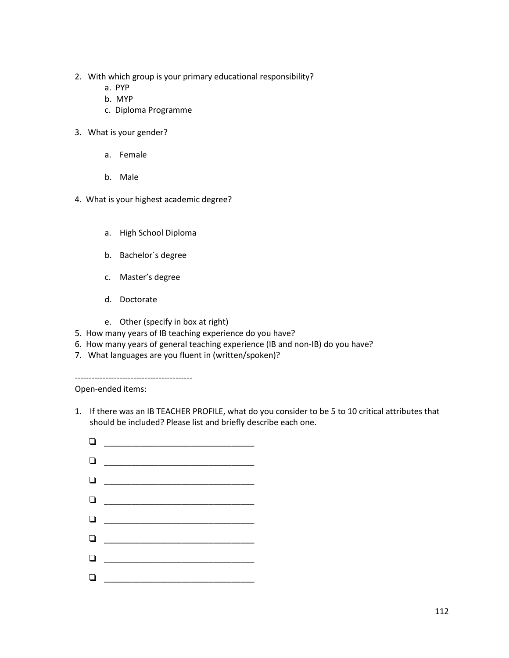- 2. With which group is your primary educational responsibility?
	- a. PYP
	- b. MYP
	- c. Diploma Programme
- 3. What is your gender?
	- a. Female
	- b. Male
- 4. What is your highest academic degree?
	- a. High School Diploma
	- b. Bachelor´s degree
	- c. Master's degree
	- d. Doctorate
	- e. Other (specify in box at right)
- 5. How many years of IB teaching experience do you have?
- 6. How many years of general teaching experience (IB and non-IB) do you have?
- 7. What languages are you fluent in (written/spoken)?

------------------------------------------ Open-ended items:

- 1. If there was an IB TEACHER PROFILE, what do you consider to be 5 to 10 critical attributes that should be included? Please list and briefly describe each one.
	- $\Box$  \_\_\_\_\_\_\_\_\_\_\_\_\_\_\_\_\_\_\_\_\_\_\_\_\_\_\_\_\_\_\_\_\_  $\Box$  \_\_\_\_\_\_\_\_\_\_\_\_\_\_\_\_\_\_\_\_\_\_\_\_\_\_\_\_\_\_\_\_\_ \_\_\_\_\_\_\_\_\_\_\_\_\_\_\_\_\_\_\_\_\_\_\_\_\_\_\_\_\_\_\_\_\_  $\Box$  $\Box$ \_\_\_\_\_\_\_\_\_\_\_\_\_\_\_\_\_\_\_\_\_\_\_\_\_\_\_\_\_\_\_\_\_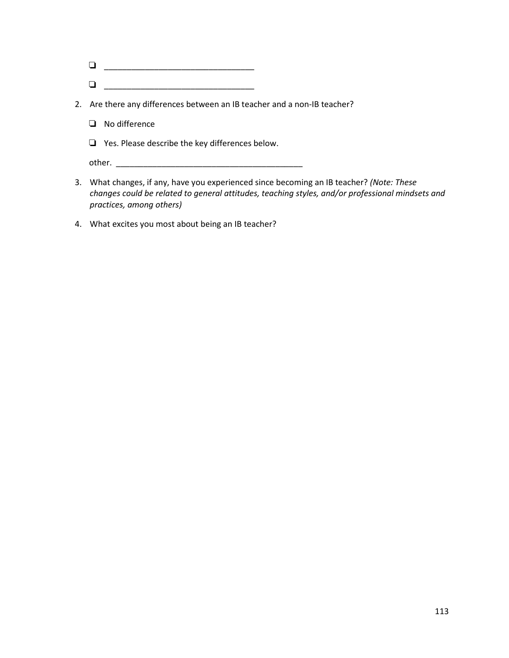| a Land |  |
|--------|--|
| $\Box$ |  |

- 2. Are there any differences between an IB teacher and a non-IB teacher?
	- **No difference**
	- $\Box$  Yes. Please describe the key differences below.

other. \_\_\_\_\_\_\_\_\_\_\_\_\_\_\_\_\_\_\_\_\_\_\_\_\_\_\_\_\_\_\_\_\_\_\_\_\_\_\_\_\_

- 3. What changes, if any, have you experienced since becoming an IB teacher? *(Note: These changes could be related to general attitudes, teaching styles, and/or professional mindsets and practices, among others)*
- 4. What excites you most about being an IB teacher?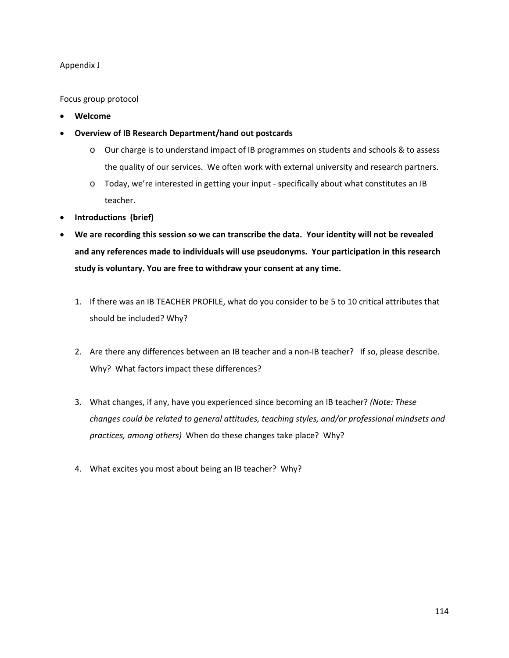## Appendix J

Focus group protocol

- **Welcome**
- **Overview of IB Research Department/hand out postcards** 
	- o Our charge is to understand impact of IB programmes on students and schools & to assess the quality of our services. We often work with external university and research partners.
	- o Today, we're interested in getting your input specifically about what constitutes an IB teacher.
- **Introductions (brief)**
- **We are recording this session so we can transcribe the data. Your identity will not be revealed and any references made to individuals will use pseudonyms. Your participation in this research study is voluntary. You are free to withdraw your consent at any time.** 
	- 1. If there was an IB TEACHER PROFILE, what do you consider to be 5 to 10 critical attributes that should be included? Why?
	- 2. Are there any differences between an IB teacher and a non-IB teacher? If so, please describe. Why? What factors impact these differences?
	- 3. What changes, if any, have you experienced since becoming an IB teacher? *(Note: These changes could be related to general attitudes, teaching styles, and/or professional mindsets and practices, among others)* When do these changes take place? Why?
	- 4. What excites you most about being an IB teacher? Why?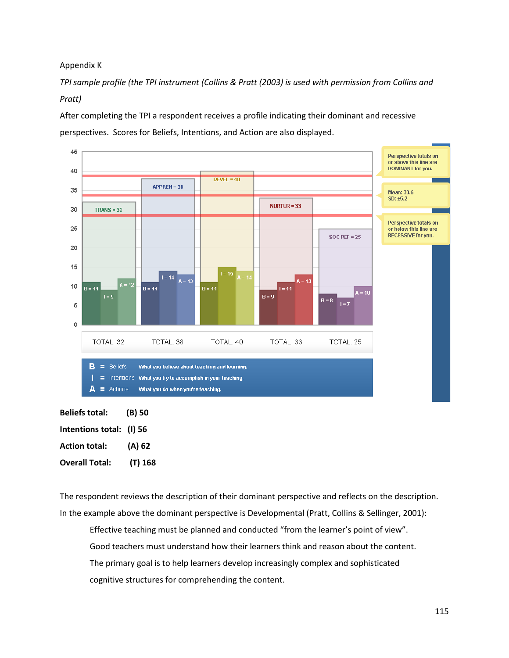Appendix K

*TPI sample profile (the TPI instrument (Collins & Pratt (2003) is used with permission from Collins and Pratt)* 

After completing the TPI a respondent receives a profile indicating their dominant and recessive perspectives. Scores for Beliefs, Intentions, and Action are also displayed.



| <b>Beliefs total:</b>    | (B) 50  |
|--------------------------|---------|
| Intentions total: (I) 56 |         |
| <b>Action total:</b>     | (A) 62  |
| <b>Overall Total:</b>    | (T) 168 |

The respondent reviews the description of their dominant perspective and reflects on the description. In the example above the dominant perspective is Developmental (Pratt, Collins & Sellinger, 2001):

Effective teaching must be planned and conducted "from the learner's point of view". Good teachers must understand how their learners think and reason about the content. The primary goal is to help learners develop increasingly complex and sophisticated cognitive structures for comprehending the content.